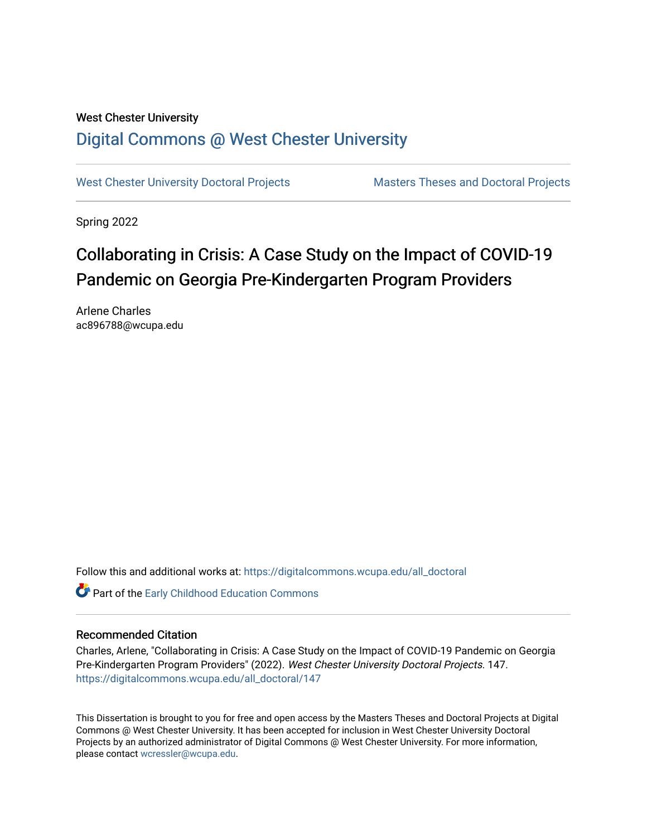# West Chester University [Digital Commons @ West Chester University](https://digitalcommons.wcupa.edu/)

[West Chester University Doctoral Projects](https://digitalcommons.wcupa.edu/all_doctoral) Masters Theses and Doctoral Projects

Spring 2022

# Collaborating in Crisis: A Case Study on the Impact of COVID-19 Pandemic on Georgia Pre-Kindergarten Program Providers

Arlene Charles ac896788@wcupa.edu

Follow this and additional works at: [https://digitalcommons.wcupa.edu/all\\_doctoral](https://digitalcommons.wcupa.edu/all_doctoral?utm_source=digitalcommons.wcupa.edu%2Fall_doctoral%2F147&utm_medium=PDF&utm_campaign=PDFCoverPages) 

Part of the [Early Childhood Education Commons](http://network.bepress.com/hgg/discipline/1377?utm_source=digitalcommons.wcupa.edu%2Fall_doctoral%2F147&utm_medium=PDF&utm_campaign=PDFCoverPages) 

### Recommended Citation

Charles, Arlene, "Collaborating in Crisis: A Case Study on the Impact of COVID-19 Pandemic on Georgia Pre-Kindergarten Program Providers" (2022). West Chester University Doctoral Projects. 147. [https://digitalcommons.wcupa.edu/all\\_doctoral/147](https://digitalcommons.wcupa.edu/all_doctoral/147?utm_source=digitalcommons.wcupa.edu%2Fall_doctoral%2F147&utm_medium=PDF&utm_campaign=PDFCoverPages) 

This Dissertation is brought to you for free and open access by the Masters Theses and Doctoral Projects at Digital Commons @ West Chester University. It has been accepted for inclusion in West Chester University Doctoral Projects by an authorized administrator of Digital Commons @ West Chester University. For more information, please contact [wcressler@wcupa.edu](mailto:wcressler@wcupa.edu).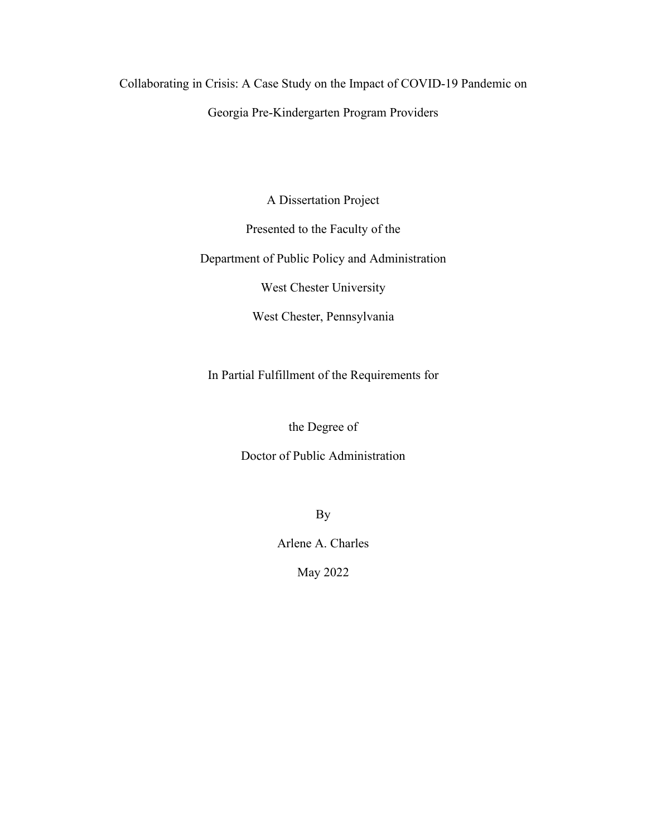Collaborating in Crisis: A Case Study on the Impact of COVID-19 Pandemic on Georgia Pre-Kindergarten Program Providers

A Dissertation Project

Presented to the Faculty of the

Department of Public Policy and Administration

West Chester University

West Chester, Pennsylvania

In Partial Fulfillment of the Requirements for

the Degree of

Doctor of Public Administration

By

Arlene A. Charles

May 2022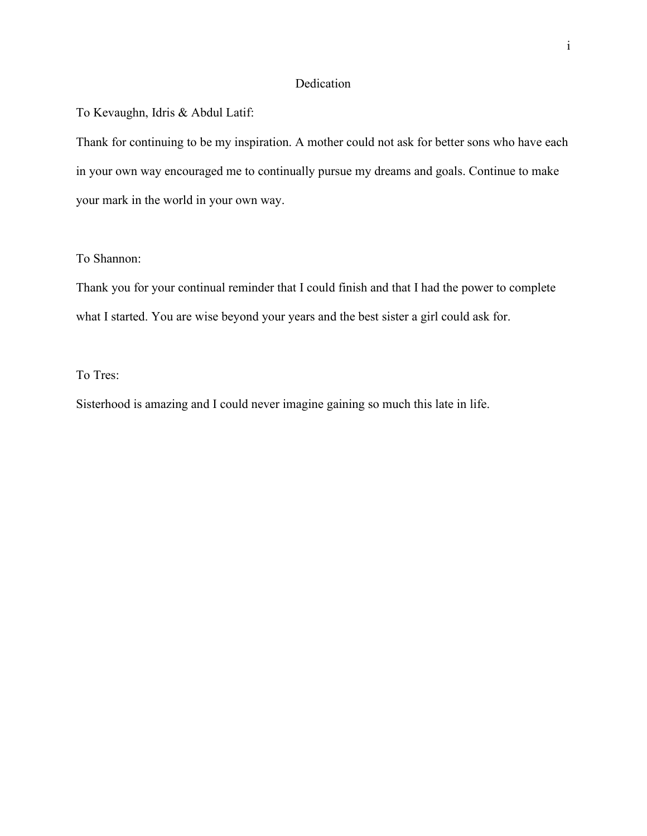## Dedication

To Kevaughn, Idris & Abdul Latif:

Thank for continuing to be my inspiration. A mother could not ask for better sons who have each in your own way encouraged me to continually pursue my dreams and goals. Continue to make your mark in the world in your own way.

# To Shannon:

Thank you for your continual reminder that I could finish and that I had the power to complete what I started. You are wise beyond your years and the best sister a girl could ask for.

## To Tres:

Sisterhood is amazing and I could never imagine gaining so much this late in life.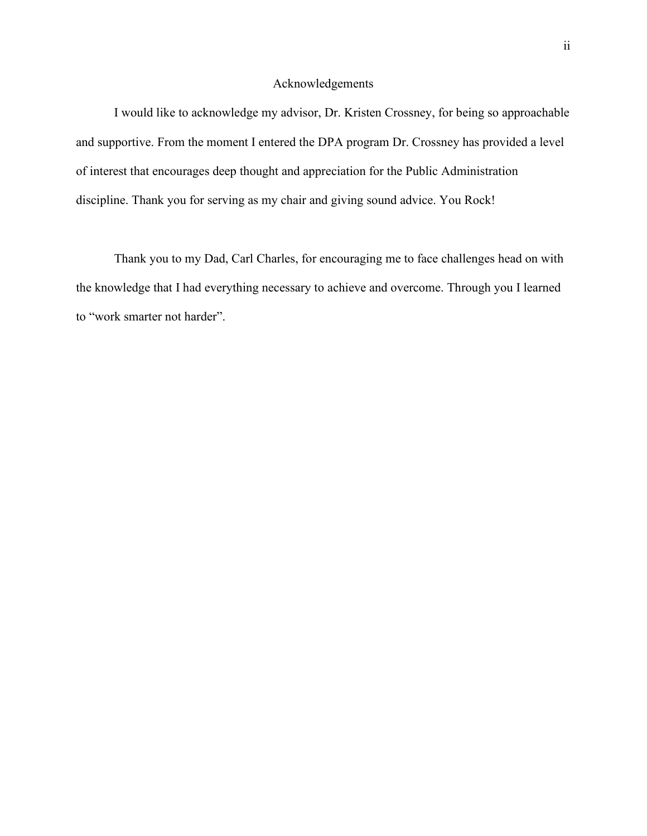#### Acknowledgements

I would like to acknowledge my advisor, Dr. Kristen Crossney, for being so approachable and supportive. From the moment I entered the DPA program Dr. Crossney has provided a level of interest that encourages deep thought and appreciation for the Public Administration discipline. Thank you for serving as my chair and giving sound advice. You Rock!

Thank you to my Dad, Carl Charles, for encouraging me to face challenges head on with the knowledge that I had everything necessary to achieve and overcome. Through you I learned to "work smarter not harder".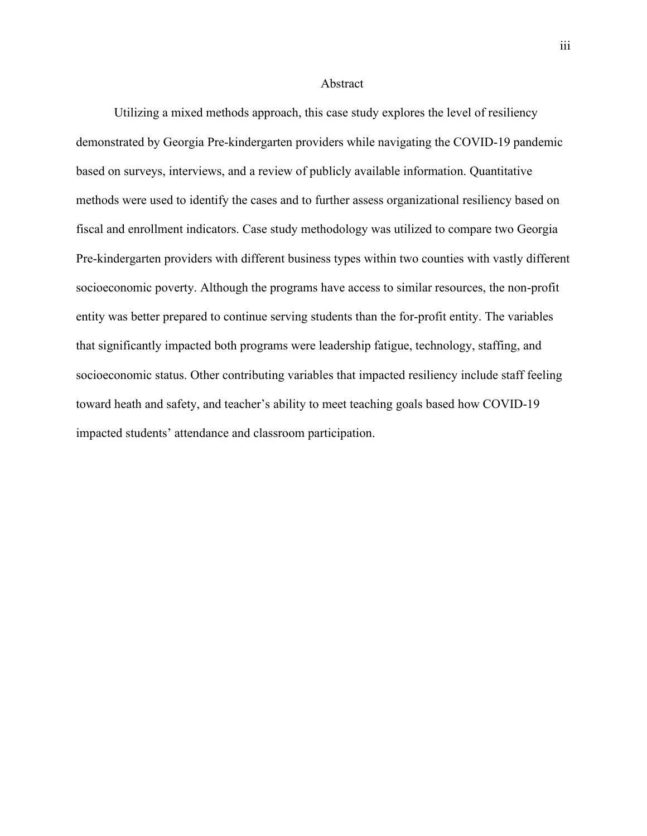#### Abstract

Utilizing a mixed methods approach, this case study explores the level of resiliency demonstrated by Georgia Pre-kindergarten providers while navigating the COVID-19 pandemic based on surveys, interviews, and a review of publicly available information. Quantitative methods were used to identify the cases and to further assess organizational resiliency based on fiscal and enrollment indicators. Case study methodology was utilized to compare two Georgia Pre-kindergarten providers with different business types within two counties with vastly different socioeconomic poverty. Although the programs have access to similar resources, the non-profit entity was better prepared to continue serving students than the for-profit entity. The variables that significantly impacted both programs were leadership fatigue, technology, staffing, and socioeconomic status. Other contributing variables that impacted resiliency include staff feeling toward heath and safety, and teacher's ability to meet teaching goals based how COVID-19 impacted students' attendance and classroom participation.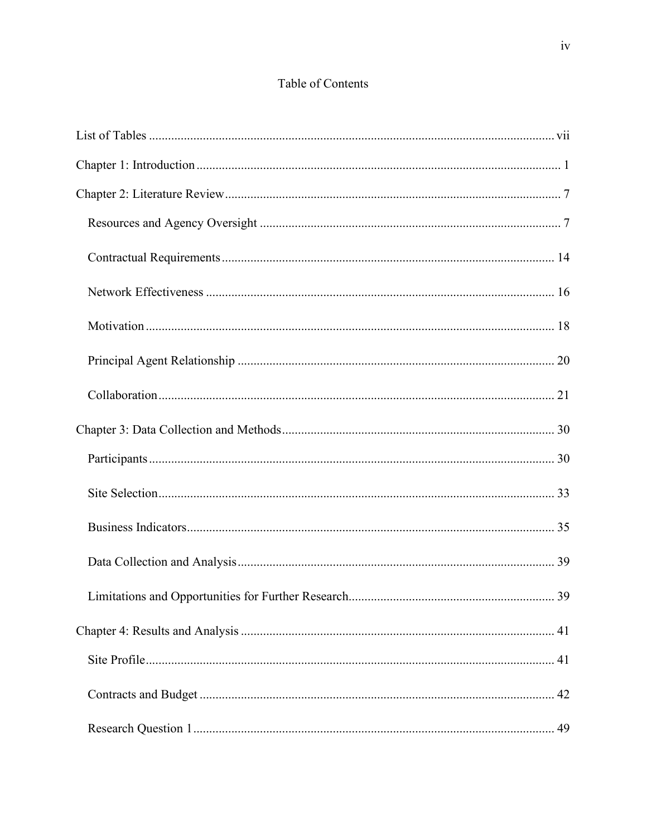# Table of Contents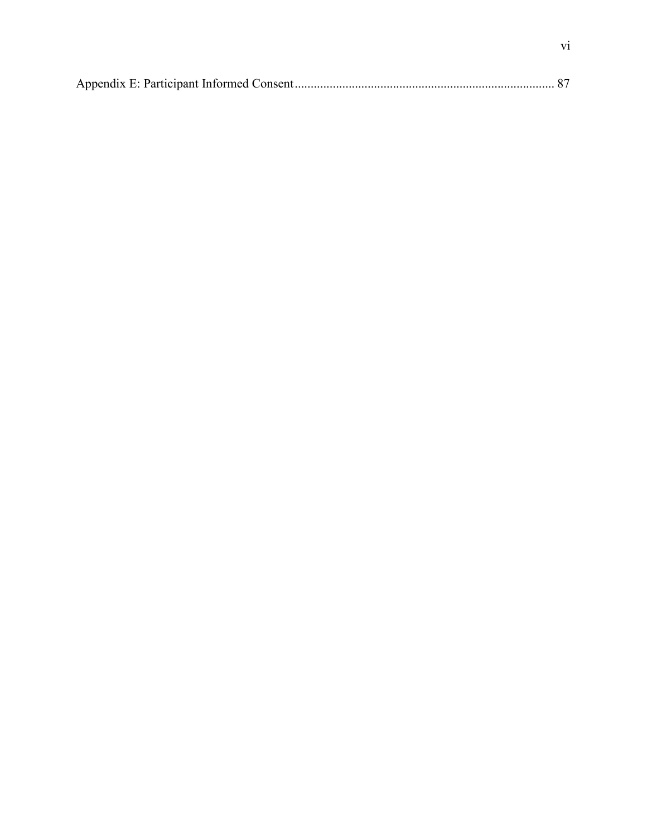|--|--|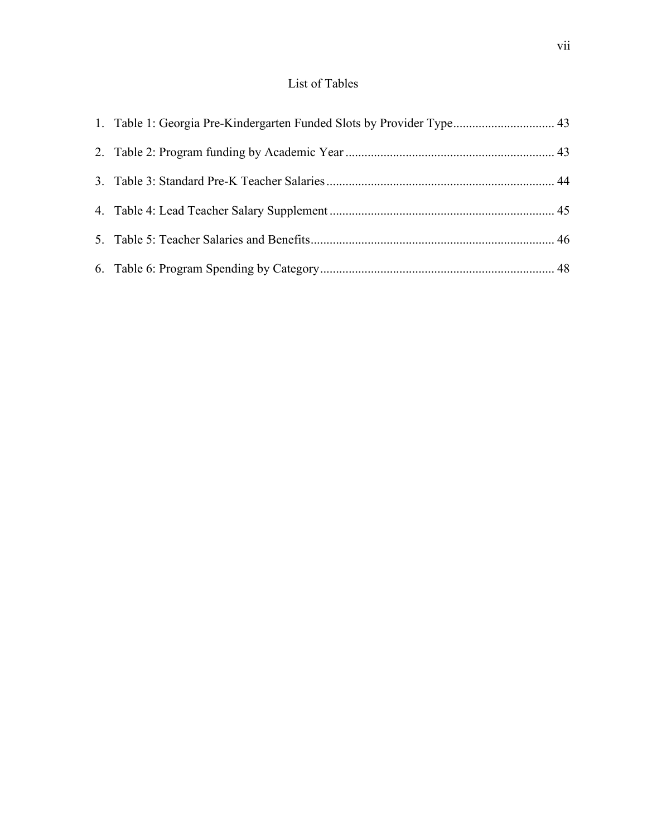# List of Tables

<span id="page-8-0"></span>

| 1. Table 1: Georgia Pre-Kindergarten Funded Slots by Provider Type 43 |  |
|-----------------------------------------------------------------------|--|
|                                                                       |  |
|                                                                       |  |
|                                                                       |  |
|                                                                       |  |
|                                                                       |  |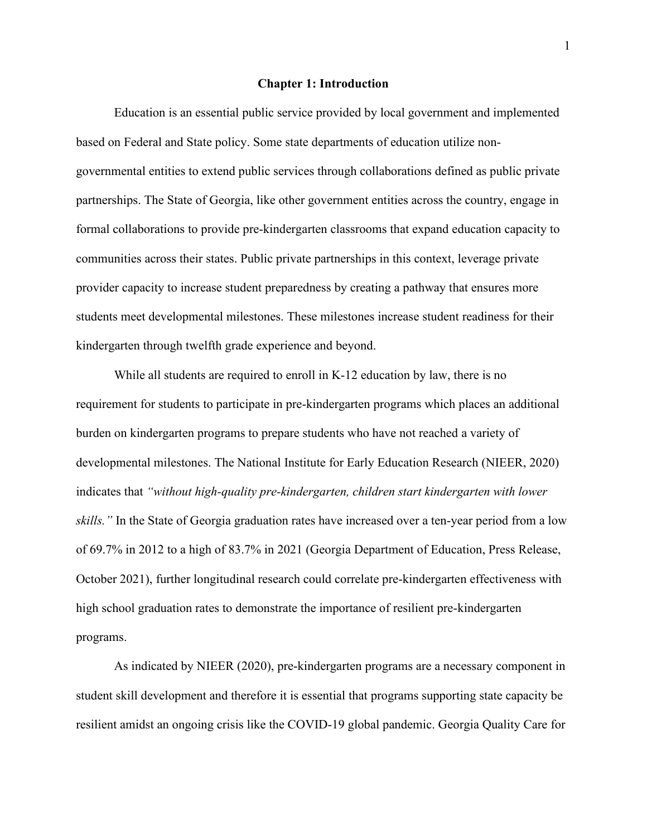#### **Chapter 1: Introduction**

<span id="page-9-0"></span>Education is an essential public service provided by local government and implemented based on Federal and State policy. Some state departments of education utilize nongovernmental entities to extend public services through collaborations defined as public private partnerships. The State of Georgia, like other government entities across the country, engage in formal collaborations to provide pre-kindergarten classrooms that expand education capacity to communities across their states. Public private partnerships in this context, leverage private provider capacity to increase student preparedness by creating a pathway that ensures more students meet developmental milestones. These milestones increase student readiness for their kindergarten through twelfth grade experience and beyond.

While all students are required to enroll in K-12 education by law, there is no requirement for students to participate in pre-kindergarten programs which places an additional burden on kindergarten programs to prepare students who have not reached a variety of developmental milestones. The National Institute for Early Education Research (NIEER, 2020) indicates that *"without high-quality pre-kindergarten, children start kindergarten with lower skills."* In the State of Georgia graduation rates have increased over a ten-year period from a low of 69.7% in 2012 to a high of 83.7% in 2021 (Georgia Department of Education, Press Release, October 2021), further longitudinal research could correlate pre-kindergarten effectiveness with high school graduation rates to demonstrate the importance of resilient pre-kindergarten programs.

As indicated by NIEER (2020), pre-kindergarten programs are a necessary component in student skill development and therefore it is essential that programs supporting state capacity be resilient amidst an ongoing crisis like the COVID-19 global pandemic. Georgia Quality Care for

1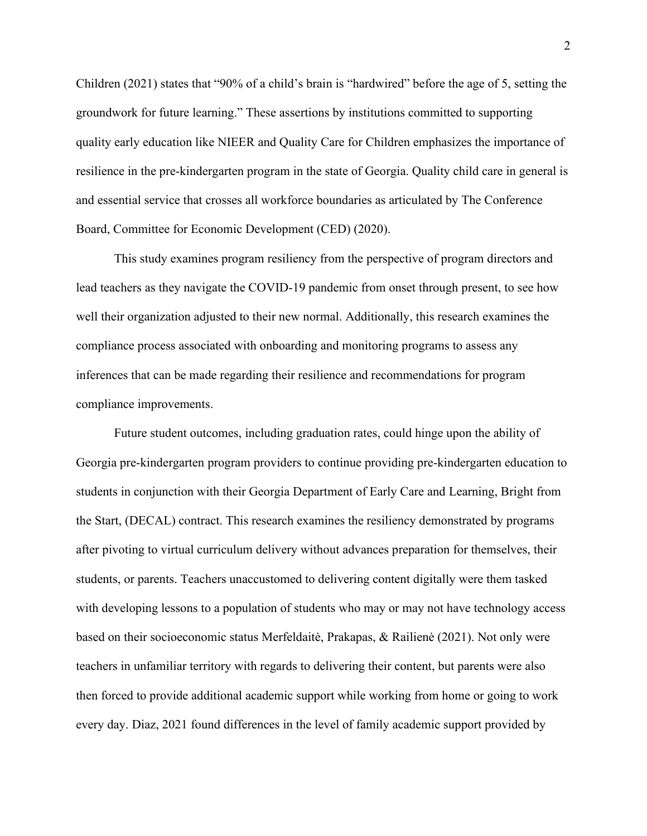Children (2021) states that "90% of a child's brain is "hardwired" before the age of 5, setting the groundwork for future learning." These assertions by institutions committed to supporting quality early education like NIEER and Quality Care for Children emphasizes the importance of resilience in the pre-kindergarten program in the state of Georgia. Quality child care in general is and essential service that crosses all workforce boundaries as articulated by The Conference Board, Committee for Economic Development (CED) (2020).

This study examines program resiliency from the perspective of program directors and lead teachers as they navigate the COVID-19 pandemic from onset through present, to see how well their organization adjusted to their new normal. Additionally, this research examines the compliance process associated with onboarding and monitoring programs to assess any inferences that can be made regarding their resilience and recommendations for program compliance improvements.

Future student outcomes, including graduation rates, could hinge upon the ability of Georgia pre-kindergarten program providers to continue providing pre-kindergarten education to students in conjunction with their Georgia Department of Early Care and Learning, Bright from the Start, (DECAL) contract. This research examines the resiliency demonstrated by programs after pivoting to virtual curriculum delivery without advances preparation for themselves, their students, or parents. Teachers unaccustomed to delivering content digitally were them tasked with developing lessons to a population of students who may or may not have technology access based on their socioeconomic status Merfeldaitė, Prakapas, & Railienė (2021). Not only were teachers in unfamiliar territory with regards to delivering their content, but parents were also then forced to provide additional academic support while working from home or going to work every day. Diaz, 2021 found differences in the level of family academic support provided by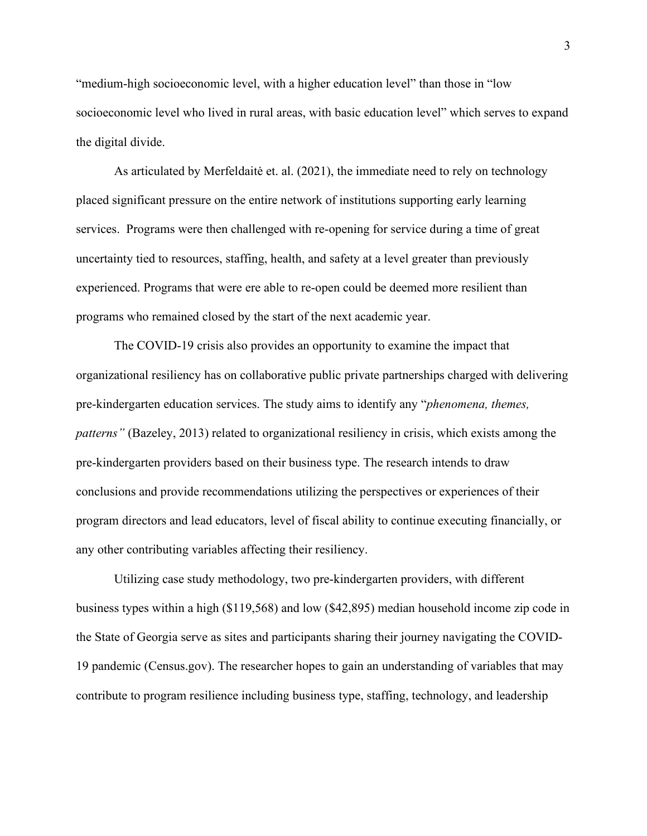"medium-high socioeconomic level, with a higher education level" than those in "low socioeconomic level who lived in rural areas, with basic education level" which serves to expand the digital divide.

As articulated by Merfeldaitė et. al. (2021), the immediate need to rely on technology placed significant pressure on the entire network of institutions supporting early learning services. Programs were then challenged with re-opening for service during a time of great uncertainty tied to resources, staffing, health, and safety at a level greater than previously experienced. Programs that were ere able to re-open could be deemed more resilient than programs who remained closed by the start of the next academic year.

The COVID-19 crisis also provides an opportunity to examine the impact that organizational resiliency has on collaborative public private partnerships charged with delivering pre-kindergarten education services. The study aims to identify any "*phenomena, themes, patterns"* (Bazeley, 2013) related to organizational resiliency in crisis, which exists among the pre-kindergarten providers based on their business type. The research intends to draw conclusions and provide recommendations utilizing the perspectives or experiences of their program directors and lead educators, level of fiscal ability to continue executing financially, or any other contributing variables affecting their resiliency.

Utilizing case study methodology, two pre-kindergarten providers, with different business types within a high (\$119,568) and low (\$42,895) median household income zip code in the State of Georgia serve as sites and participants sharing their journey navigating the COVID-19 pandemic (Census.gov). The researcher hopes to gain an understanding of variables that may contribute to program resilience including business type, staffing, technology, and leadership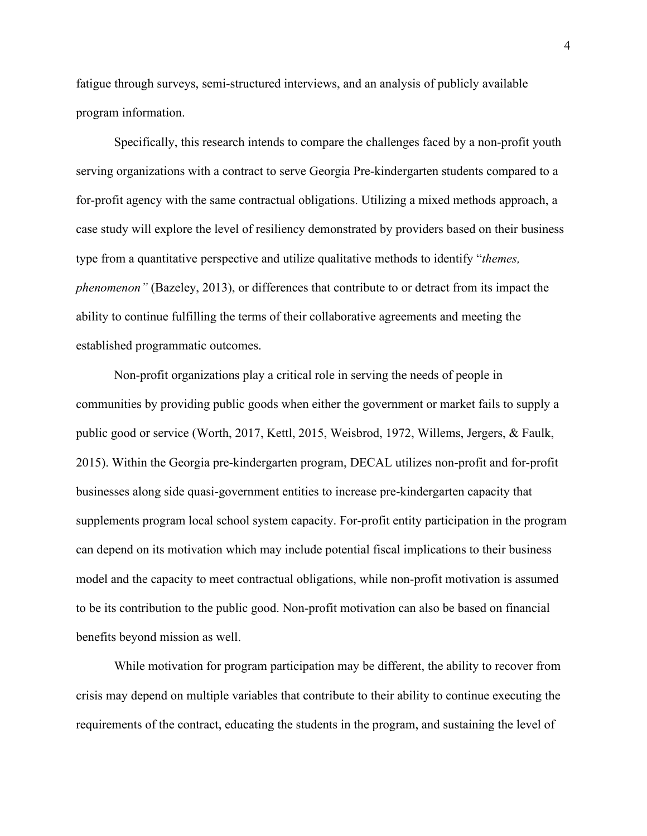fatigue through surveys, semi-structured interviews, and an analysis of publicly available program information.

Specifically, this research intends to compare the challenges faced by a non-profit youth serving organizations with a contract to serve Georgia Pre-kindergarten students compared to a for-profit agency with the same contractual obligations. Utilizing a mixed methods approach, a case study will explore the level of resiliency demonstrated by providers based on their business type from a quantitative perspective and utilize qualitative methods to identify "*themes, phenomenon"* (Bazeley, 2013), or differences that contribute to or detract from its impact the ability to continue fulfilling the terms of their collaborative agreements and meeting the established programmatic outcomes.

Non-profit organizations play a critical role in serving the needs of people in communities by providing public goods when either the government or market fails to supply a public good or service (Worth, 2017, Kettl, 2015, Weisbrod, 1972, Willems, Jergers, & Faulk, 2015). Within the Georgia pre-kindergarten program, DECAL utilizes non-profit and for-profit businesses along side quasi-government entities to increase pre-kindergarten capacity that supplements program local school system capacity. For-profit entity participation in the program can depend on its motivation which may include potential fiscal implications to their business model and the capacity to meet contractual obligations, while non-profit motivation is assumed to be its contribution to the public good. Non-profit motivation can also be based on financial benefits beyond mission as well.

While motivation for program participation may be different, the ability to recover from crisis may depend on multiple variables that contribute to their ability to continue executing the requirements of the contract, educating the students in the program, and sustaining the level of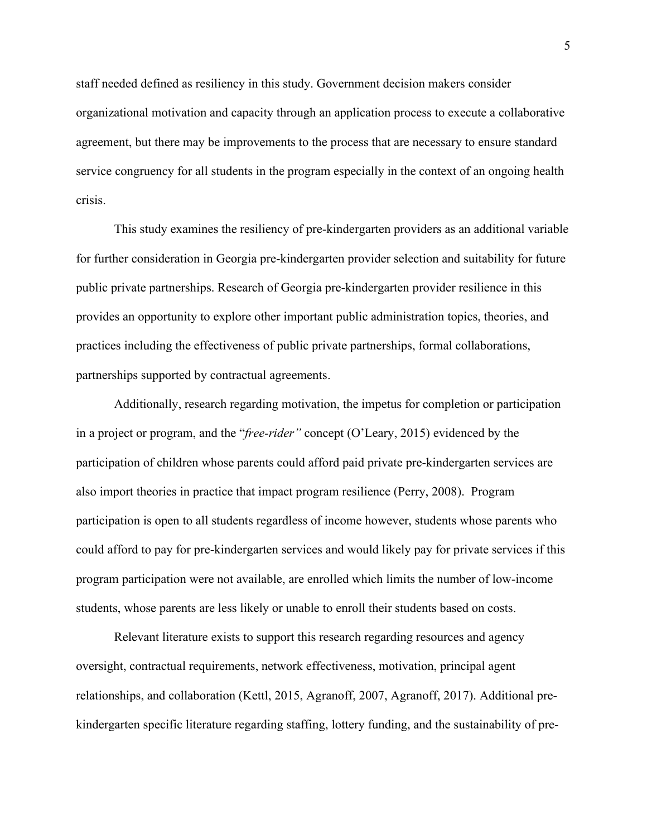staff needed defined as resiliency in this study. Government decision makers consider organizational motivation and capacity through an application process to execute a collaborative agreement, but there may be improvements to the process that are necessary to ensure standard service congruency for all students in the program especially in the context of an ongoing health crisis.

This study examines the resiliency of pre-kindergarten providers as an additional variable for further consideration in Georgia pre-kindergarten provider selection and suitability for future public private partnerships. Research of Georgia pre-kindergarten provider resilience in this provides an opportunity to explore other important public administration topics, theories, and practices including the effectiveness of public private partnerships, formal collaborations, partnerships supported by contractual agreements.

Additionally, research regarding motivation, the impetus for completion or participation in a project or program, and the "*free-rider"* concept (O'Leary, 2015) evidenced by the participation of children whose parents could afford paid private pre-kindergarten services are also import theories in practice that impact program resilience (Perry, 2008). Program participation is open to all students regardless of income however, students whose parents who could afford to pay for pre-kindergarten services and would likely pay for private services if this program participation were not available, are enrolled which limits the number of low-income students, whose parents are less likely or unable to enroll their students based on costs.

Relevant literature exists to support this research regarding resources and agency oversight, contractual requirements, network effectiveness, motivation, principal agent relationships, and collaboration (Kettl, 2015, Agranoff, 2007, Agranoff, 2017). Additional prekindergarten specific literature regarding staffing, lottery funding, and the sustainability of pre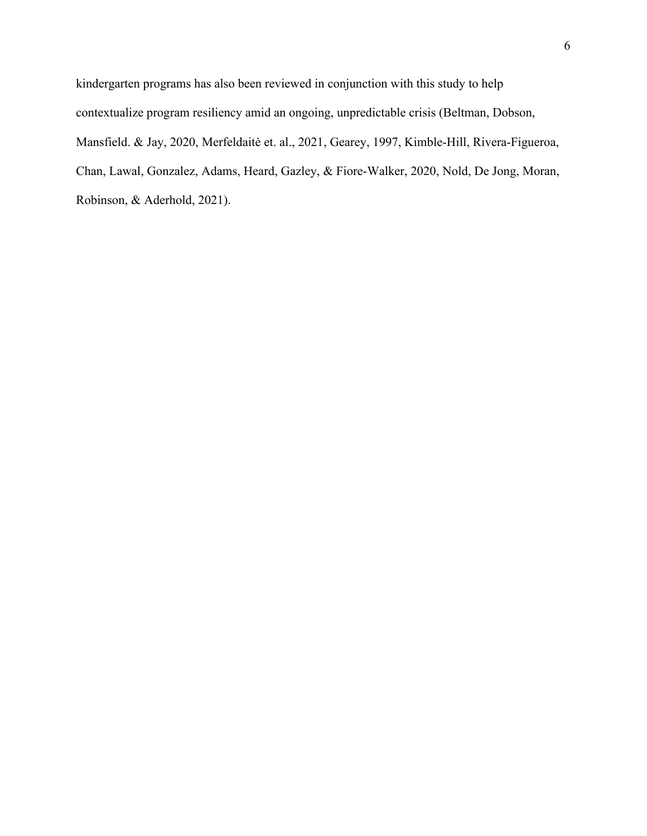kindergarten programs has also been reviewed in conjunction with this study to help contextualize program resiliency amid an ongoing, unpredictable crisis (Beltman, Dobson, Mansfield. & Jay, 2020, Merfeldaitė et. al., 2021, Gearey, 1997, Kimble-Hill, Rivera-Figueroa, Chan, Lawal, Gonzalez, Adams, Heard, Gazley, & Fiore-Walker, 2020, Nold, De Jong, Moran, Robinson, & Aderhold, 2021).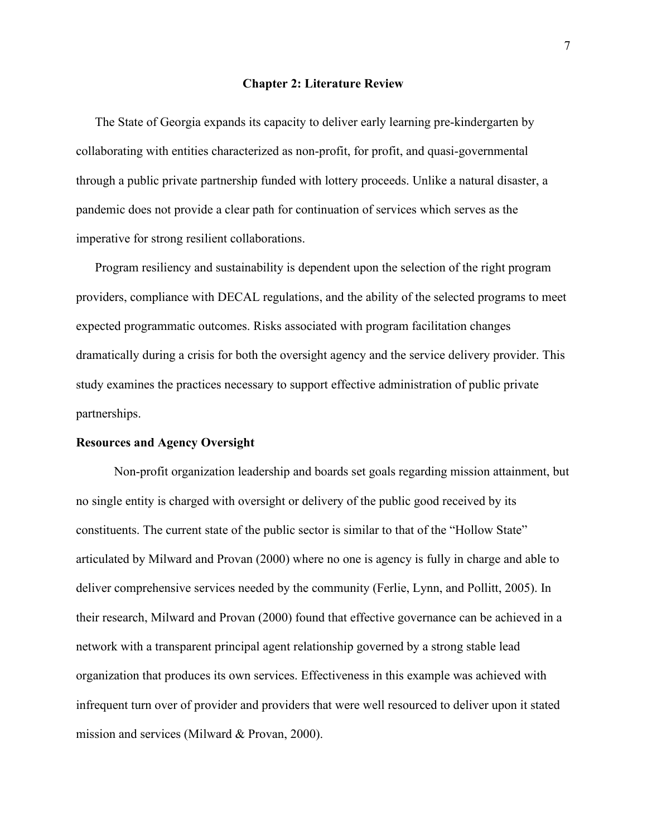#### **Chapter 2: Literature Review**

<span id="page-15-0"></span>The State of Georgia expands its capacity to deliver early learning pre-kindergarten by collaborating with entities characterized as non-profit, for profit, and quasi-governmental through a public private partnership funded with lottery proceeds. Unlike a natural disaster, a pandemic does not provide a clear path for continuation of services which serves as the imperative for strong resilient collaborations.

Program resiliency and sustainability is dependent upon the selection of the right program providers, compliance with DECAL regulations, and the ability of the selected programs to meet expected programmatic outcomes. Risks associated with program facilitation changes dramatically during a crisis for both the oversight agency and the service delivery provider. This study examines the practices necessary to support effective administration of public private partnerships.

#### <span id="page-15-1"></span>**Resources and Agency Oversight**

Non-profit organization leadership and boards set goals regarding mission attainment, but no single entity is charged with oversight or delivery of the public good received by its constituents. The current state of the public sector is similar to that of the "Hollow State" articulated by Milward and Provan (2000) where no one is agency is fully in charge and able to deliver comprehensive services needed by the community (Ferlie, Lynn, and Pollitt, 2005). In their research, Milward and Provan (2000) found that effective governance can be achieved in a network with a transparent principal agent relationship governed by a strong stable lead organization that produces its own services. Effectiveness in this example was achieved with infrequent turn over of provider and providers that were well resourced to deliver upon it stated mission and services (Milward & Provan, 2000).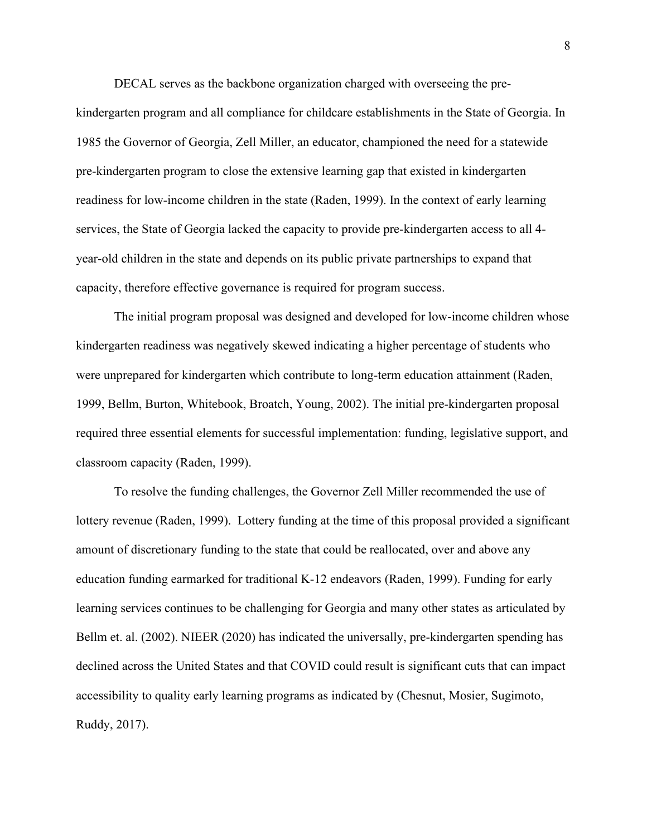DECAL serves as the backbone organization charged with overseeing the pre-

kindergarten program and all compliance for childcare establishments in the State of Georgia. In 1985 the Governor of Georgia, Zell Miller, an educator, championed the need for a statewide pre-kindergarten program to close the extensive learning gap that existed in kindergarten readiness for low-income children in the state (Raden, 1999). In the context of early learning services, the State of Georgia lacked the capacity to provide pre-kindergarten access to all 4 year-old children in the state and depends on its public private partnerships to expand that capacity, therefore effective governance is required for program success.

The initial program proposal was designed and developed for low-income children whose kindergarten readiness was negatively skewed indicating a higher percentage of students who were unprepared for kindergarten which contribute to long-term education attainment (Raden, 1999, Bellm, Burton, Whitebook, Broatch, Young, 2002). The initial pre-kindergarten proposal required three essential elements for successful implementation: funding, legislative support, and classroom capacity (Raden, 1999).

To resolve the funding challenges, the Governor Zell Miller recommended the use of lottery revenue (Raden, 1999). Lottery funding at the time of this proposal provided a significant amount of discretionary funding to the state that could be reallocated, over and above any education funding earmarked for traditional K-12 endeavors (Raden, 1999). Funding for early learning services continues to be challenging for Georgia and many other states as articulated by Bellm et. al. (2002). NIEER (2020) has indicated the universally, pre-kindergarten spending has declined across the United States and that COVID could result is significant cuts that can impact accessibility to quality early learning programs as indicated by (Chesnut, Mosier, Sugimoto, Ruddy, 2017).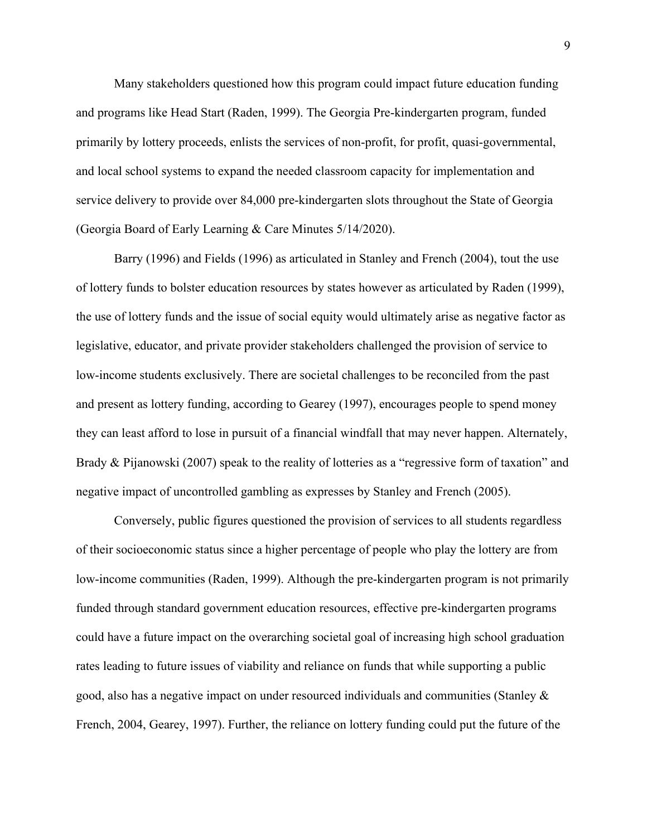Many stakeholders questioned how this program could impact future education funding and programs like Head Start (Raden, 1999). The Georgia Pre-kindergarten program, funded primarily by lottery proceeds, enlists the services of non-profit, for profit, quasi-governmental, and local school systems to expand the needed classroom capacity for implementation and service delivery to provide over 84,000 pre-kindergarten slots throughout the State of Georgia (Georgia Board of Early Learning & Care Minutes 5/14/2020).

Barry (1996) and Fields (1996) as articulated in Stanley and French (2004), tout the use of lottery funds to bolster education resources by states however as articulated by Raden (1999), the use of lottery funds and the issue of social equity would ultimately arise as negative factor as legislative, educator, and private provider stakeholders challenged the provision of service to low-income students exclusively. There are societal challenges to be reconciled from the past and present as lottery funding, according to Gearey (1997), encourages people to spend money they can least afford to lose in pursuit of a financial windfall that may never happen. Alternately, Brady & Pijanowski (2007) speak to the reality of lotteries as a "regressive form of taxation" and negative impact of uncontrolled gambling as expresses by Stanley and French (2005).

Conversely, public figures questioned the provision of services to all students regardless of their socioeconomic status since a higher percentage of people who play the lottery are from low-income communities (Raden, 1999). Although the pre-kindergarten program is not primarily funded through standard government education resources, effective pre-kindergarten programs could have a future impact on the overarching societal goal of increasing high school graduation rates leading to future issues of viability and reliance on funds that while supporting a public good, also has a negative impact on under resourced individuals and communities (Stanley & French, 2004, Gearey, 1997). Further, the reliance on lottery funding could put the future of the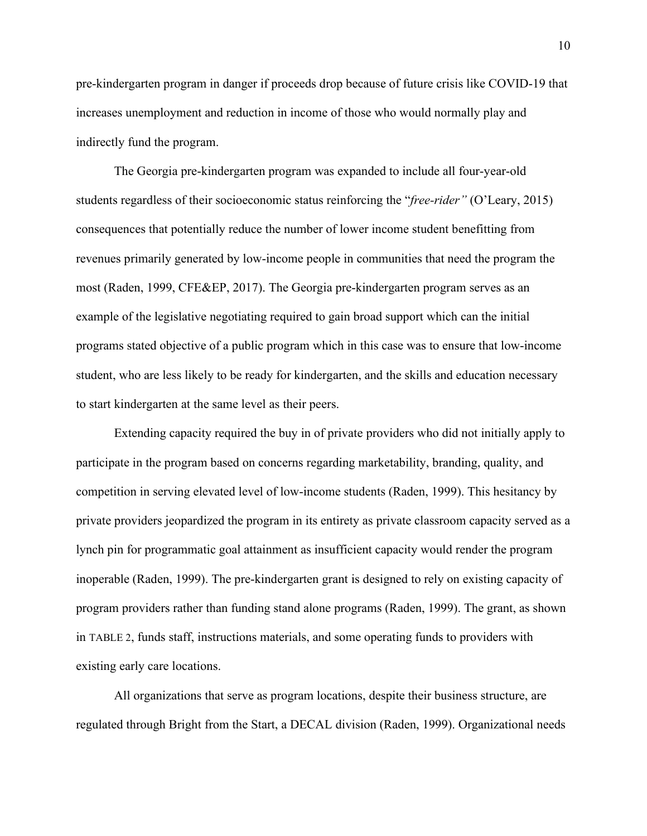pre-kindergarten program in danger if proceeds drop because of future crisis like COVID-19 that increases unemployment and reduction in income of those who would normally play and indirectly fund the program.

The Georgia pre-kindergarten program was expanded to include all four-year-old students regardless of their socioeconomic status reinforcing the "*free-rider"* (O'Leary, 2015) consequences that potentially reduce the number of lower income student benefitting from revenues primarily generated by low-income people in communities that need the program the most (Raden, 1999, CFE&EP, 2017). The Georgia pre-kindergarten program serves as an example of the legislative negotiating required to gain broad support which can the initial programs stated objective of a public program which in this case was to ensure that low-income student, who are less likely to be ready for kindergarten, and the skills and education necessary to start kindergarten at the same level as their peers.

Extending capacity required the buy in of private providers who did not initially apply to participate in the program based on concerns regarding marketability, branding, quality, and competition in serving elevated level of low-income students (Raden, 1999). This hesitancy by private providers jeopardized the program in its entirety as private classroom capacity served as a lynch pin for programmatic goal attainment as insufficient capacity would render the program inoperable (Raden, 1999). The pre-kindergarten grant is designed to rely on existing capacity of program providers rather than funding stand alone programs (Raden, 1999). The grant, as shown in [TABLE 2,](#page-51-1) funds staff, instructions materials, and some operating funds to providers with existing early care locations.

All organizations that serve as program locations, despite their business structure, are regulated through Bright from the Start, a DECAL division (Raden, 1999). Organizational needs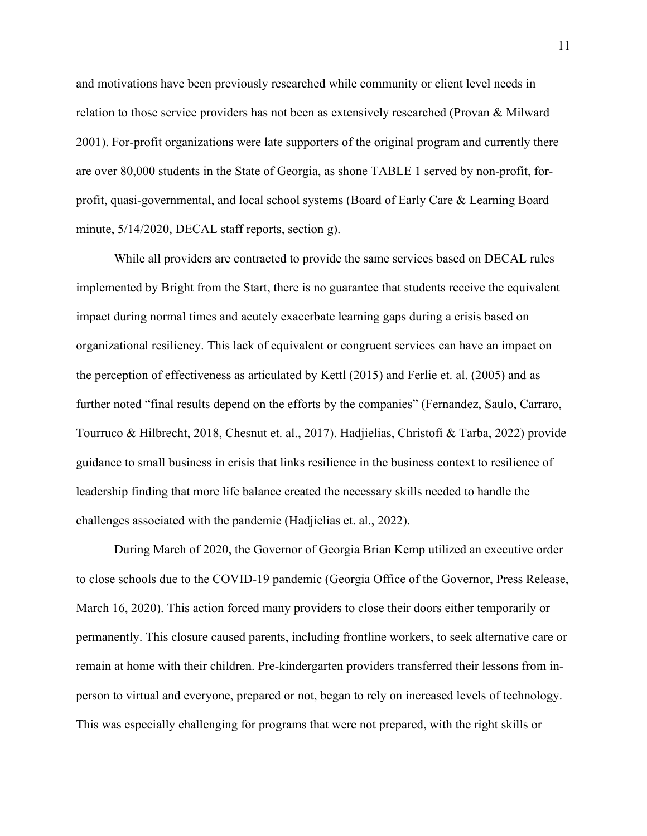and motivations have been previously researched while community or client level needs in relation to those service providers has not been as extensively researched (Provan & Milward 2001). For-profit organizations were late supporters of the original program and currently there are over 80,000 students in the State of Georgia, as shone TABLE 1 served by non-profit, forprofit, quasi-governmental, and local school systems (Board of Early Care & Learning Board minute, 5/14/2020, DECAL staff reports, section g).

While all providers are contracted to provide the same services based on DECAL rules implemented by Bright from the Start, there is no guarantee that students receive the equivalent impact during normal times and acutely exacerbate learning gaps during a crisis based on organizational resiliency. This lack of equivalent or congruent services can have an impact on the perception of effectiveness as articulated by Kettl (2015) and Ferlie et. al. (2005) and as further noted "final results depend on the efforts by the companies" (Fernandez, Saulo, Carraro, Tourruco & Hilbrecht, 2018, Chesnut et. al., 2017). Hadjielias, Christofi & Tarba, 2022) provide guidance to small business in crisis that links resilience in the business context to resilience of leadership finding that more life balance created the necessary skills needed to handle the challenges associated with the pandemic (Hadjielias et. al., 2022).

During March of 2020, the Governor of Georgia Brian Kemp utilized an executive order to close schools due to the COVID-19 pandemic (Georgia Office of the Governor, Press Release, March 16, 2020). This action forced many providers to close their doors either temporarily or permanently. This closure caused parents, including frontline workers, to seek alternative care or remain at home with their children. Pre-kindergarten providers transferred their lessons from inperson to virtual and everyone, prepared or not, began to rely on increased levels of technology. This was especially challenging for programs that were not prepared, with the right skills or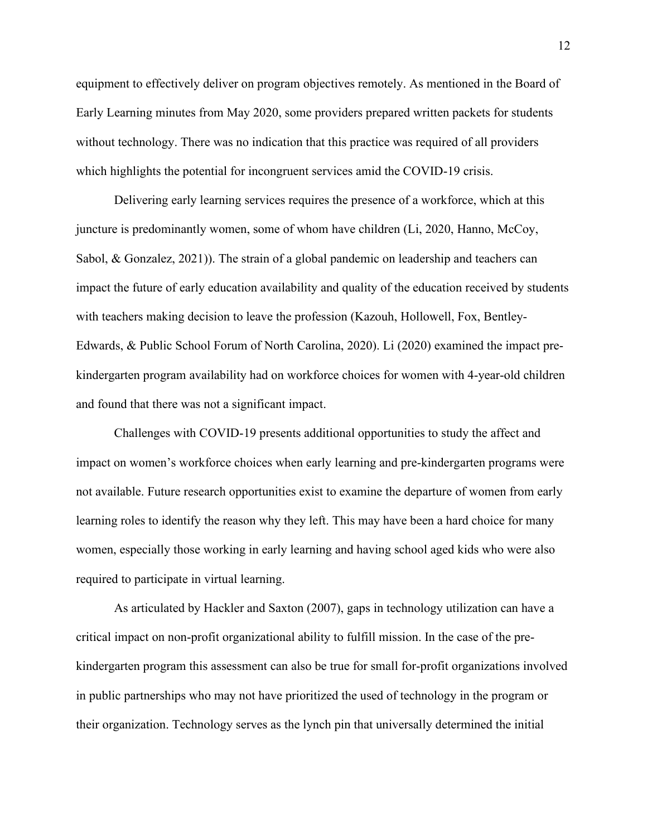equipment to effectively deliver on program objectives remotely. As mentioned in the Board of Early Learning minutes from May 2020, some providers prepared written packets for students without technology. There was no indication that this practice was required of all providers which highlights the potential for incongruent services amid the COVID-19 crisis.

Delivering early learning services requires the presence of a workforce, which at this juncture is predominantly women, some of whom have children (Li, 2020, Hanno, McCoy, Sabol, & Gonzalez, 2021)). The strain of a global pandemic on leadership and teachers can impact the future of early education availability and quality of the education received by students with teachers making decision to leave the profession (Kazouh, Hollowell, Fox, Bentley-Edwards, & Public School Forum of North Carolina, 2020). Li (2020) examined the impact prekindergarten program availability had on workforce choices for women with 4-year-old children and found that there was not a significant impact.

Challenges with COVID-19 presents additional opportunities to study the affect and impact on women's workforce choices when early learning and pre-kindergarten programs were not available. Future research opportunities exist to examine the departure of women from early learning roles to identify the reason why they left. This may have been a hard choice for many women, especially those working in early learning and having school aged kids who were also required to participate in virtual learning.

As articulated by Hackler and Saxton (2007), gaps in technology utilization can have a critical impact on non-profit organizational ability to fulfill mission. In the case of the prekindergarten program this assessment can also be true for small for-profit organizations involved in public partnerships who may not have prioritized the used of technology in the program or their organization. Technology serves as the lynch pin that universally determined the initial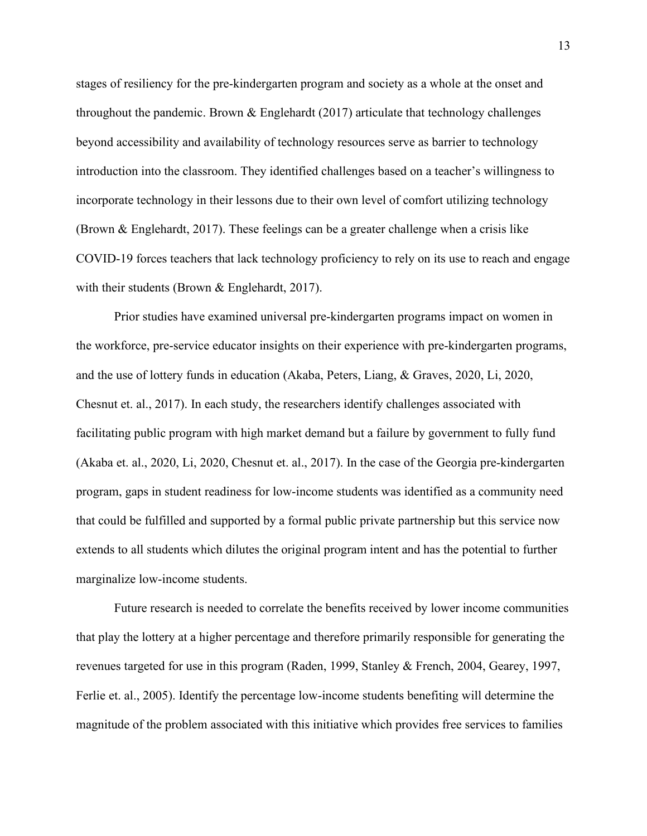stages of resiliency for the pre-kindergarten program and society as a whole at the onset and throughout the pandemic. Brown  $\&$  Englehardt (2017) articulate that technology challenges beyond accessibility and availability of technology resources serve as barrier to technology introduction into the classroom. They identified challenges based on a teacher's willingness to incorporate technology in their lessons due to their own level of comfort utilizing technology (Brown & Englehardt, 2017). These feelings can be a greater challenge when a crisis like COVID-19 forces teachers that lack technology proficiency to rely on its use to reach and engage with their students (Brown & Englehardt, 2017).

Prior studies have examined universal pre-kindergarten programs impact on women in the workforce, pre-service educator insights on their experience with pre-kindergarten programs, and the use of lottery funds in education (Akaba, Peters, Liang, & Graves, 2020, Li, 2020, Chesnut et. al., 2017). In each study, the researchers identify challenges associated with facilitating public program with high market demand but a failure by government to fully fund (Akaba et. al., 2020, Li, 2020, Chesnut et. al., 2017). In the case of the Georgia pre-kindergarten program, gaps in student readiness for low-income students was identified as a community need that could be fulfilled and supported by a formal public private partnership but this service now extends to all students which dilutes the original program intent and has the potential to further marginalize low-income students.

Future research is needed to correlate the benefits received by lower income communities that play the lottery at a higher percentage and therefore primarily responsible for generating the revenues targeted for use in this program (Raden, 1999, Stanley & French, 2004, Gearey, 1997, Ferlie et. al., 2005). Identify the percentage low-income students benefiting will determine the magnitude of the problem associated with this initiative which provides free services to families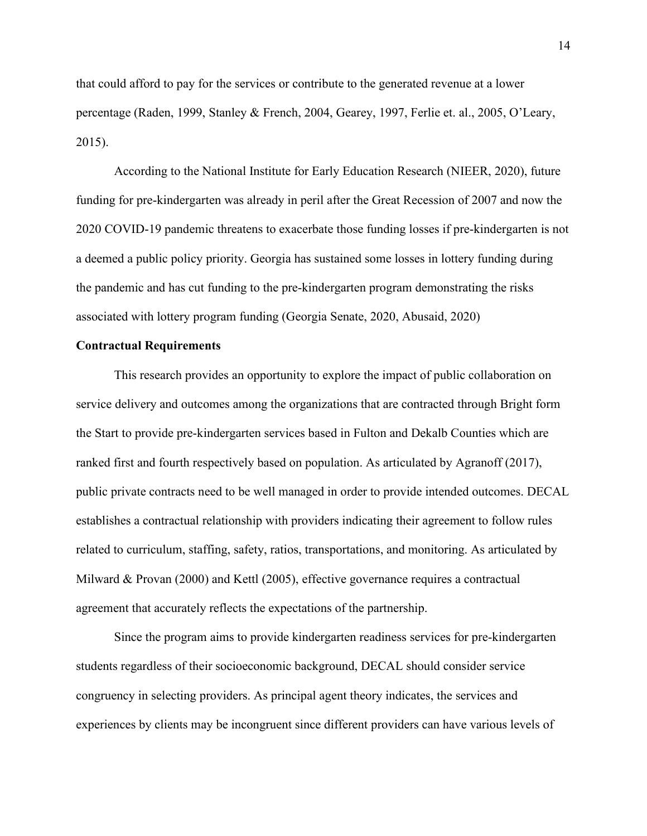that could afford to pay for the services or contribute to the generated revenue at a lower percentage (Raden, 1999, Stanley & French, 2004, Gearey, 1997, Ferlie et. al., 2005, O'Leary, 2015).

According to the National Institute for Early Education Research (NIEER, 2020), future funding for pre-kindergarten was already in peril after the Great Recession of 2007 and now the 2020 COVID-19 pandemic threatens to exacerbate those funding losses if pre-kindergarten is not a deemed a public policy priority. Georgia has sustained some losses in lottery funding during the pandemic and has cut funding to the pre-kindergarten program demonstrating the risks associated with lottery program funding (Georgia Senate, 2020, Abusaid, 2020)

## <span id="page-22-0"></span>**Contractual Requirements**

This research provides an opportunity to explore the impact of public collaboration on service delivery and outcomes among the organizations that are contracted through Bright form the Start to provide pre-kindergarten services based in Fulton and Dekalb Counties which are ranked first and fourth respectively based on population. As articulated by Agranoff (2017), public private contracts need to be well managed in order to provide intended outcomes. DECAL establishes a contractual relationship with providers indicating their agreement to follow rules related to curriculum, staffing, safety, ratios, transportations, and monitoring. As articulated by Milward & Provan (2000) and Kettl (2005), effective governance requires a contractual agreement that accurately reflects the expectations of the partnership.

Since the program aims to provide kindergarten readiness services for pre-kindergarten students regardless of their socioeconomic background, DECAL should consider service congruency in selecting providers. As principal agent theory indicates, the services and experiences by clients may be incongruent since different providers can have various levels of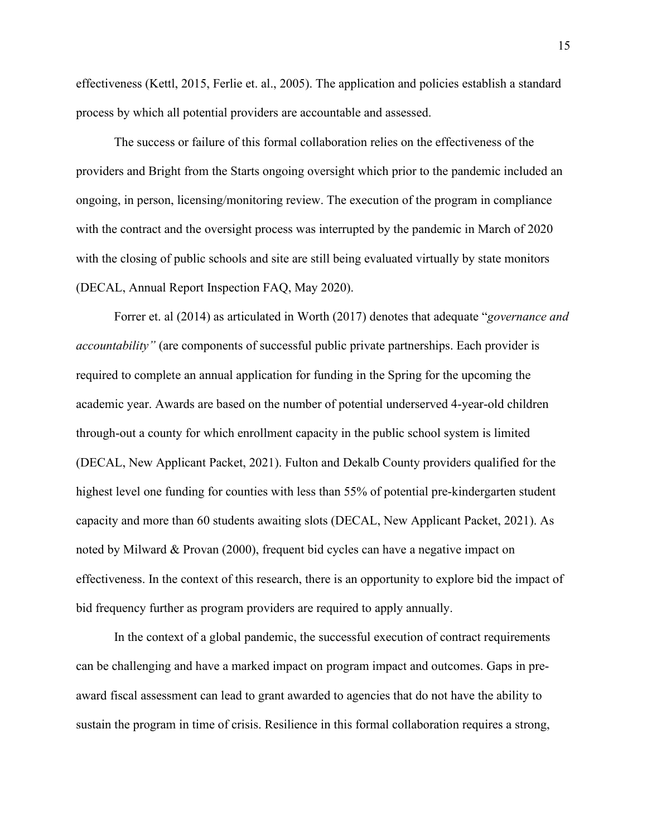effectiveness (Kettl, 2015, Ferlie et. al., 2005). The application and policies establish a standard process by which all potential providers are accountable and assessed.

The success or failure of this formal collaboration relies on the effectiveness of the providers and Bright from the Starts ongoing oversight which prior to the pandemic included an ongoing, in person, licensing/monitoring review. The execution of the program in compliance with the contract and the oversight process was interrupted by the pandemic in March of 2020 with the closing of public schools and site are still being evaluated virtually by state monitors (DECAL, Annual Report Inspection FAQ, May 2020).

Forrer et. al (2014) as articulated in Worth (2017) denotes that adequate "*governance and accountability"* (are components of successful public private partnerships. Each provider is required to complete an annual application for funding in the Spring for the upcoming the academic year. Awards are based on the number of potential underserved 4-year-old children through-out a county for which enrollment capacity in the public school system is limited (DECAL, New Applicant Packet, 2021). Fulton and Dekalb County providers qualified for the highest level one funding for counties with less than 55% of potential pre-kindergarten student capacity and more than 60 students awaiting slots (DECAL, New Applicant Packet, 2021). As noted by Milward & Provan (2000), frequent bid cycles can have a negative impact on effectiveness. In the context of this research, there is an opportunity to explore bid the impact of bid frequency further as program providers are required to apply annually.

In the context of a global pandemic, the successful execution of contract requirements can be challenging and have a marked impact on program impact and outcomes. Gaps in preaward fiscal assessment can lead to grant awarded to agencies that do not have the ability to sustain the program in time of crisis. Resilience in this formal collaboration requires a strong,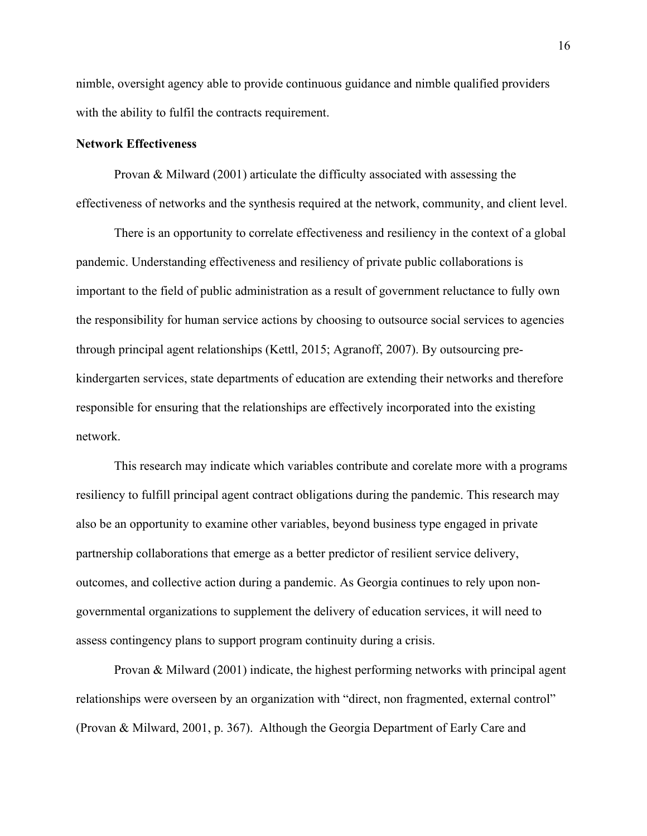nimble, oversight agency able to provide continuous guidance and nimble qualified providers with the ability to fulfil the contracts requirement.

#### <span id="page-24-0"></span>**Network Effectiveness**

Provan & Milward (2001) articulate the difficulty associated with assessing the effectiveness of networks and the synthesis required at the network, community, and client level.

There is an opportunity to correlate effectiveness and resiliency in the context of a global pandemic. Understanding effectiveness and resiliency of private public collaborations is important to the field of public administration as a result of government reluctance to fully own the responsibility for human service actions by choosing to outsource social services to agencies through principal agent relationships (Kettl, 2015; Agranoff, 2007). By outsourcing prekindergarten services, state departments of education are extending their networks and therefore responsible for ensuring that the relationships are effectively incorporated into the existing network.

This research may indicate which variables contribute and corelate more with a programs resiliency to fulfill principal agent contract obligations during the pandemic. This research may also be an opportunity to examine other variables, beyond business type engaged in private partnership collaborations that emerge as a better predictor of resilient service delivery, outcomes, and collective action during a pandemic. As Georgia continues to rely upon nongovernmental organizations to supplement the delivery of education services, it will need to assess contingency plans to support program continuity during a crisis.

Provan & Milward (2001) indicate, the highest performing networks with principal agent relationships were overseen by an organization with "direct, non fragmented, external control" (Provan & Milward, 2001, p. 367). Although the Georgia Department of Early Care and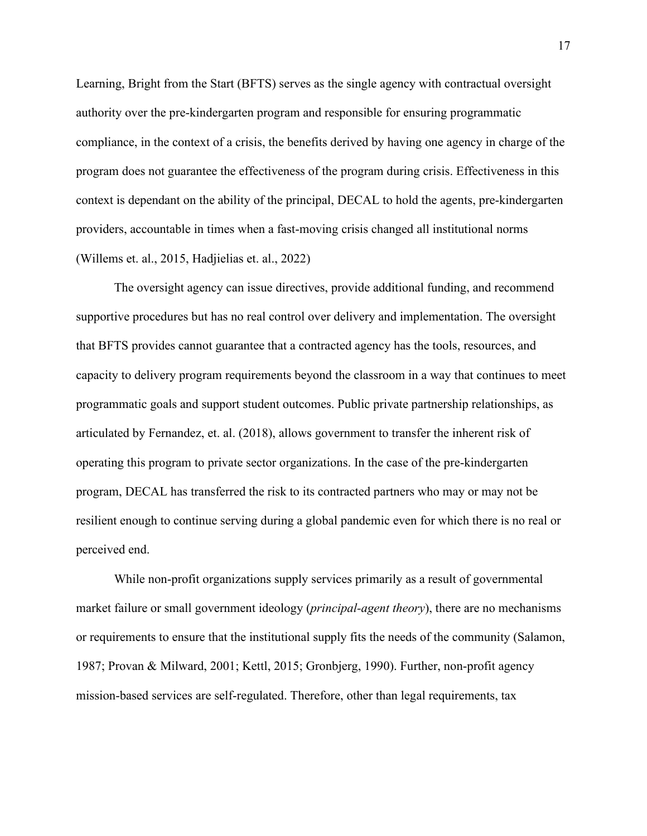Learning, Bright from the Start (BFTS) serves as the single agency with contractual oversight authority over the pre-kindergarten program and responsible for ensuring programmatic compliance, in the context of a crisis, the benefits derived by having one agency in charge of the program does not guarantee the effectiveness of the program during crisis. Effectiveness in this context is dependant on the ability of the principal, DECAL to hold the agents, pre-kindergarten providers, accountable in times when a fast-moving crisis changed all institutional norms (Willems et. al., 2015, Hadjielias et. al., 2022)

The oversight agency can issue directives, provide additional funding, and recommend supportive procedures but has no real control over delivery and implementation. The oversight that BFTS provides cannot guarantee that a contracted agency has the tools, resources, and capacity to delivery program requirements beyond the classroom in a way that continues to meet programmatic goals and support student outcomes. Public private partnership relationships, as articulated by Fernandez, et. al. (2018), allows government to transfer the inherent risk of operating this program to private sector organizations. In the case of the pre-kindergarten program, DECAL has transferred the risk to its contracted partners who may or may not be resilient enough to continue serving during a global pandemic even for which there is no real or perceived end.

While non-profit organizations supply services primarily as a result of governmental market failure or small government ideology (*principal-agent theory*), there are no mechanisms or requirements to ensure that the institutional supply fits the needs of the community (Salamon, 1987; Provan & Milward, 2001; Kettl, 2015; Gronbjerg, 1990). Further, non-profit agency mission-based services are self-regulated. Therefore, other than legal requirements, tax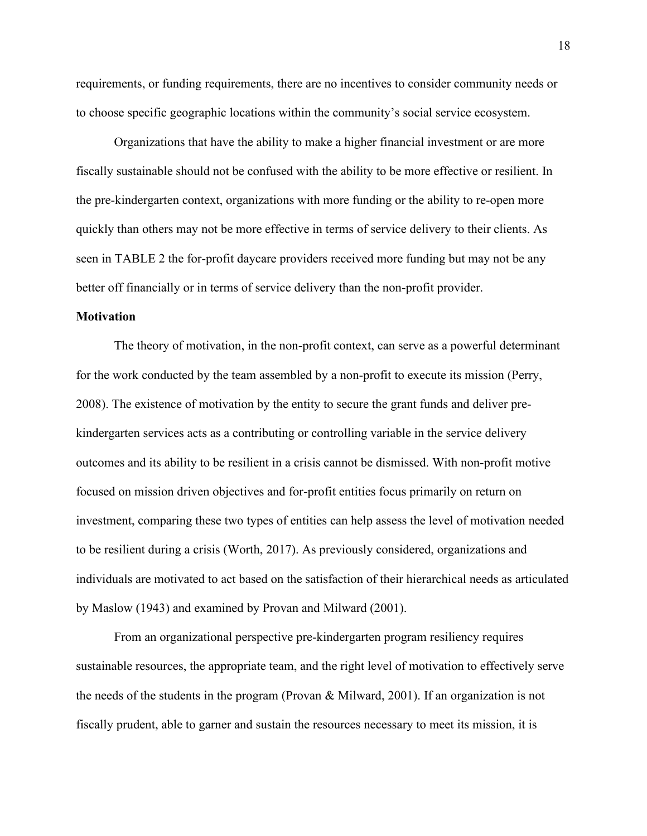requirements, or funding requirements, there are no incentives to consider community needs or to choose specific geographic locations within the community's social service ecosystem.

Organizations that have the ability to make a higher financial investment or are more fiscally sustainable should not be confused with the ability to be more effective or resilient. In the pre-kindergarten context, organizations with more funding or the ability to re-open more quickly than others may not be more effective in terms of service delivery to their clients. As seen in [TABLE 2](#page-51-1) the for-profit daycare providers received more funding but may not be any better off financially or in terms of service delivery than the non-profit provider.

#### <span id="page-26-0"></span>**Motivation**

The theory of motivation, in the non-profit context, can serve as a powerful determinant for the work conducted by the team assembled by a non-profit to execute its mission (Perry, 2008). The existence of motivation by the entity to secure the grant funds and deliver prekindergarten services acts as a contributing or controlling variable in the service delivery outcomes and its ability to be resilient in a crisis cannot be dismissed. With non-profit motive focused on mission driven objectives and for-profit entities focus primarily on return on investment, comparing these two types of entities can help assess the level of motivation needed to be resilient during a crisis (Worth, 2017). As previously considered, organizations and individuals are motivated to act based on the satisfaction of their hierarchical needs as articulated by Maslow (1943) and examined by Provan and Milward (2001).

From an organizational perspective pre-kindergarten program resiliency requires sustainable resources, the appropriate team, and the right level of motivation to effectively serve the needs of the students in the program (Provan & Milward, 2001). If an organization is not fiscally prudent, able to garner and sustain the resources necessary to meet its mission, it is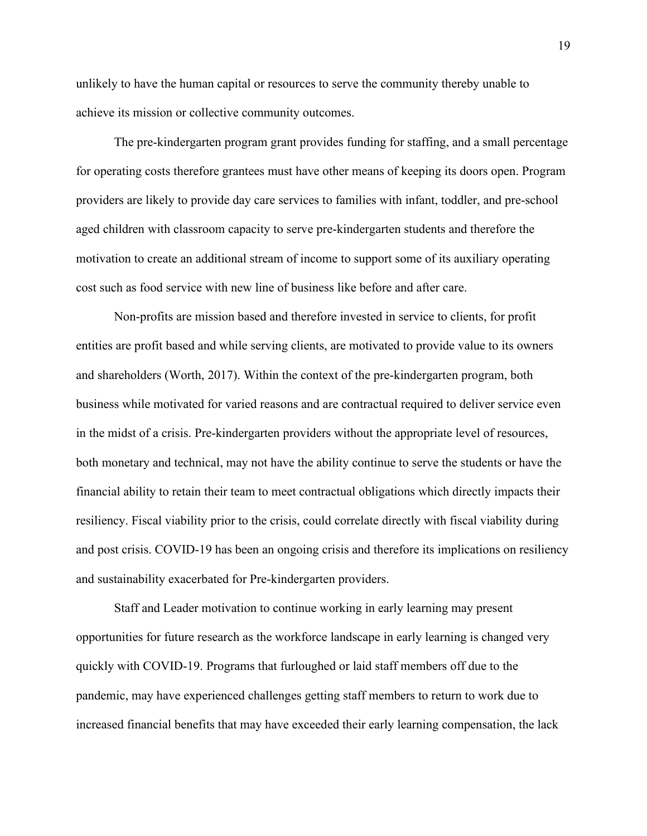unlikely to have the human capital or resources to serve the community thereby unable to achieve its mission or collective community outcomes.

The pre-kindergarten program grant provides funding for staffing, and a small percentage for operating costs therefore grantees must have other means of keeping its doors open. Program providers are likely to provide day care services to families with infant, toddler, and pre-school aged children with classroom capacity to serve pre-kindergarten students and therefore the motivation to create an additional stream of income to support some of its auxiliary operating cost such as food service with new line of business like before and after care.

Non-profits are mission based and therefore invested in service to clients, for profit entities are profit based and while serving clients, are motivated to provide value to its owners and shareholders (Worth, 2017). Within the context of the pre-kindergarten program, both business while motivated for varied reasons and are contractual required to deliver service even in the midst of a crisis. Pre-kindergarten providers without the appropriate level of resources, both monetary and technical, may not have the ability continue to serve the students or have the financial ability to retain their team to meet contractual obligations which directly impacts their resiliency. Fiscal viability prior to the crisis, could correlate directly with fiscal viability during and post crisis. COVID-19 has been an ongoing crisis and therefore its implications on resiliency and sustainability exacerbated for Pre-kindergarten providers.

Staff and Leader motivation to continue working in early learning may present opportunities for future research as the workforce landscape in early learning is changed very quickly with COVID-19. Programs that furloughed or laid staff members off due to the pandemic, may have experienced challenges getting staff members to return to work due to increased financial benefits that may have exceeded their early learning compensation, the lack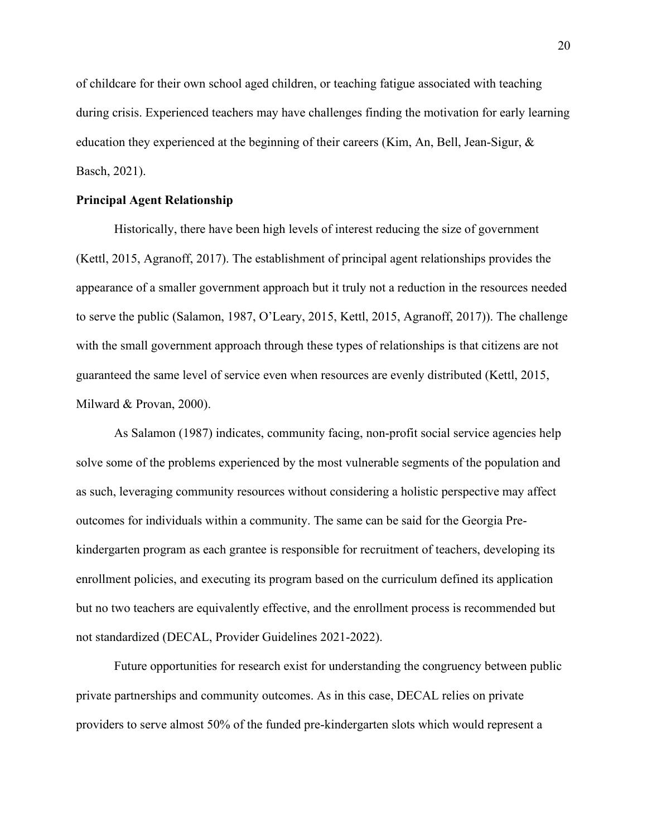of childcare for their own school aged children, or teaching fatigue associated with teaching during crisis. Experienced teachers may have challenges finding the motivation for early learning education they experienced at the beginning of their careers (Kim, An, Bell, Jean-Sigur, & Basch, 2021).

#### <span id="page-28-0"></span>**Principal Agent Relationship**

Historically, there have been high levels of interest reducing the size of government (Kettl, 2015, Agranoff, 2017). The establishment of principal agent relationships provides the appearance of a smaller government approach but it truly not a reduction in the resources needed to serve the public (Salamon, 1987, O'Leary, 2015, Kettl, 2015, Agranoff, 2017)). The challenge with the small government approach through these types of relationships is that citizens are not guaranteed the same level of service even when resources are evenly distributed (Kettl, 2015, Milward & Provan, 2000).

As Salamon (1987) indicates, community facing, non-profit social service agencies help solve some of the problems experienced by the most vulnerable segments of the population and as such, leveraging community resources without considering a holistic perspective may affect outcomes for individuals within a community. The same can be said for the Georgia Prekindergarten program as each grantee is responsible for recruitment of teachers, developing its enrollment policies, and executing its program based on the curriculum defined its application but no two teachers are equivalently effective, and the enrollment process is recommended but not standardized (DECAL, Provider Guidelines 2021-2022).

Future opportunities for research exist for understanding the congruency between public private partnerships and community outcomes. As in this case, DECAL relies on private providers to serve almost 50% of the funded pre-kindergarten slots which would represent a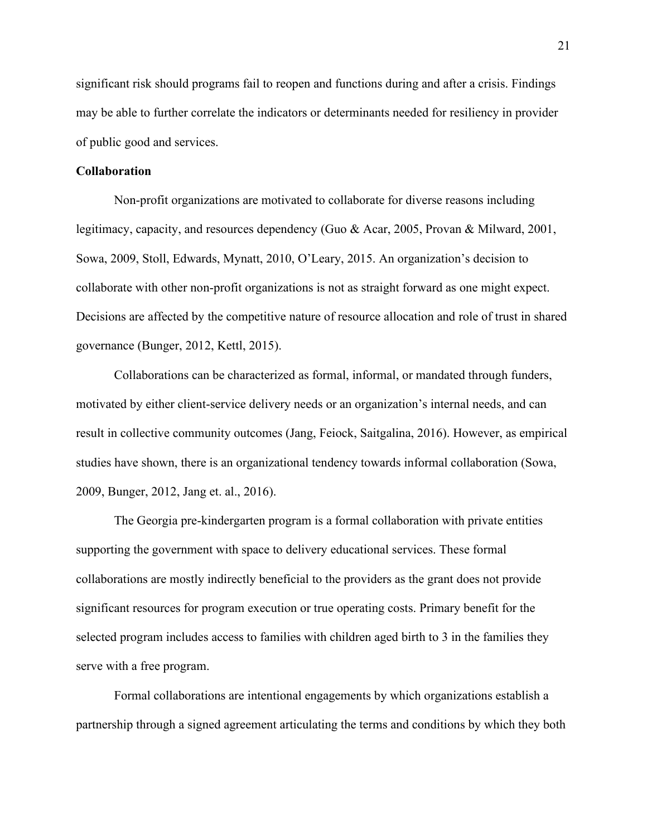significant risk should programs fail to reopen and functions during and after a crisis. Findings may be able to further correlate the indicators or determinants needed for resiliency in provider of public good and services.

#### <span id="page-29-0"></span>**Collaboration**

Non-profit organizations are motivated to collaborate for diverse reasons including legitimacy, capacity, and resources dependency (Guo & Acar, 2005, Provan & Milward, 2001, Sowa, 2009, Stoll, Edwards, Mynatt, 2010, O'Leary, 2015. An organization's decision to collaborate with other non-profit organizations is not as straight forward as one might expect. Decisions are affected by the competitive nature of resource allocation and role of trust in shared governance (Bunger, 2012, Kettl, 2015).

Collaborations can be characterized as formal, informal, or mandated through funders, motivated by either client-service delivery needs or an organization's internal needs, and can result in collective community outcomes (Jang, Feiock, Saitgalina, 2016). However, as empirical studies have shown, there is an organizational tendency towards informal collaboration (Sowa, 2009, Bunger, 2012, Jang et. al., 2016).

The Georgia pre-kindergarten program is a formal collaboration with private entities supporting the government with space to delivery educational services. These formal collaborations are mostly indirectly beneficial to the providers as the grant does not provide significant resources for program execution or true operating costs. Primary benefit for the selected program includes access to families with children aged birth to 3 in the families they serve with a free program.

Formal collaborations are intentional engagements by which organizations establish a partnership through a signed agreement articulating the terms and conditions by which they both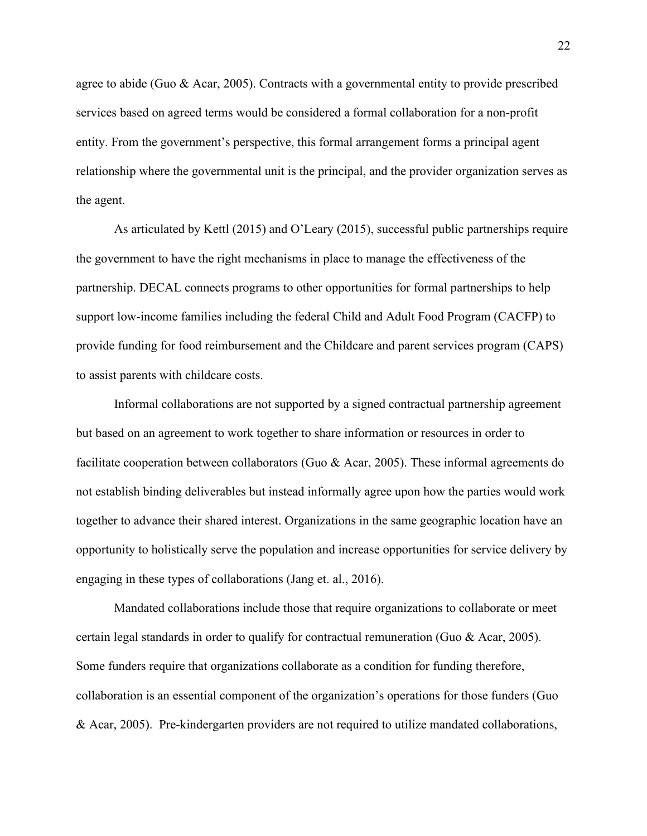agree to abide (Guo & Acar, 2005). Contracts with a governmental entity to provide prescribed services based on agreed terms would be considered a formal collaboration for a non-profit entity. From the government's perspective, this formal arrangement forms a principal agent relationship where the governmental unit is the principal, and the provider organization serves as the agent.

As articulated by Kettl (2015) and O'Leary (2015), successful public partnerships require the government to have the right mechanisms in place to manage the effectiveness of the partnership. DECAL connects programs to other opportunities for formal partnerships to help support low-income families including the federal Child and Adult Food Program (CACFP) to provide funding for food reimbursement and the Childcare and parent services program (CAPS) to assist parents with childcare costs.

Informal collaborations are not supported by a signed contractual partnership agreement but based on an agreement to work together to share information or resources in order to facilitate cooperation between collaborators (Guo & Acar, 2005). These informal agreements do not establish binding deliverables but instead informally agree upon how the parties would work together to advance their shared interest. Organizations in the same geographic location have an opportunity to holistically serve the population and increase opportunities for service delivery by engaging in these types of collaborations (Jang et. al., 2016).

Mandated collaborations include those that require organizations to collaborate or meet certain legal standards in order to qualify for contractual remuneration (Guo & Acar, 2005). Some funders require that organizations collaborate as a condition for funding therefore, collaboration is an essential component of the organization's operations for those funders (Guo & Acar, 2005). Pre-kindergarten providers are not required to utilize mandated collaborations,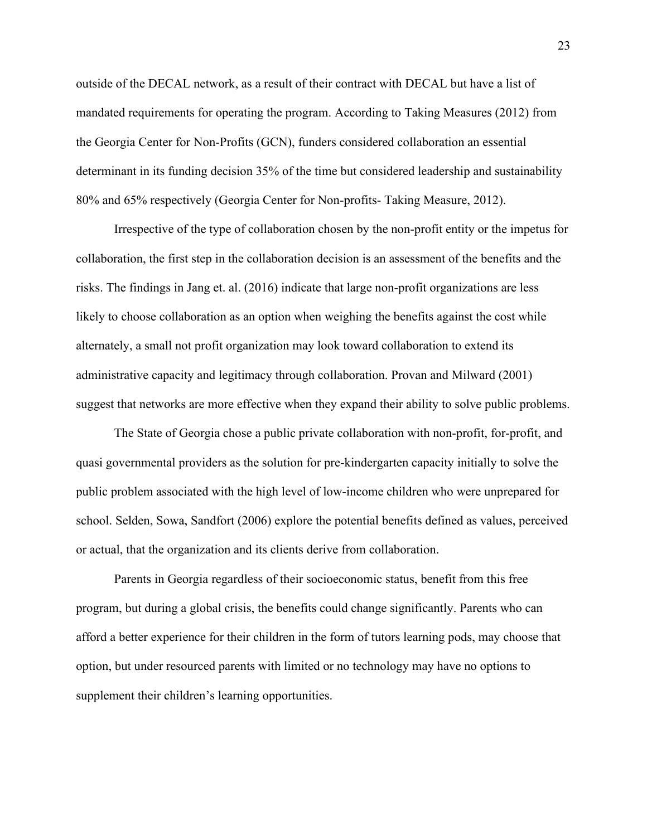outside of the DECAL network, as a result of their contract with DECAL but have a list of mandated requirements for operating the program. According to Taking Measures (2012) from the Georgia Center for Non-Profits (GCN), funders considered collaboration an essential determinant in its funding decision 35% of the time but considered leadership and sustainability 80% and 65% respectively (Georgia Center for Non-profits- Taking Measure, 2012).

Irrespective of the type of collaboration chosen by the non-profit entity or the impetus for collaboration, the first step in the collaboration decision is an assessment of the benefits and the risks. The findings in Jang et. al. (2016) indicate that large non-profit organizations are less likely to choose collaboration as an option when weighing the benefits against the cost while alternately, a small not profit organization may look toward collaboration to extend its administrative capacity and legitimacy through collaboration. Provan and Milward (2001) suggest that networks are more effective when they expand their ability to solve public problems.

The State of Georgia chose a public private collaboration with non-profit, for-profit, and quasi governmental providers as the solution for pre-kindergarten capacity initially to solve the public problem associated with the high level of low-income children who were unprepared for school. Selden, Sowa, Sandfort (2006) explore the potential benefits defined as values, perceived or actual, that the organization and its clients derive from collaboration.

Parents in Georgia regardless of their socioeconomic status, benefit from this free program, but during a global crisis, the benefits could change significantly. Parents who can afford a better experience for their children in the form of tutors learning pods, may choose that option, but under resourced parents with limited or no technology may have no options to supplement their children's learning opportunities.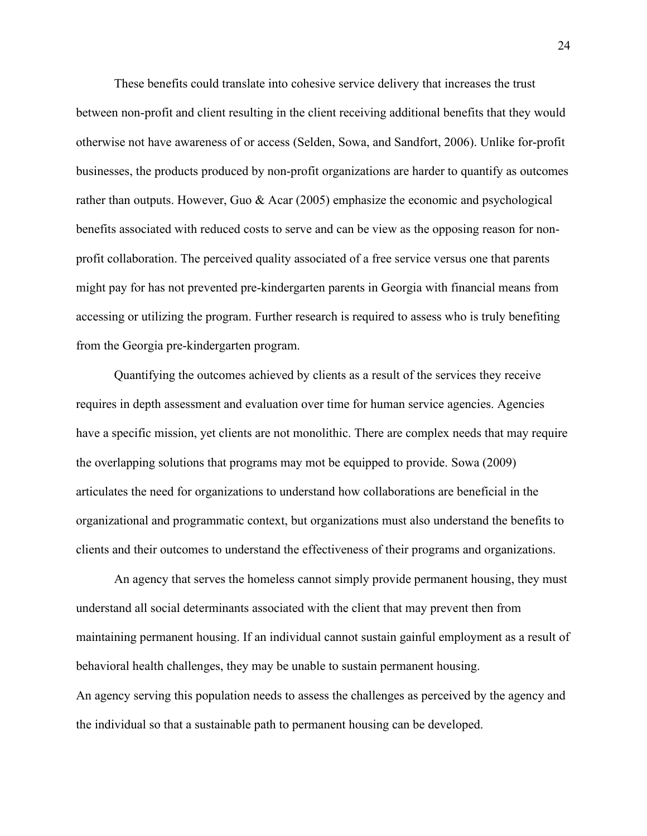These benefits could translate into cohesive service delivery that increases the trust between non-profit and client resulting in the client receiving additional benefits that they would otherwise not have awareness of or access (Selden, Sowa, and Sandfort, 2006). Unlike for-profit businesses, the products produced by non-profit organizations are harder to quantify as outcomes rather than outputs. However, Guo & Acar (2005) emphasize the economic and psychological benefits associated with reduced costs to serve and can be view as the opposing reason for nonprofit collaboration. The perceived quality associated of a free service versus one that parents might pay for has not prevented pre-kindergarten parents in Georgia with financial means from accessing or utilizing the program. Further research is required to assess who is truly benefiting from the Georgia pre-kindergarten program.

Quantifying the outcomes achieved by clients as a result of the services they receive requires in depth assessment and evaluation over time for human service agencies. Agencies have a specific mission, yet clients are not monolithic. There are complex needs that may require the overlapping solutions that programs may mot be equipped to provide. Sowa (2009) articulates the need for organizations to understand how collaborations are beneficial in the organizational and programmatic context, but organizations must also understand the benefits to clients and their outcomes to understand the effectiveness of their programs and organizations.

An agency that serves the homeless cannot simply provide permanent housing, they must understand all social determinants associated with the client that may prevent then from maintaining permanent housing. If an individual cannot sustain gainful employment as a result of behavioral health challenges, they may be unable to sustain permanent housing. An agency serving this population needs to assess the challenges as perceived by the agency and the individual so that a sustainable path to permanent housing can be developed.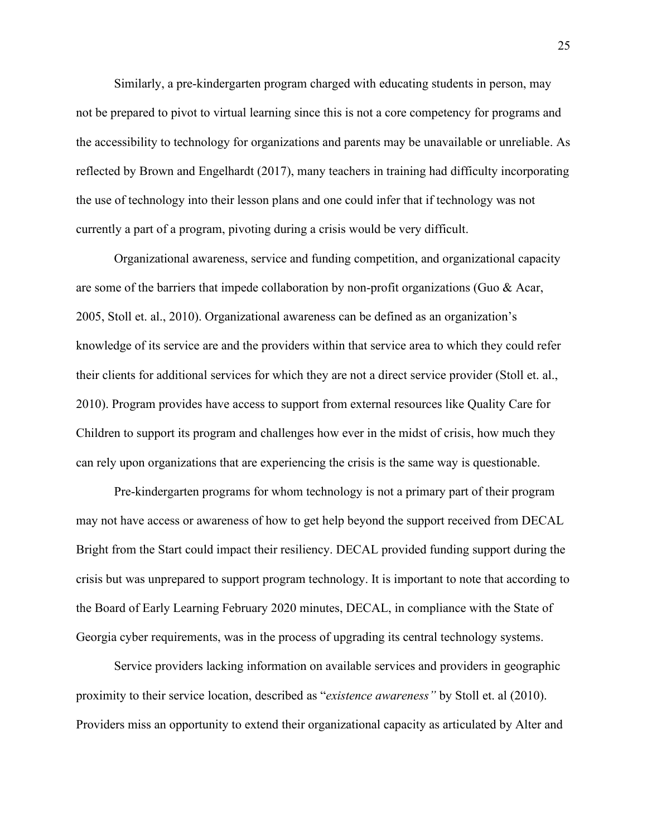Similarly, a pre-kindergarten program charged with educating students in person, may not be prepared to pivot to virtual learning since this is not a core competency for programs and the accessibility to technology for organizations and parents may be unavailable or unreliable. As reflected by Brown and Engelhardt (2017), many teachers in training had difficulty incorporating the use of technology into their lesson plans and one could infer that if technology was not currently a part of a program, pivoting during a crisis would be very difficult.

Organizational awareness, service and funding competition, and organizational capacity are some of the barriers that impede collaboration by non-profit organizations (Guo & Acar, 2005, Stoll et. al., 2010). Organizational awareness can be defined as an organization's knowledge of its service are and the providers within that service area to which they could refer their clients for additional services for which they are not a direct service provider (Stoll et. al., 2010). Program provides have access to support from external resources like Quality Care for Children to support its program and challenges how ever in the midst of crisis, how much they can rely upon organizations that are experiencing the crisis is the same way is questionable.

Pre-kindergarten programs for whom technology is not a primary part of their program may not have access or awareness of how to get help beyond the support received from DECAL Bright from the Start could impact their resiliency. DECAL provided funding support during the crisis but was unprepared to support program technology. It is important to note that according to the Board of Early Learning February 2020 minutes, DECAL, in compliance with the State of Georgia cyber requirements, was in the process of upgrading its central technology systems.

Service providers lacking information on available services and providers in geographic proximity to their service location, described as "*existence awareness"* by Stoll et. al (2010). Providers miss an opportunity to extend their organizational capacity as articulated by Alter and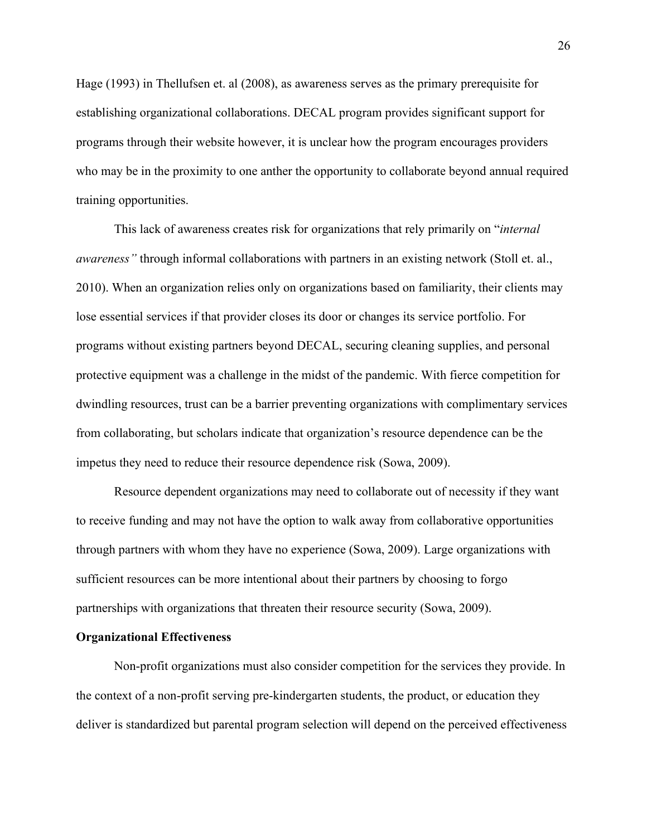Hage (1993) in Thellufsen et. al (2008), as awareness serves as the primary prerequisite for establishing organizational collaborations. DECAL program provides significant support for programs through their website however, it is unclear how the program encourages providers who may be in the proximity to one anther the opportunity to collaborate beyond annual required training opportunities.

This lack of awareness creates risk for organizations that rely primarily on "*internal awareness"* through informal collaborations with partners in an existing network (Stoll et. al., 2010). When an organization relies only on organizations based on familiarity, their clients may lose essential services if that provider closes its door or changes its service portfolio. For programs without existing partners beyond DECAL, securing cleaning supplies, and personal protective equipment was a challenge in the midst of the pandemic. With fierce competition for dwindling resources, trust can be a barrier preventing organizations with complimentary services from collaborating, but scholars indicate that organization's resource dependence can be the impetus they need to reduce their resource dependence risk (Sowa, 2009).

Resource dependent organizations may need to collaborate out of necessity if they want to receive funding and may not have the option to walk away from collaborative opportunities through partners with whom they have no experience (Sowa, 2009). Large organizations with sufficient resources can be more intentional about their partners by choosing to forgo partnerships with organizations that threaten their resource security (Sowa, 2009).

#### **Organizational Effectiveness**

Non-profit organizations must also consider competition for the services they provide. In the context of a non-profit serving pre-kindergarten students, the product, or education they deliver is standardized but parental program selection will depend on the perceived effectiveness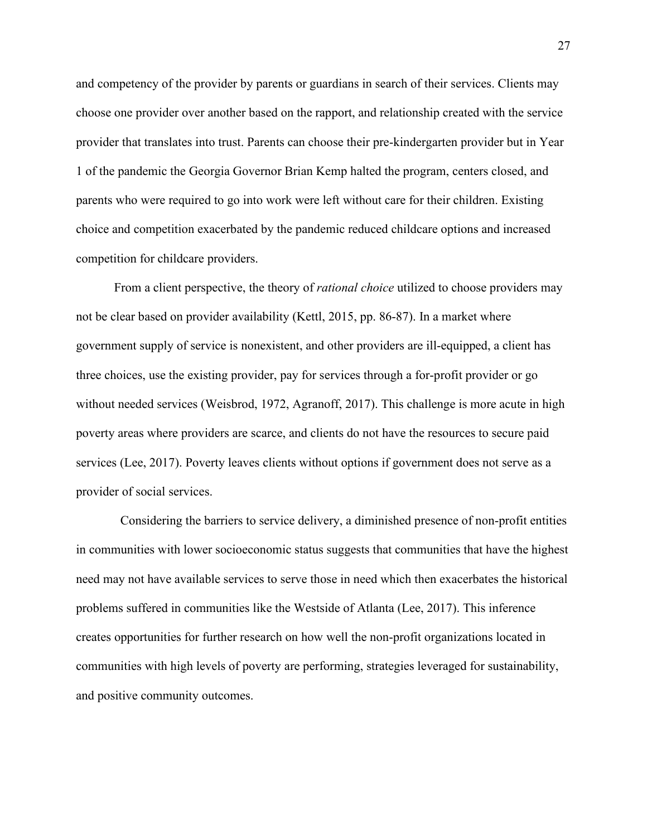and competency of the provider by parents or guardians in search of their services. Clients may choose one provider over another based on the rapport, and relationship created with the service provider that translates into trust. Parents can choose their pre-kindergarten provider but in Year 1 of the pandemic the Georgia Governor Brian Kemp halted the program, centers closed, and parents who were required to go into work were left without care for their children. Existing choice and competition exacerbated by the pandemic reduced childcare options and increased competition for childcare providers.

From a client perspective, the theory of *rational choice* utilized to choose providers may not be clear based on provider availability (Kettl, 2015, pp. 86-87). In a market where government supply of service is nonexistent, and other providers are ill-equipped, a client has three choices, use the existing provider, pay for services through a for-profit provider or go without needed services (Weisbrod, 1972, Agranoff, 2017). This challenge is more acute in high poverty areas where providers are scarce, and clients do not have the resources to secure paid services (Lee, 2017). Poverty leaves clients without options if government does not serve as a provider of social services.

Considering the barriers to service delivery, a diminished presence of non-profit entities in communities with lower socioeconomic status suggests that communities that have the highest need may not have available services to serve those in need which then exacerbates the historical problems suffered in communities like the Westside of Atlanta (Lee, 2017). This inference creates opportunities for further research on how well the non-profit organizations located in communities with high levels of poverty are performing, strategies leveraged for sustainability, and positive community outcomes.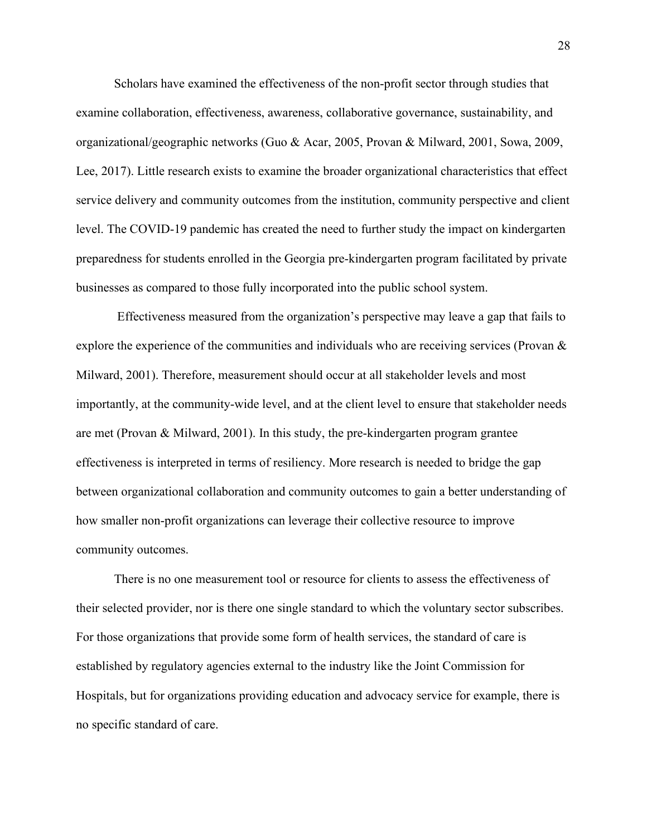Scholars have examined the effectiveness of the non-profit sector through studies that examine collaboration, effectiveness, awareness, collaborative governance, sustainability, and organizational/geographic networks (Guo & Acar, 2005, Provan & Milward, 2001, Sowa, 2009, Lee, 2017). Little research exists to examine the broader organizational characteristics that effect service delivery and community outcomes from the institution, community perspective and client level. The COVID-19 pandemic has created the need to further study the impact on kindergarten preparedness for students enrolled in the Georgia pre-kindergarten program facilitated by private businesses as compared to those fully incorporated into the public school system.

Effectiveness measured from the organization's perspective may leave a gap that fails to explore the experience of the communities and individuals who are receiving services (Provan & Milward, 2001). Therefore, measurement should occur at all stakeholder levels and most importantly, at the community-wide level, and at the client level to ensure that stakeholder needs are met (Provan & Milward, 2001). In this study, the pre-kindergarten program grantee effectiveness is interpreted in terms of resiliency. More research is needed to bridge the gap between organizational collaboration and community outcomes to gain a better understanding of how smaller non-profit organizations can leverage their collective resource to improve community outcomes.

There is no one measurement tool or resource for clients to assess the effectiveness of their selected provider, nor is there one single standard to which the voluntary sector subscribes. For those organizations that provide some form of health services, the standard of care is established by regulatory agencies external to the industry like the Joint Commission for Hospitals, but for organizations providing education and advocacy service for example, there is no specific standard of care.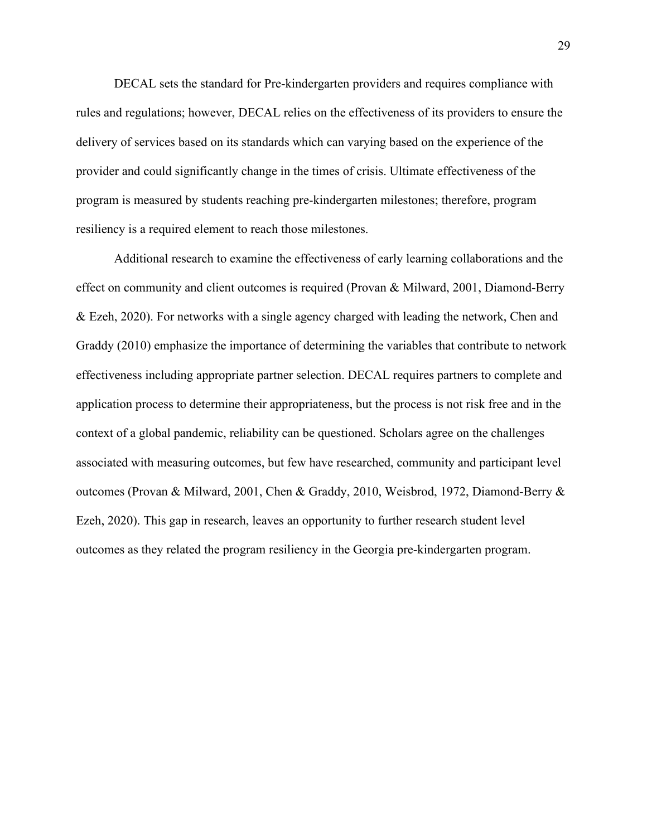DECAL sets the standard for Pre-kindergarten providers and requires compliance with rules and regulations; however, DECAL relies on the effectiveness of its providers to ensure the delivery of services based on its standards which can varying based on the experience of the provider and could significantly change in the times of crisis. Ultimate effectiveness of the program is measured by students reaching pre-kindergarten milestones; therefore, program resiliency is a required element to reach those milestones.

Additional research to examine the effectiveness of early learning collaborations and the effect on community and client outcomes is required (Provan & Milward, 2001, Diamond-Berry & Ezeh, 2020). For networks with a single agency charged with leading the network, Chen and Graddy (2010) emphasize the importance of determining the variables that contribute to network effectiveness including appropriate partner selection. DECAL requires partners to complete and application process to determine their appropriateness, but the process is not risk free and in the context of a global pandemic, reliability can be questioned. Scholars agree on the challenges associated with measuring outcomes, but few have researched, community and participant level outcomes (Provan & Milward, 2001, Chen & Graddy, 2010, Weisbrod, 1972, Diamond-Berry & Ezeh, 2020). This gap in research, leaves an opportunity to further research student level outcomes as they related the program resiliency in the Georgia pre-kindergarten program.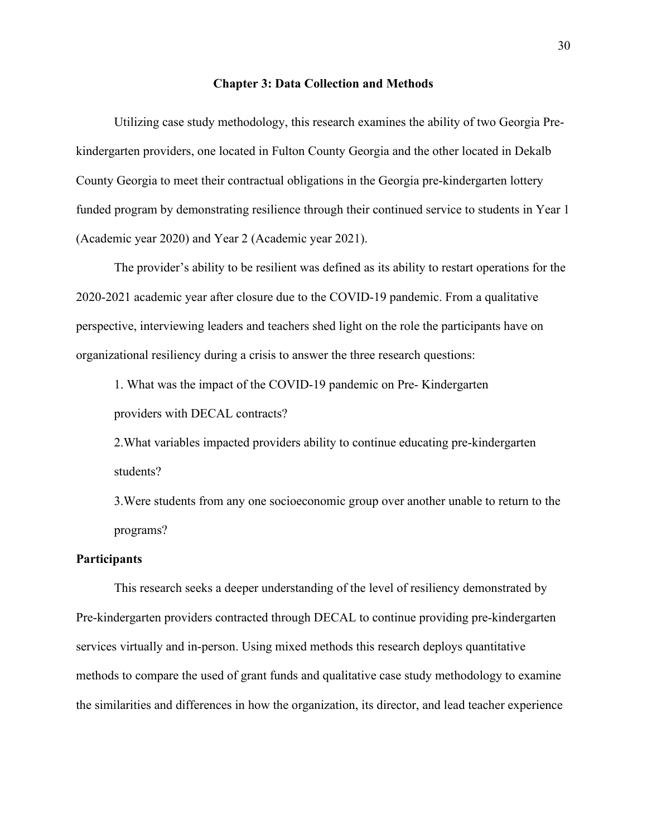#### **Chapter 3: Data Collection and Methods**

Utilizing case study methodology, this research examines the ability of two Georgia Prekindergarten providers, one located in Fulton County Georgia and the other located in Dekalb County Georgia to meet their contractual obligations in the Georgia pre-kindergarten lottery funded program by demonstrating resilience through their continued service to students in Year 1 (Academic year 2020) and Year 2 (Academic year 2021).

The provider's ability to be resilient was defined as its ability to restart operations for the 2020-2021 academic year after closure due to the COVID-19 pandemic. From a qualitative perspective, interviewing leaders and teachers shed light on the role the participants have on organizational resiliency during a crisis to answer the three research questions:

1. What was the impact of the COVID-19 pandemic on Pre- Kindergarten providers with DECAL contracts?

2.What variables impacted providers ability to continue educating pre-kindergarten students?

3.Were students from any one socioeconomic group over another unable to return to the programs?

### **Participants**

This research seeks a deeper understanding of the level of resiliency demonstrated by Pre-kindergarten providers contracted through DECAL to continue providing pre-kindergarten services virtually and in-person. Using mixed methods this research deploys quantitative methods to compare the used of grant funds and qualitative case study methodology to examine the similarities and differences in how the organization, its director, and lead teacher experience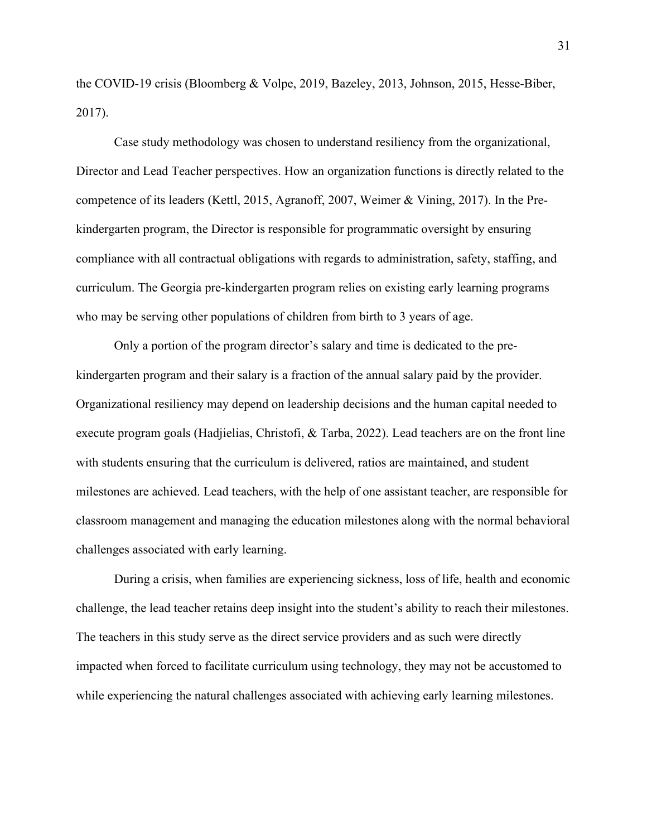the COVID-19 crisis (Bloomberg & Volpe, 2019, Bazeley, 2013, Johnson, 2015, Hesse-Biber, 2017).

Case study methodology was chosen to understand resiliency from the organizational, Director and Lead Teacher perspectives. How an organization functions is directly related to the competence of its leaders (Kettl, 2015, Agranoff, 2007, Weimer & Vining, 2017). In the Prekindergarten program, the Director is responsible for programmatic oversight by ensuring compliance with all contractual obligations with regards to administration, safety, staffing, and curriculum. The Georgia pre-kindergarten program relies on existing early learning programs who may be serving other populations of children from birth to 3 years of age.

Only a portion of the program director's salary and time is dedicated to the prekindergarten program and their salary is a fraction of the annual salary paid by the provider. Organizational resiliency may depend on leadership decisions and the human capital needed to execute program goals (Hadjielias, Christofi, & Tarba, 2022). Lead teachers are on the front line with students ensuring that the curriculum is delivered, ratios are maintained, and student milestones are achieved. Lead teachers, with the help of one assistant teacher, are responsible for classroom management and managing the education milestones along with the normal behavioral challenges associated with early learning.

During a crisis, when families are experiencing sickness, loss of life, health and economic challenge, the lead teacher retains deep insight into the student's ability to reach their milestones. The teachers in this study serve as the direct service providers and as such were directly impacted when forced to facilitate curriculum using technology, they may not be accustomed to while experiencing the natural challenges associated with achieving early learning milestones.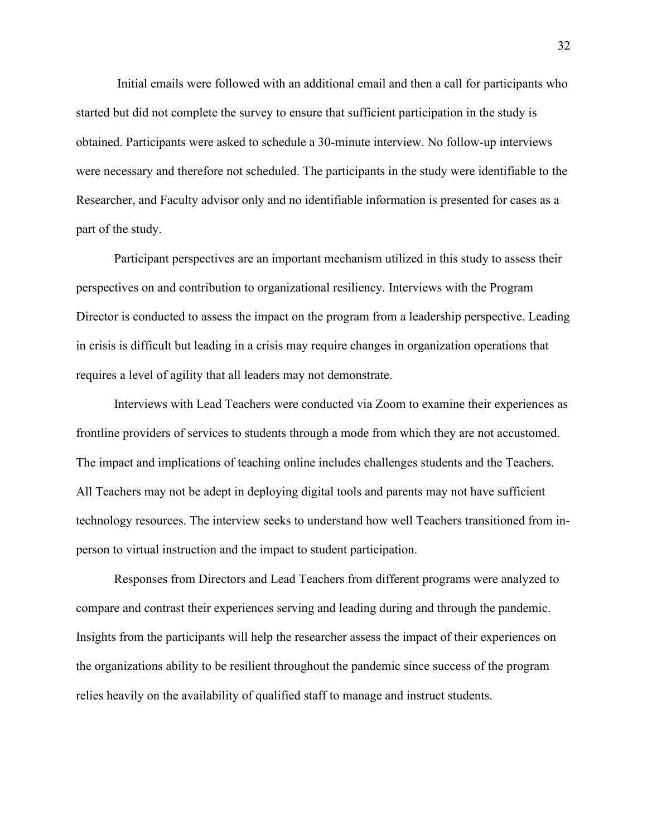Initial emails were followed with an additional email and then a call for participants who started but did not complete the survey to ensure that sufficient participation in the study is obtained. Participants were asked to schedule a 30-minute interview. No follow-up interviews were necessary and therefore not scheduled. The participants in the study were identifiable to the Researcher, and Faculty advisor only and no identifiable information is presented for cases as a part of the study.

Participant perspectives are an important mechanism utilized in this study to assess their perspectives on and contribution to organizational resiliency. Interviews with the Program Director is conducted to assess the impact on the program from a leadership perspective. Leading in crisis is difficult but leading in a crisis may require changes in organization operations that requires a level of agility that all leaders may not demonstrate.

Interviews with Lead Teachers were conducted via Zoom to examine their experiences as frontline providers of services to students through a mode from which they are not accustomed. The impact and implications of teaching online includes challenges students and the Teachers. All Teachers may not be adept in deploying digital tools and parents may not have sufficient technology resources. The interview seeks to understand how well Teachers transitioned from inperson to virtual instruction and the impact to student participation.

Responses from Directors and Lead Teachers from different programs were analyzed to compare and contrast their experiences serving and leading during and through the pandemic. Insights from the participants will help the researcher assess the impact of their experiences on the organizations ability to be resilient throughout the pandemic since success of the program relies heavily on the availability of qualified staff to manage and instruct students.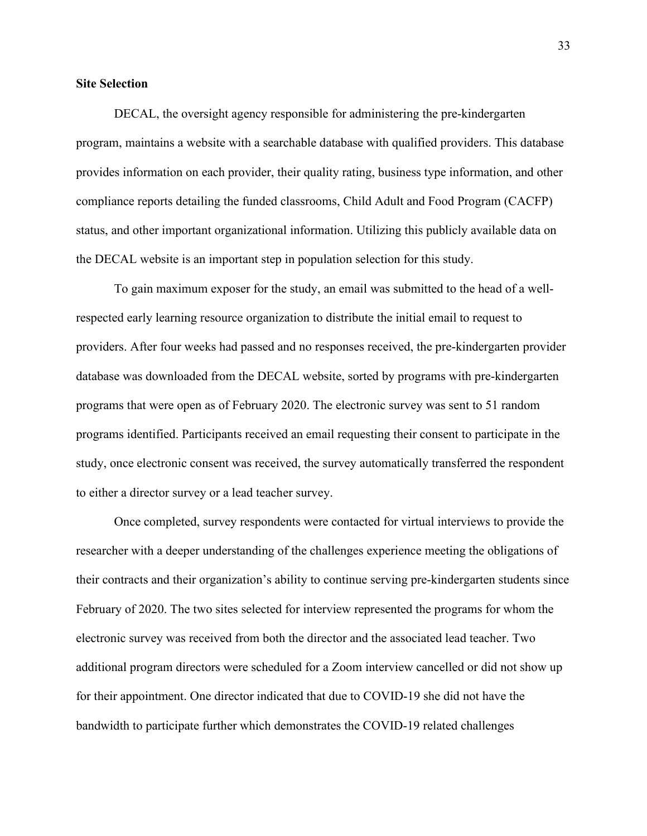#### **Site Selection**

DECAL, the oversight agency responsible for administering the pre-kindergarten program, maintains a website with a searchable database with qualified providers. This database provides information on each provider, their quality rating, business type information, and other compliance reports detailing the funded classrooms, Child Adult and Food Program (CACFP) status, and other important organizational information. Utilizing this publicly available data on the DECAL website is an important step in population selection for this study.

To gain maximum exposer for the study, an email was submitted to the head of a wellrespected early learning resource organization to distribute the initial email to request to providers. After four weeks had passed and no responses received, the pre-kindergarten provider database was downloaded from the DECAL website, sorted by programs with pre-kindergarten programs that were open as of February 2020. The electronic survey was sent to 51 random programs identified. Participants received an email requesting their consent to participate in the study, once electronic consent was received, the survey automatically transferred the respondent to either a director survey or a lead teacher survey.

Once completed, survey respondents were contacted for virtual interviews to provide the researcher with a deeper understanding of the challenges experience meeting the obligations of their contracts and their organization's ability to continue serving pre-kindergarten students since February of 2020. The two sites selected for interview represented the programs for whom the electronic survey was received from both the director and the associated lead teacher. Two additional program directors were scheduled for a Zoom interview cancelled or did not show up for their appointment. One director indicated that due to COVID-19 she did not have the bandwidth to participate further which demonstrates the COVID-19 related challenges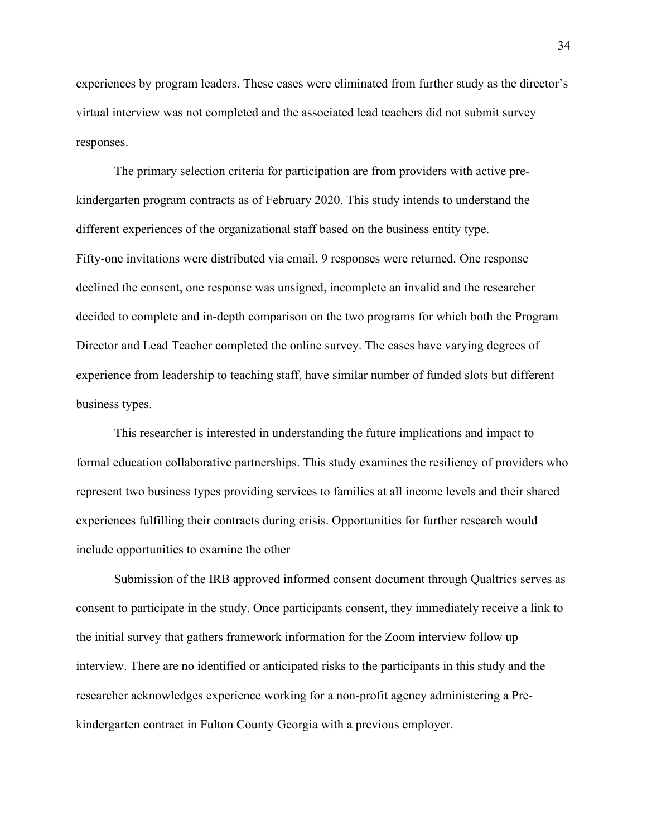experiences by program leaders. These cases were eliminated from further study as the director's virtual interview was not completed and the associated lead teachers did not submit survey responses.

The primary selection criteria for participation are from providers with active prekindergarten program contracts as of February 2020. This study intends to understand the different experiences of the organizational staff based on the business entity type. Fifty-one invitations were distributed via email, 9 responses were returned. One response declined the consent, one response was unsigned, incomplete an invalid and the researcher decided to complete and in-depth comparison on the two programs for which both the Program Director and Lead Teacher completed the online survey. The cases have varying degrees of experience from leadership to teaching staff, have similar number of funded slots but different business types.

This researcher is interested in understanding the future implications and impact to formal education collaborative partnerships. This study examines the resiliency of providers who represent two business types providing services to families at all income levels and their shared experiences fulfilling their contracts during crisis. Opportunities for further research would include opportunities to examine the other

Submission of the IRB approved informed consent document through Qualtrics serves as consent to participate in the study. Once participants consent, they immediately receive a link to the initial survey that gathers framework information for the Zoom interview follow up interview. There are no identified or anticipated risks to the participants in this study and the researcher acknowledges experience working for a non-profit agency administering a Prekindergarten contract in Fulton County Georgia with a previous employer.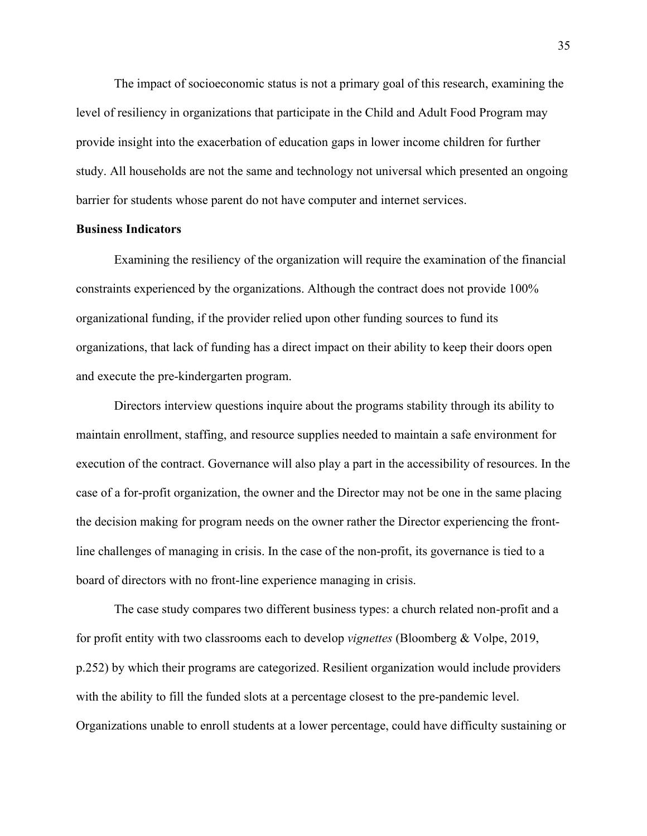The impact of socioeconomic status is not a primary goal of this research, examining the level of resiliency in organizations that participate in the Child and Adult Food Program may provide insight into the exacerbation of education gaps in lower income children for further study. All households are not the same and technology not universal which presented an ongoing barrier for students whose parent do not have computer and internet services.

#### **Business Indicators**

Examining the resiliency of the organization will require the examination of the financial constraints experienced by the organizations. Although the contract does not provide 100% organizational funding, if the provider relied upon other funding sources to fund its organizations, that lack of funding has a direct impact on their ability to keep their doors open and execute the pre-kindergarten program.

Directors interview questions inquire about the programs stability through its ability to maintain enrollment, staffing, and resource supplies needed to maintain a safe environment for execution of the contract. Governance will also play a part in the accessibility of resources. In the case of a for-profit organization, the owner and the Director may not be one in the same placing the decision making for program needs on the owner rather the Director experiencing the frontline challenges of managing in crisis. In the case of the non-profit, its governance is tied to a board of directors with no front-line experience managing in crisis.

The case study compares two different business types: a church related non-profit and a for profit entity with two classrooms each to develop *vignettes* (Bloomberg & Volpe, 2019, p.252) by which their programs are categorized. Resilient organization would include providers with the ability to fill the funded slots at a percentage closest to the pre-pandemic level. Organizations unable to enroll students at a lower percentage, could have difficulty sustaining or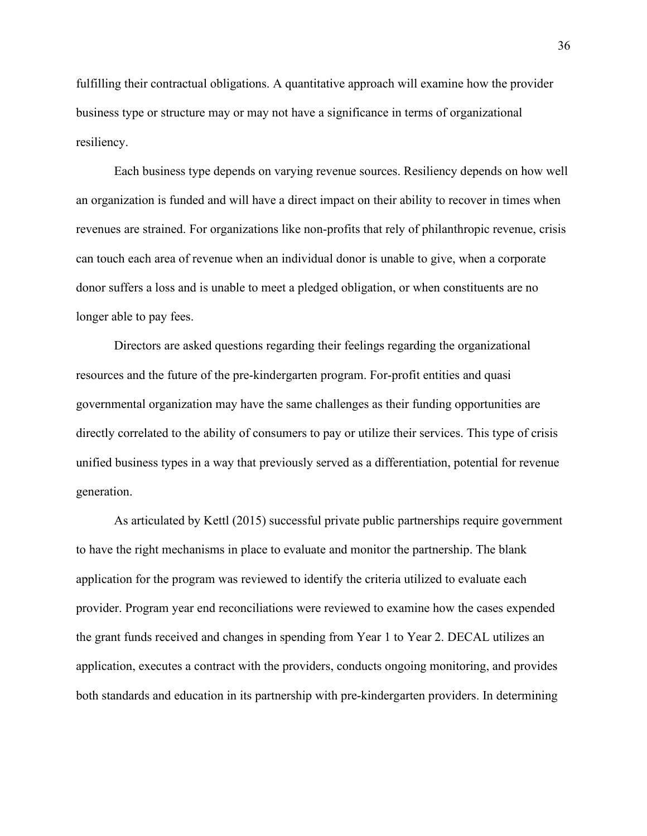fulfilling their contractual obligations. A quantitative approach will examine how the provider business type or structure may or may not have a significance in terms of organizational resiliency.

Each business type depends on varying revenue sources. Resiliency depends on how well an organization is funded and will have a direct impact on their ability to recover in times when revenues are strained. For organizations like non-profits that rely of philanthropic revenue, crisis can touch each area of revenue when an individual donor is unable to give, when a corporate donor suffers a loss and is unable to meet a pledged obligation, or when constituents are no longer able to pay fees.

Directors are asked questions regarding their feelings regarding the organizational resources and the future of the pre-kindergarten program. For-profit entities and quasi governmental organization may have the same challenges as their funding opportunities are directly correlated to the ability of consumers to pay or utilize their services. This type of crisis unified business types in a way that previously served as a differentiation, potential for revenue generation.

As articulated by Kettl (2015) successful private public partnerships require government to have the right mechanisms in place to evaluate and monitor the partnership. The blank application for the program was reviewed to identify the criteria utilized to evaluate each provider. Program year end reconciliations were reviewed to examine how the cases expended the grant funds received and changes in spending from Year 1 to Year 2. DECAL utilizes an application, executes a contract with the providers, conducts ongoing monitoring, and provides both standards and education in its partnership with pre-kindergarten providers. In determining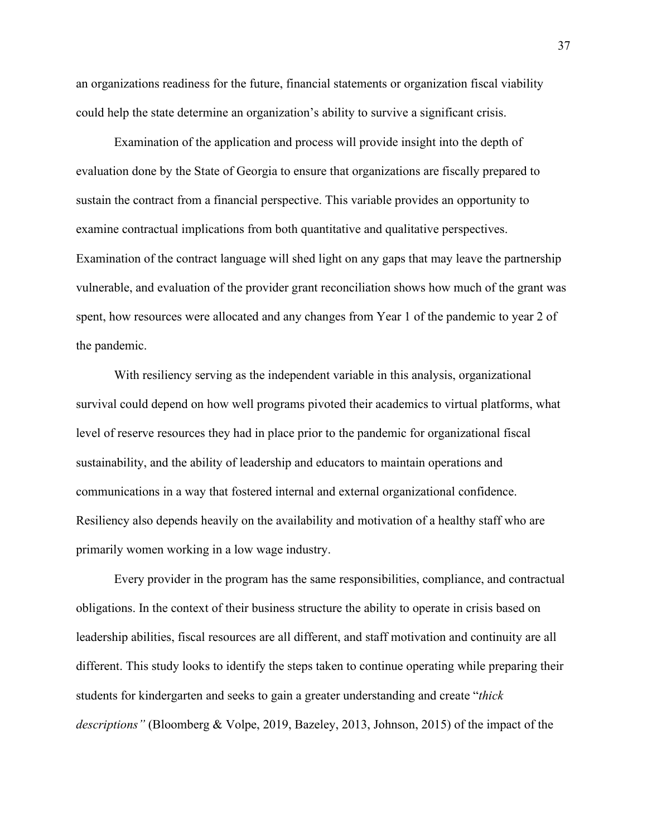an organizations readiness for the future, financial statements or organization fiscal viability could help the state determine an organization's ability to survive a significant crisis.

Examination of the application and process will provide insight into the depth of evaluation done by the State of Georgia to ensure that organizations are fiscally prepared to sustain the contract from a financial perspective. This variable provides an opportunity to examine contractual implications from both quantitative and qualitative perspectives. Examination of the contract language will shed light on any gaps that may leave the partnership vulnerable, and evaluation of the provider grant reconciliation shows how much of the grant was spent, how resources were allocated and any changes from Year 1 of the pandemic to year 2 of the pandemic.

With resiliency serving as the independent variable in this analysis, organizational survival could depend on how well programs pivoted their academics to virtual platforms, what level of reserve resources they had in place prior to the pandemic for organizational fiscal sustainability, and the ability of leadership and educators to maintain operations and communications in a way that fostered internal and external organizational confidence. Resiliency also depends heavily on the availability and motivation of a healthy staff who are primarily women working in a low wage industry.

Every provider in the program has the same responsibilities, compliance, and contractual obligations. In the context of their business structure the ability to operate in crisis based on leadership abilities, fiscal resources are all different, and staff motivation and continuity are all different. This study looks to identify the steps taken to continue operating while preparing their students for kindergarten and seeks to gain a greater understanding and create "*thick descriptions"* (Bloomberg & Volpe, 2019, Bazeley, 2013, Johnson, 2015) of the impact of the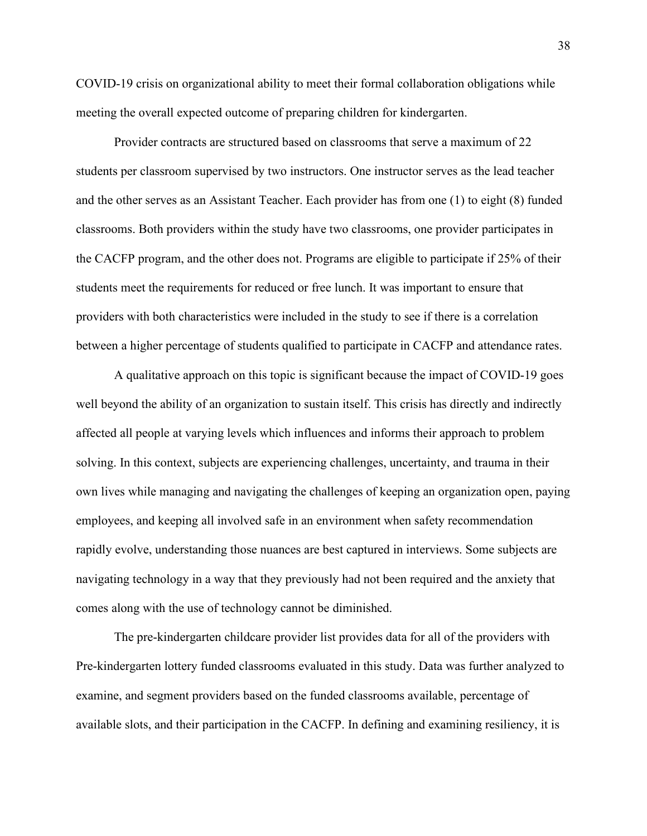COVID-19 crisis on organizational ability to meet their formal collaboration obligations while meeting the overall expected outcome of preparing children for kindergarten.

Provider contracts are structured based on classrooms that serve a maximum of 22 students per classroom supervised by two instructors. One instructor serves as the lead teacher and the other serves as an Assistant Teacher. Each provider has from one (1) to eight (8) funded classrooms. Both providers within the study have two classrooms, one provider participates in the CACFP program, and the other does not. Programs are eligible to participate if 25% of their students meet the requirements for reduced or free lunch. It was important to ensure that providers with both characteristics were included in the study to see if there is a correlation between a higher percentage of students qualified to participate in CACFP and attendance rates.

A qualitative approach on this topic is significant because the impact of COVID-19 goes well beyond the ability of an organization to sustain itself. This crisis has directly and indirectly affected all people at varying levels which influences and informs their approach to problem solving. In this context, subjects are experiencing challenges, uncertainty, and trauma in their own lives while managing and navigating the challenges of keeping an organization open, paying employees, and keeping all involved safe in an environment when safety recommendation rapidly evolve, understanding those nuances are best captured in interviews. Some subjects are navigating technology in a way that they previously had not been required and the anxiety that comes along with the use of technology cannot be diminished.

The pre-kindergarten childcare provider list provides data for all of the providers with Pre-kindergarten lottery funded classrooms evaluated in this study. Data was further analyzed to examine, and segment providers based on the funded classrooms available, percentage of available slots, and their participation in the CACFP. In defining and examining resiliency, it is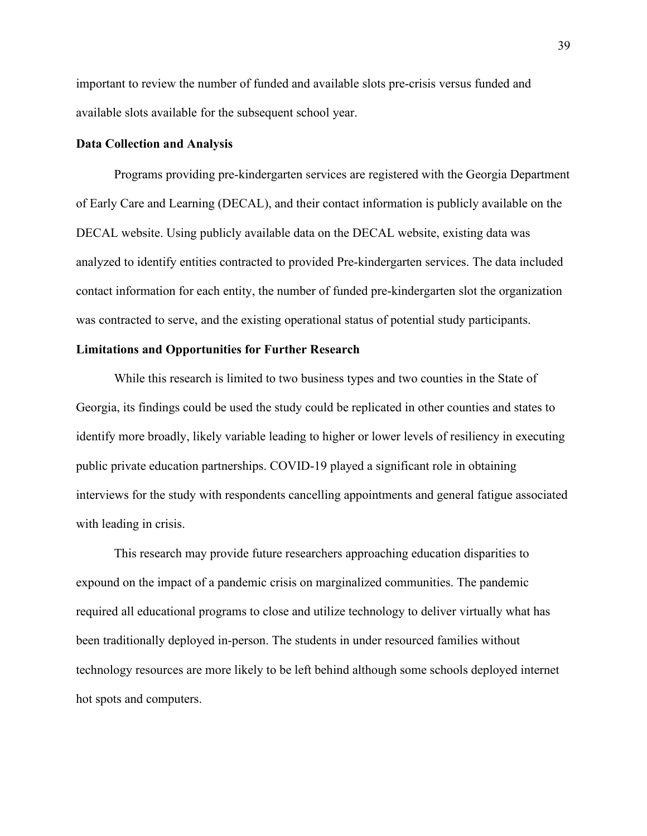important to review the number of funded and available slots pre-crisis versus funded and available slots available for the subsequent school year.

#### **Data Collection and Analysis**

Programs providing pre-kindergarten services are registered with the Georgia Department of Early Care and Learning (DECAL), and their contact information is publicly available on the DECAL website. Using publicly available data on the DECAL website, existing data was analyzed to identify entities contracted to provided Pre-kindergarten services. The data included contact information for each entity, the number of funded pre-kindergarten slot the organization was contracted to serve, and the existing operational status of potential study participants.

### **Limitations and Opportunities for Further Research**

While this research is limited to two business types and two counties in the State of Georgia, its findings could be used the study could be replicated in other counties and states to identify more broadly, likely variable leading to higher or lower levels of resiliency in executing public private education partnerships. COVID-19 played a significant role in obtaining interviews for the study with respondents cancelling appointments and general fatigue associated with leading in crisis.

This research may provide future researchers approaching education disparities to expound on the impact of a pandemic crisis on marginalized communities. The pandemic required all educational programs to close and utilize technology to deliver virtually what has been traditionally deployed in-person. The students in under resourced families without technology resources are more likely to be left behind although some schools deployed internet hot spots and computers.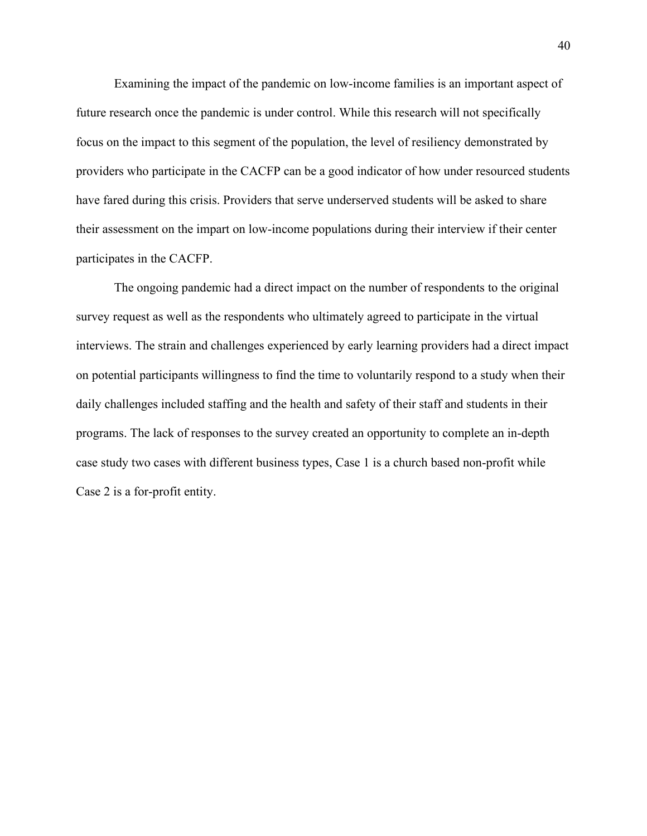Examining the impact of the pandemic on low-income families is an important aspect of future research once the pandemic is under control. While this research will not specifically focus on the impact to this segment of the population, the level of resiliency demonstrated by providers who participate in the CACFP can be a good indicator of how under resourced students have fared during this crisis. Providers that serve underserved students will be asked to share their assessment on the impart on low-income populations during their interview if their center participates in the CACFP.

The ongoing pandemic had a direct impact on the number of respondents to the original survey request as well as the respondents who ultimately agreed to participate in the virtual interviews. The strain and challenges experienced by early learning providers had a direct impact on potential participants willingness to find the time to voluntarily respond to a study when their daily challenges included staffing and the health and safety of their staff and students in their programs. The lack of responses to the survey created an opportunity to complete an in-depth case study two cases with different business types, Case 1 is a church based non-profit while Case 2 is a for-profit entity.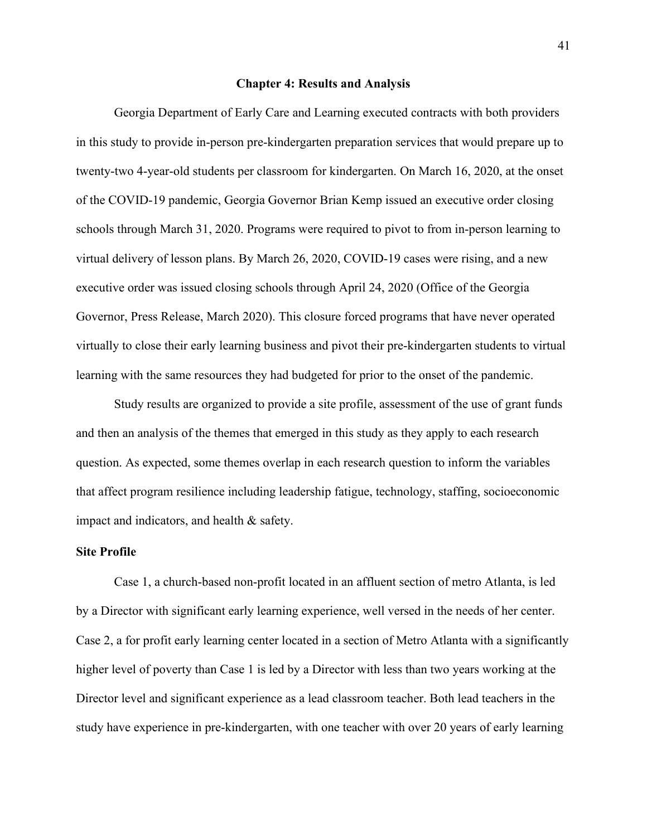#### **Chapter 4: Results and Analysis**

Georgia Department of Early Care and Learning executed contracts with both providers in this study to provide in-person pre-kindergarten preparation services that would prepare up to twenty-two 4-year-old students per classroom for kindergarten. On March 16, 2020, at the onset of the COVID-19 pandemic, Georgia Governor Brian Kemp issued an executive order closing schools through March 31, 2020. Programs were required to pivot to from in-person learning to virtual delivery of lesson plans. By March 26, 2020, COVID-19 cases were rising, and a new executive order was issued closing schools through April 24, 2020 (Office of the Georgia Governor, Press Release, March 2020). This closure forced programs that have never operated virtually to close their early learning business and pivot their pre-kindergarten students to virtual learning with the same resources they had budgeted for prior to the onset of the pandemic.

Study results are organized to provide a site profile, assessment of the use of grant funds and then an analysis of the themes that emerged in this study as they apply to each research question. As expected, some themes overlap in each research question to inform the variables that affect program resilience including leadership fatigue, technology, staffing, socioeconomic impact and indicators, and health & safety.

## **Site Profile**

Case 1, a church-based non-profit located in an affluent section of metro Atlanta, is led by a Director with significant early learning experience, well versed in the needs of her center. Case 2, a for profit early learning center located in a section of Metro Atlanta with a significantly higher level of poverty than Case 1 is led by a Director with less than two years working at the Director level and significant experience as a lead classroom teacher. Both lead teachers in the study have experience in pre-kindergarten, with one teacher with over 20 years of early learning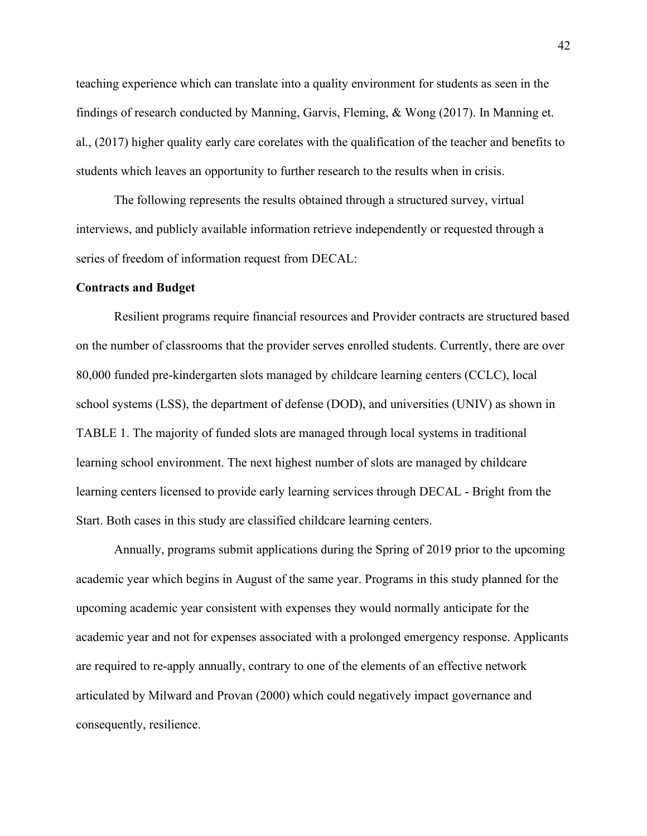teaching experience which can translate into a quality environment for students as seen in the findings of research conducted by Manning, Garvis, Fleming, & Wong (2017). In Manning et. al., (2017) higher quality early care corelates with the qualification of the teacher and benefits to students which leaves an opportunity to further research to the results when in crisis.

The following represents the results obtained through a structured survey, virtual interviews, and publicly available information retrieve independently or requested through a series of freedom of information request from DECAL:

#### **Contracts and Budget**

Resilient programs require financial resources and Provider contracts are structured based on the number of classrooms that the provider serves enrolled students. Currently, there are over 80,000 funded pre-kindergarten slots managed by childcare learning centers (CCLC), local school systems (LSS), the department of defense (DOD), and universities (UNIV) as shown in TABLE 1. The majority of funded slots are managed through local systems in traditional learning school environment. The next highest number of slots are managed by childcare learning centers licensed to provide early learning services through DECAL - Bright from the Start. Both cases in this study are classified childcare learning centers.

Annually, programs submit applications during the Spring of 2019 prior to the upcoming academic year which begins in August of the same year. Programs in this study planned for the upcoming academic year consistent with expenses they would normally anticipate for the academic year and not for expenses associated with a prolonged emergency response. Applicants are required to re-apply annually, contrary to one of the elements of an effective network articulated by Milward and Provan (2000) which could negatively impact governance and consequently, resilience.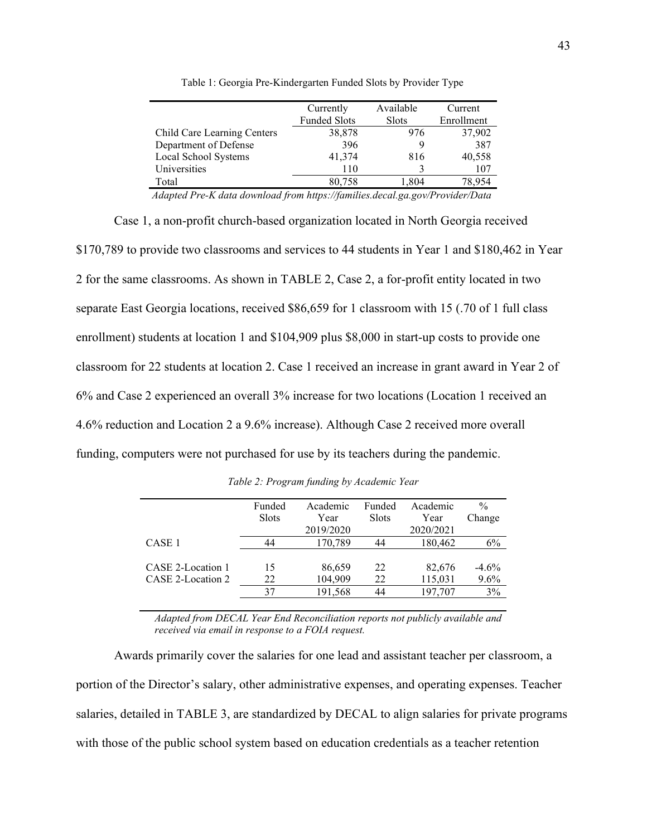|                             | Currently           | Available    | Current    |
|-----------------------------|---------------------|--------------|------------|
|                             | <b>Funded Slots</b> | <b>Slots</b> | Enrollment |
| Child Care Learning Centers | 38,878              | 976          | 37,902     |
| Department of Defense       | 396                 |              | 387        |
| Local School Systems        | 41,374              | 816          | 40,558     |
| Universities                | 110                 |              | 107        |
| Total                       | 80,758              | 1.804        | 78.954     |
|                             |                     |              |            |

Table 1: Georgia Pre-Kindergarten Funded Slots by Provider Type

*Adapted Pre-K data download from https://families.decal.ga.gov/Provider/Data* 

Case 1, a non-profit church-based organization located in North Georgia received \$170,789 to provide two classrooms and services to 44 students in Year 1 and \$180,462 in Year 2 for the same classrooms. As shown in [TABLE 2,](#page-51-0) Case 2, a for-profit entity located in two separate East Georgia locations, received \$86,659 for 1 classroom with 15 (.70 of 1 full class enrollment) students at location 1 and \$104,909 plus \$8,000 in start-up costs to provide one classroom for 22 students at location 2. Case 1 received an increase in grant award in Year 2 of 6% and Case 2 experienced an overall 3% increase for two locations (Location 1 received an 4.6% reduction and Location 2 a 9.6% increase). Although Case 2 received more overall funding, computers were not purchased for use by its teachers during the pandemic.

<span id="page-51-0"></span>

|                   | Funded<br>Slots | Academic<br>Year<br>2019/2020 | Funded<br><b>Slots</b> | Academic<br>Year<br>2020/2021 | $\frac{0}{0}$<br>Change |
|-------------------|-----------------|-------------------------------|------------------------|-------------------------------|-------------------------|
| CASE <sub>1</sub> | 44              | 170,789                       | 44                     | 180,462                       | 6%                      |
|                   |                 |                               |                        |                               |                         |
| CASE 2-Location 1 | 15              | 86,659                        | 22                     | 82,676                        | $-4.6\%$                |
| CASE 2-Location 2 | 22              | 104,909                       | 22                     | 115,031                       | $9.6\%$                 |
|                   | 37              | 191,568                       | 44                     | 197,707                       | 3%                      |
|                   |                 |                               |                        |                               |                         |

*Table 2: Program funding by Academic Year*

*Adapted from DECAL Year End Reconciliation reports not publicly available and received via email in response to a FOIA request.*

Awards primarily cover the salaries for one lead and assistant teacher per classroom, a portion of the Director's salary, other administrative expenses, and operating expenses. Teacher salaries, detailed in [TABLE 3,](#page-52-0) are standardized by DECAL to align salaries for private programs with those of the public school system based on education credentials as a teacher retention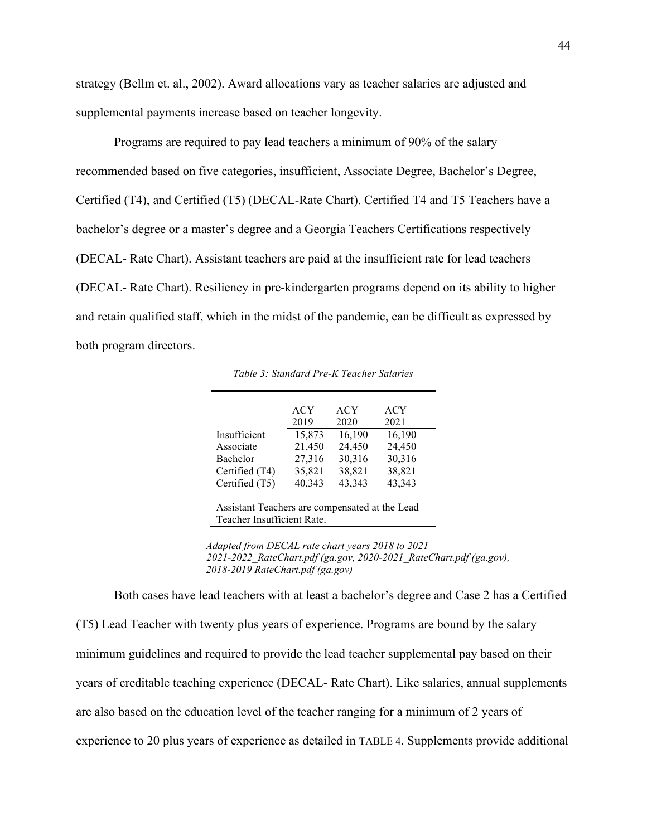strategy (Bellm et. al., 2002). Award allocations vary as teacher salaries are adjusted and supplemental payments increase based on teacher longevity.

Programs are required to pay lead teachers a minimum of 90% of the salary recommended based on five categories, insufficient, Associate Degree, Bachelor's Degree, Certified (T4), and Certified (T5) (DECAL-Rate Chart). Certified T4 and T5 Teachers have a bachelor's degree or a master's degree and a Georgia Teachers Certifications respectively (DECAL- Rate Chart). Assistant teachers are paid at the insufficient rate for lead teachers (DECAL- Rate Chart). Resiliency in pre-kindergarten programs depend on its ability to higher and retain qualified staff, which in the midst of the pandemic, can be difficult as expressed by both program directors.

<span id="page-52-0"></span>

|                | <b>ACY</b> | <b>ACY</b> | <b>ACY</b> |
|----------------|------------|------------|------------|
|                | 2019       | 2020       | 2021       |
| Insufficient   | 15,873     | 16,190     | 16,190     |
| Associate      | 21,450     | 24,450     | 24,450     |
| Bachelor       | 27,316     | 30,316     | 30,316     |
| Certified (T4) | 35,821     | 38,821     | 38,821     |
| Certified (T5) | 40,343     | 43,343     | 43,343     |

*Table 3: Standard Pre-K Teacher Salaries*

Assistant Teachers are compensated at the Lead Teacher Insufficient Rate.

 *Adapted from DECAL rate chart years 2018 to 2021 2021-2022\_RateChart.pdf (ga.gov, 2020-2021\_RateChart.pdf (ga.gov), 2018-2019 RateChart.pdf (ga.gov)*

Both cases have lead teachers with at least a bachelor's degree and Case 2 has a Certified (T5) Lead Teacher with twenty plus years of experience. Programs are bound by the salary minimum guidelines and required to provide the lead teacher supplemental pay based on their years of creditable teaching experience (DECAL- Rate Chart). Like salaries, annual supplements are also based on the education level of the teacher ranging for a minimum of 2 years of experience to 20 plus years of experience as detailed in [TABLE 4.](#page-53-0) Supplements provide additional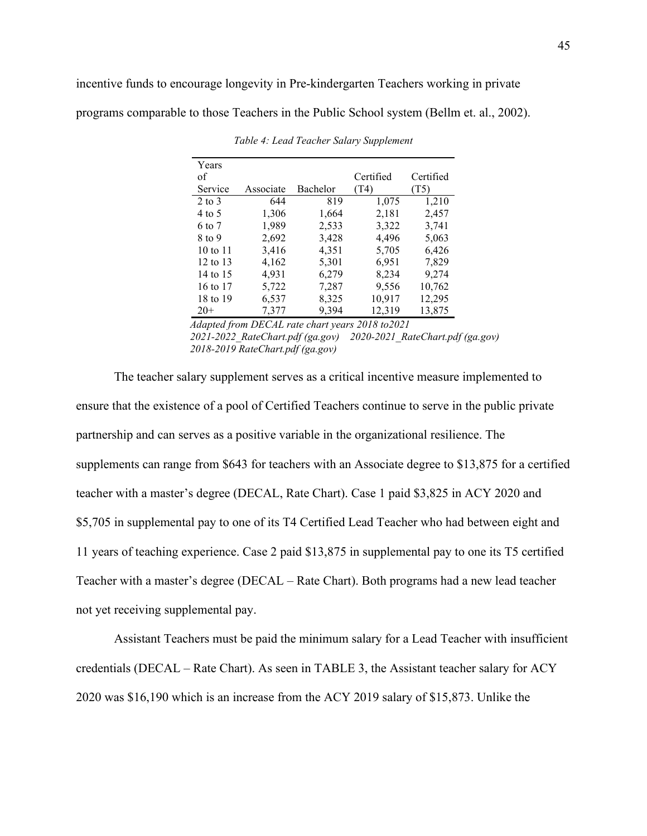incentive funds to encourage longevity in Pre-kindergarten Teachers working in private

<span id="page-53-0"></span>programs comparable to those Teachers in the Public School system (Bellm et. al., 2002).

| Years               |           |          |           |           |
|---------------------|-----------|----------|-----------|-----------|
| of                  |           |          | Certified | Certified |
| Service             | Associate | Bachelor | (T4)      | (T5)      |
| $2$ to $3$          | 644       | 819      | 1,075     | 1,210     |
| 4 to 5              | 1,306     | 1,664    | 2,181     | 2,457     |
| 6 to 7              | 1,989     | 2,533    | 3,322     | 3,741     |
| 8 to 9              | 2,692     | 3,428    | 4,496     | 5,063     |
| $10 \text{ to } 11$ | 3,416     | 4,351    | 5,705     | 6,426     |
| 12 to 13            | 4,162     | 5,301    | 6,951     | 7,829     |
| 14 to 15            | 4,931     | 6,279    | 8,234     | 9,274     |
| 16 to 17            | 5,722     | 7,287    | 9,556     | 10,762    |
| 18 to 19            | 6,537     | 8,325    | 10,917    | 12,295    |
| $20+$               | 7,377     | 9,394    | 12,319    | 13,875    |

*Table 4: Lead Teacher Salary Supplement*

*Adapted from DECAL rate chart years 2018 to2021 2021-2022\_RateChart.pdf (ga.gov) 2020-2021\_RateChart.pdf (ga.gov) 2018-2019 RateChart.pdf (ga.gov)*

The teacher salary supplement serves as a critical incentive measure implemented to ensure that the existence of a pool of Certified Teachers continue to serve in the public private partnership and can serves as a positive variable in the organizational resilience. The supplements can range from \$643 for teachers with an Associate degree to \$13,875 for a certified teacher with a master's degree (DECAL, Rate Chart). Case 1 paid \$3,825 in ACY 2020 and \$5,705 in supplemental pay to one of its T4 Certified Lead Teacher who had between eight and 11 years of teaching experience. Case 2 paid \$13,875 in supplemental pay to one its T5 certified Teacher with a master's degree (DECAL – Rate Chart). Both programs had a new lead teacher not yet receiving supplemental pay.

Assistant Teachers must be paid the minimum salary for a Lead Teacher with insufficient credentials (DECAL – Rate Chart). As seen in [TABLE 3,](#page-52-0) the Assistant teacher salary for ACY 2020 was \$16,190 which is an increase from the ACY 2019 salary of \$15,873. Unlike the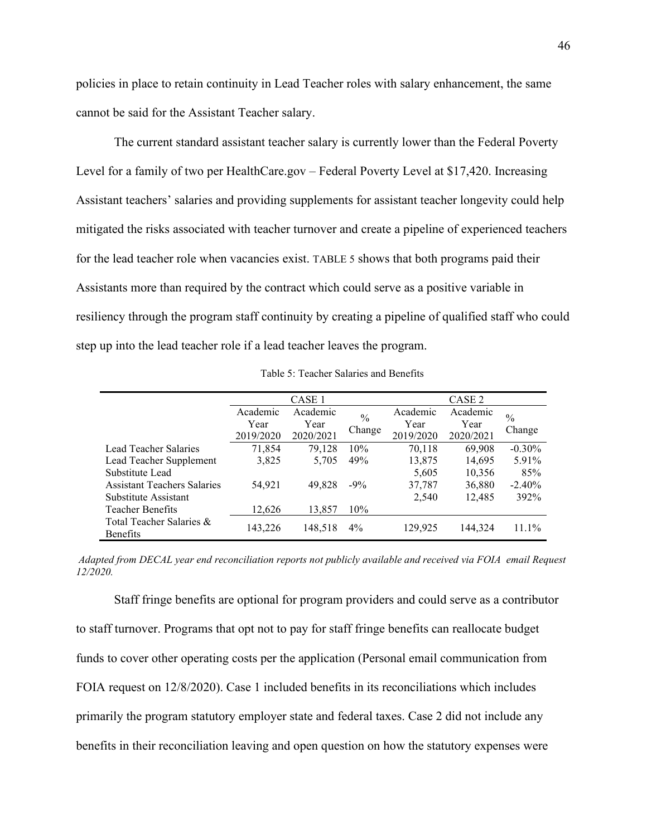policies in place to retain continuity in Lead Teacher roles with salary enhancement, the same cannot be said for the Assistant Teacher salary.

The current standard assistant teacher salary is currently lower than the Federal Poverty Level for a family of two per HealthCare.gov – Federal Poverty Level at \$17,420. Increasing Assistant teachers' salaries and providing supplements for assistant teacher longevity could help mitigated the risks associated with teacher turnover and create a pipeline of experienced teachers for the lead teacher role when vacancies exist. [TABLE 5](#page-54-0) shows that both programs paid their Assistants more than required by the contract which could serve as a positive variable in resiliency through the program staff continuity by creating a pipeline of qualified staff who could step up into the lead teacher role if a lead teacher leaves the program.

<span id="page-54-0"></span>

|                                             | CASE 1                                |           |          | CASE 2    |               |           |
|---------------------------------------------|---------------------------------------|-----------|----------|-----------|---------------|-----------|
|                                             | Academic<br>Academic<br>$\frac{0}{0}$ |           | Academic | Academic  | $\frac{0}{0}$ |           |
|                                             | Year                                  | Year      |          | Year      | Year          | Change    |
|                                             | 2019/2020                             | 2020/2021 | Change   | 2019/2020 | 2020/2021     |           |
| Lead Teacher Salaries                       | 71,854                                | 79,128    | 10%      | 70,118    | 69,908        | $-0.30\%$ |
| Lead Teacher Supplement                     | 3,825                                 | 5,705     | 49%      | 13,875    | 14,695        | 5.91%     |
| Substitute Lead                             |                                       |           |          | 5,605     | 10,356        | 85%       |
| <b>Assistant Teachers Salaries</b>          | 54,921                                | 49,828    | $-9\%$   | 37,787    | 36,880        | $-2.40%$  |
| Substitute Assistant                        |                                       |           |          | 2,540     | 12.485        | 392%      |
| <b>Teacher Benefits</b>                     | 12,626                                | 13,857    | $10\%$   |           |               |           |
| Total Teacher Salaries &<br><b>Benefits</b> | 143,226                               | 148,518   | $4\%$    | 129,925   | 144,324       | $11.1\%$  |

Table 5: Teacher Salaries and Benefits

*Adapted from DECAL year end reconciliation reports not publicly available and received via FOIA email Request 12/2020.*

Staff fringe benefits are optional for program providers and could serve as a contributor to staff turnover. Programs that opt not to pay for staff fringe benefits can reallocate budget funds to cover other operating costs per the application (Personal email communication from FOIA request on 12/8/2020). Case 1 included benefits in its reconciliations which includes primarily the program statutory employer state and federal taxes. Case 2 did not include any benefits in their reconciliation leaving and open question on how the statutory expenses were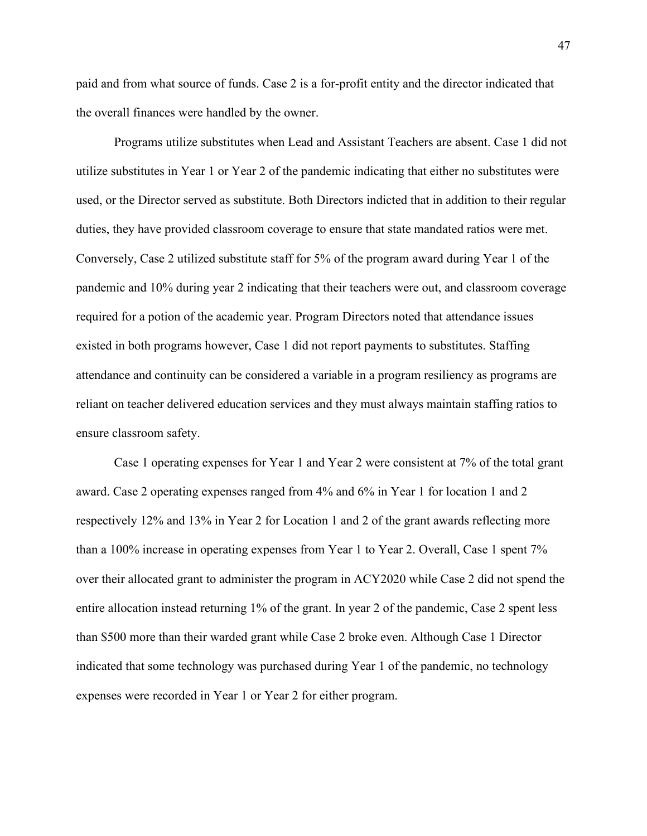paid and from what source of funds. Case 2 is a for-profit entity and the director indicated that the overall finances were handled by the owner.

Programs utilize substitutes when Lead and Assistant Teachers are absent. Case 1 did not utilize substitutes in Year 1 or Year 2 of the pandemic indicating that either no substitutes were used, or the Director served as substitute. Both Directors indicted that in addition to their regular duties, they have provided classroom coverage to ensure that state mandated ratios were met. Conversely, Case 2 utilized substitute staff for 5% of the program award during Year 1 of the pandemic and 10% during year 2 indicating that their teachers were out, and classroom coverage required for a potion of the academic year. Program Directors noted that attendance issues existed in both programs however, Case 1 did not report payments to substitutes. Staffing attendance and continuity can be considered a variable in a program resiliency as programs are reliant on teacher delivered education services and they must always maintain staffing ratios to ensure classroom safety.

Case 1 operating expenses for Year 1 and Year 2 were consistent at 7% of the total grant award. Case 2 operating expenses ranged from 4% and 6% in Year 1 for location 1 and 2 respectively 12% and 13% in Year 2 for Location 1 and 2 of the grant awards reflecting more than a 100% increase in operating expenses from Year 1 to Year 2. Overall, Case 1 spent 7% over their allocated grant to administer the program in ACY2020 while Case 2 did not spend the entire allocation instead returning 1% of the grant. In year 2 of the pandemic, Case 2 spent less than \$500 more than their warded grant while Case 2 broke even. Although Case 1 Director indicated that some technology was purchased during Year 1 of the pandemic, no technology expenses were recorded in Year 1 or Year 2 for either program.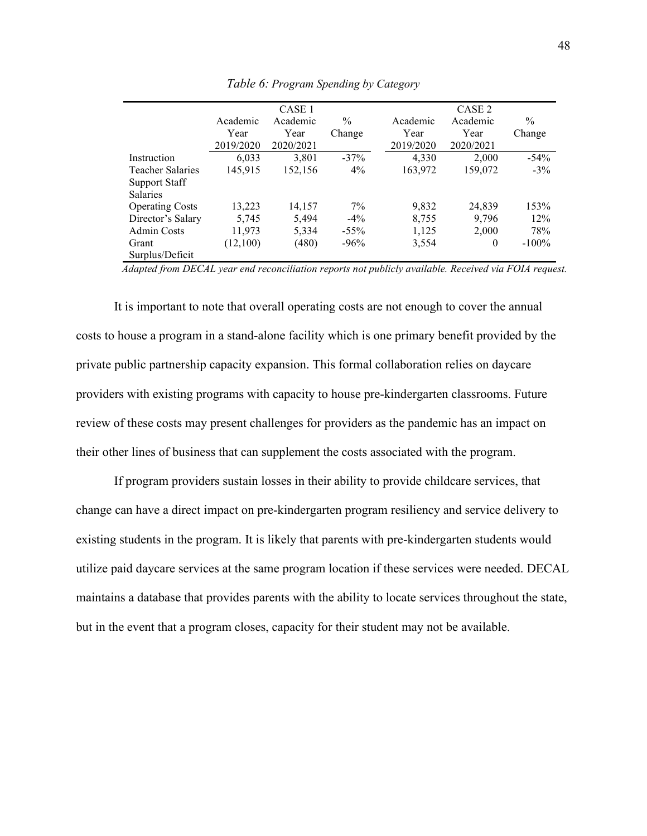|                        | CASE <sub>1</sub> |           |               |           | CASE <sub>2</sub> |               |  |
|------------------------|-------------------|-----------|---------------|-----------|-------------------|---------------|--|
|                        | Academic          | Academic  | $\frac{0}{0}$ | Academic  | Academic          | $\frac{0}{0}$ |  |
|                        | Year              | Year      | Change        | Year      | Year              | Change        |  |
|                        | 2019/2020         | 2020/2021 |               | 2019/2020 | 2020/2021         |               |  |
| Instruction            | 6,033             | 3,801     | $-37\%$       | 4,330     | 2,000             | $-54%$        |  |
| Teacher Salaries       | 145,915           | 152,156   | $4\%$         | 163,972   | 159,072           | $-3\%$        |  |
| <b>Support Staff</b>   |                   |           |               |           |                   |               |  |
| <b>Salaries</b>        |                   |           |               |           |                   |               |  |
| <b>Operating Costs</b> | 13,223            | 14,157    | $7\%$         | 9,832     | 24,839            | 153%          |  |
| Director's Salary      | 5,745             | 5,494     | $-4\%$        | 8,755     | 9,796             | 12%           |  |
| Admin Costs            | 11,973            | 5,334     | $-55\%$       | 1,125     | 2,000             | 78%           |  |
| Grant                  | (12,100)          | (480)     | $-96%$        | 3,554     | 0                 | $-100\%$      |  |
| Surplus/Deficit        |                   |           |               |           |                   |               |  |

*Table 6: Program Spending by Category*

 *Adapted from DECAL year end reconciliation reports not publicly available. Received via FOIA request.*

It is important to note that overall operating costs are not enough to cover the annual costs to house a program in a stand-alone facility which is one primary benefit provided by the private public partnership capacity expansion. This formal collaboration relies on daycare providers with existing programs with capacity to house pre-kindergarten classrooms. Future review of these costs may present challenges for providers as the pandemic has an impact on their other lines of business that can supplement the costs associated with the program.

If program providers sustain losses in their ability to provide childcare services, that change can have a direct impact on pre-kindergarten program resiliency and service delivery to existing students in the program. It is likely that parents with pre-kindergarten students would utilize paid daycare services at the same program location if these services were needed. DECAL maintains a database that provides parents with the ability to locate services throughout the state, but in the event that a program closes, capacity for their student may not be available.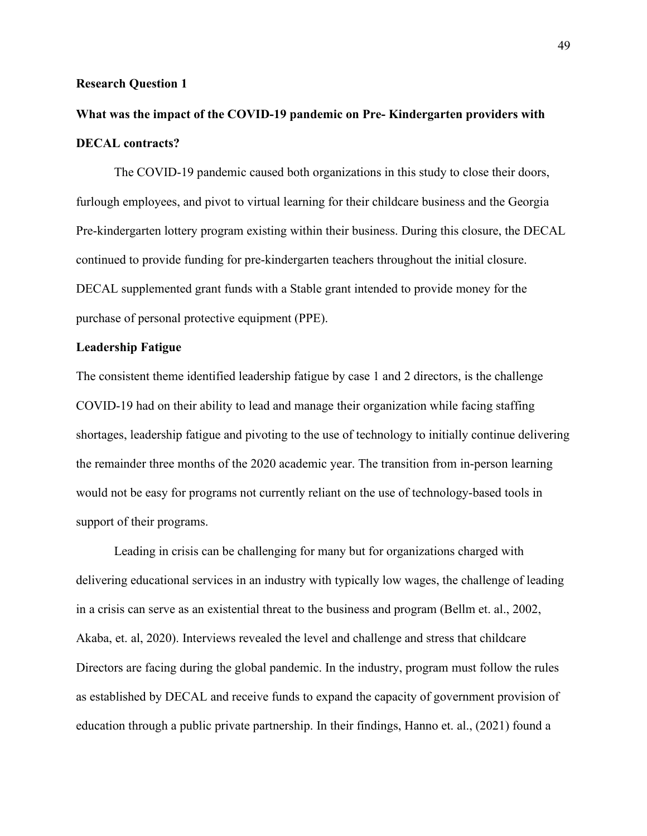#### **Research Question 1**

## **What was the impact of the COVID-19 pandemic on Pre- Kindergarten providers with DECAL contracts?**

The COVID-19 pandemic caused both organizations in this study to close their doors, furlough employees, and pivot to virtual learning for their childcare business and the Georgia Pre-kindergarten lottery program existing within their business. During this closure, the DECAL continued to provide funding for pre-kindergarten teachers throughout the initial closure. DECAL supplemented grant funds with a Stable grant intended to provide money for the purchase of personal protective equipment (PPE).

## **Leadership Fatigue**

The consistent theme identified leadership fatigue by case 1 and 2 directors, is the challenge COVID-19 had on their ability to lead and manage their organization while facing staffing shortages, leadership fatigue and pivoting to the use of technology to initially continue delivering the remainder three months of the 2020 academic year. The transition from in-person learning would not be easy for programs not currently reliant on the use of technology-based tools in support of their programs.

Leading in crisis can be challenging for many but for organizations charged with delivering educational services in an industry with typically low wages, the challenge of leading in a crisis can serve as an existential threat to the business and program (Bellm et. al., 2002, Akaba, et. al, 2020). Interviews revealed the level and challenge and stress that childcare Directors are facing during the global pandemic. In the industry, program must follow the rules as established by DECAL and receive funds to expand the capacity of government provision of education through a public private partnership. In their findings, Hanno et. al., (2021) found a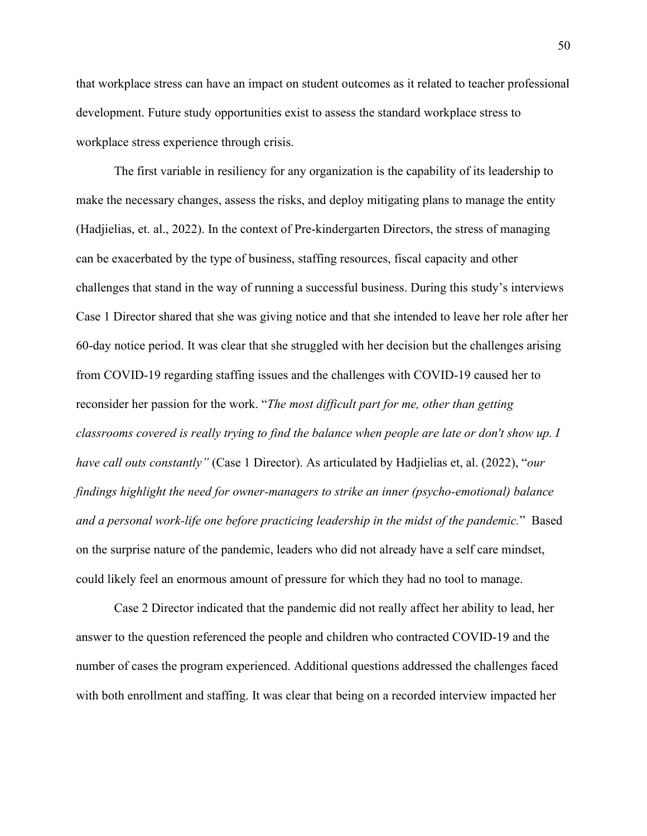that workplace stress can have an impact on student outcomes as it related to teacher professional development. Future study opportunities exist to assess the standard workplace stress to workplace stress experience through crisis.

The first variable in resiliency for any organization is the capability of its leadership to make the necessary changes, assess the risks, and deploy mitigating plans to manage the entity (Hadjielias, et. al., 2022). In the context of Pre-kindergarten Directors, the stress of managing can be exacerbated by the type of business, staffing resources, fiscal capacity and other challenges that stand in the way of running a successful business. During this study's interviews Case 1 Director shared that she was giving notice and that she intended to leave her role after her 60-day notice period. It was clear that she struggled with her decision but the challenges arising from COVID-19 regarding staffing issues and the challenges with COVID-19 caused her to reconsider her passion for the work. "*The most difficult part for me, other than getting classrooms covered is really trying to find the balance when people are late or don't show up. I have call outs constantly"* (Case 1 Director). As articulated by Hadjielias et, al. (2022), "*our findings highlight the need for owner-managers to strike an inner (psycho-emotional) balance and a personal work-life one before practicing leadership in the midst of the pandemic.*" Based on the surprise nature of the pandemic, leaders who did not already have a self care mindset, could likely feel an enormous amount of pressure for which they had no tool to manage.

Case 2 Director indicated that the pandemic did not really affect her ability to lead, her answer to the question referenced the people and children who contracted COVID-19 and the number of cases the program experienced. Additional questions addressed the challenges faced with both enrollment and staffing. It was clear that being on a recorded interview impacted her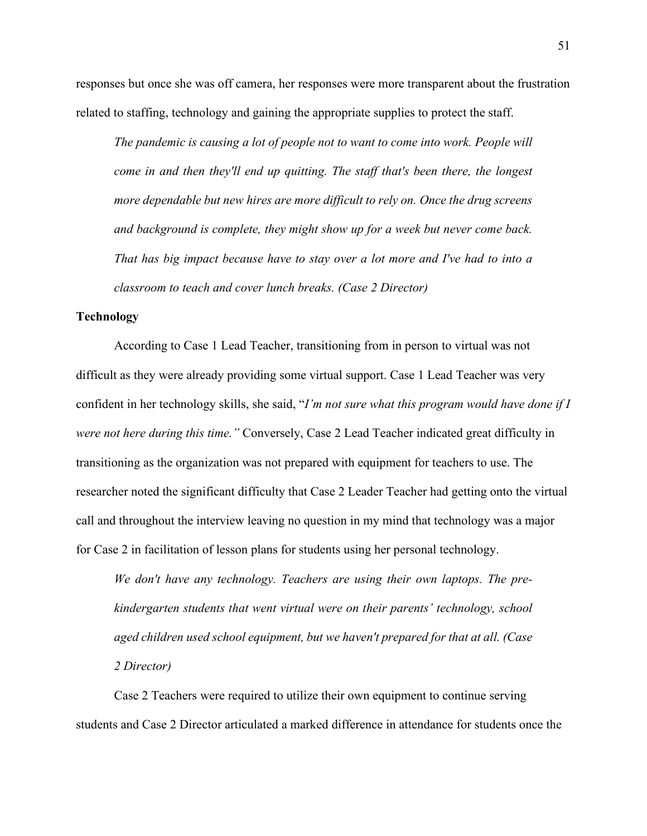responses but once she was off camera, her responses were more transparent about the frustration related to staffing, technology and gaining the appropriate supplies to protect the staff.

*The pandemic is causing a lot of people not to want to come into work. People will come in and then they'll end up quitting. The staff that's been there, the longest more dependable but new hires are more difficult to rely on. Once the drug screens and background is complete, they might show up for a week but never come back. That has big impact because have to stay over a lot more and I've had to into a classroom to teach and cover lunch breaks. (Case 2 Director)*

## **Technology**

According to Case 1 Lead Teacher, transitioning from in person to virtual was not difficult as they were already providing some virtual support. Case 1 Lead Teacher was very confident in her technology skills, she said, "*I'm not sure what this program would have done if I were not here during this time."* Conversely, Case 2 Lead Teacher indicated great difficulty in transitioning as the organization was not prepared with equipment for teachers to use. The researcher noted the significant difficulty that Case 2 Leader Teacher had getting onto the virtual call and throughout the interview leaving no question in my mind that technology was a major for Case 2 in facilitation of lesson plans for students using her personal technology.

*We don't have any technology. Teachers are using their own laptops. The prekindergarten students that went virtual were on their parents' technology, school aged children used school equipment, but we haven't prepared for that at all. (Case 2 Director)*

Case 2 Teachers were required to utilize their own equipment to continue serving students and Case 2 Director articulated a marked difference in attendance for students once the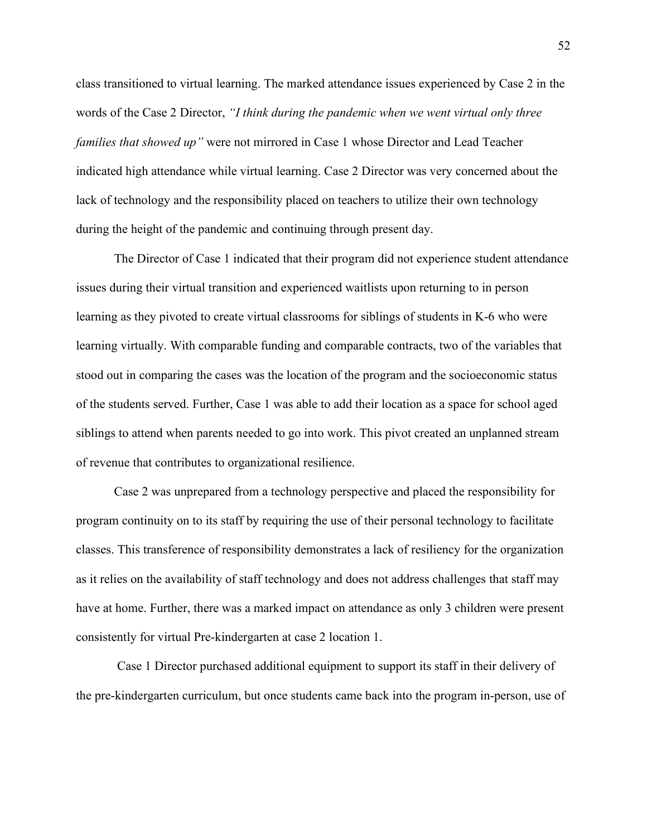class transitioned to virtual learning. The marked attendance issues experienced by Case 2 in the words of the Case 2 Director, *"I think during the pandemic when we went virtual only three families that showed up"* were not mirrored in Case 1 whose Director and Lead Teacher indicated high attendance while virtual learning. Case 2 Director was very concerned about the lack of technology and the responsibility placed on teachers to utilize their own technology during the height of the pandemic and continuing through present day.

The Director of Case 1 indicated that their program did not experience student attendance issues during their virtual transition and experienced waitlists upon returning to in person learning as they pivoted to create virtual classrooms for siblings of students in K-6 who were learning virtually. With comparable funding and comparable contracts, two of the variables that stood out in comparing the cases was the location of the program and the socioeconomic status of the students served. Further, Case 1 was able to add their location as a space for school aged siblings to attend when parents needed to go into work. This pivot created an unplanned stream of revenue that contributes to organizational resilience.

Case 2 was unprepared from a technology perspective and placed the responsibility for program continuity on to its staff by requiring the use of their personal technology to facilitate classes. This transference of responsibility demonstrates a lack of resiliency for the organization as it relies on the availability of staff technology and does not address challenges that staff may have at home. Further, there was a marked impact on attendance as only 3 children were present consistently for virtual Pre-kindergarten at case 2 location 1.

Case 1 Director purchased additional equipment to support its staff in their delivery of the pre-kindergarten curriculum, but once students came back into the program in-person, use of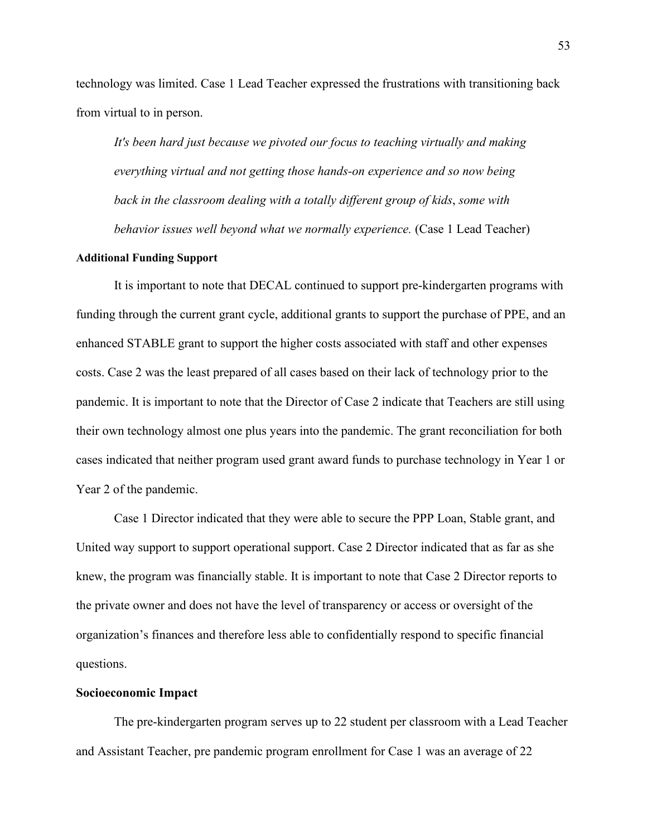technology was limited. Case 1 Lead Teacher expressed the frustrations with transitioning back from virtual to in person.

*It's been hard just because we pivoted our focus to teaching virtually and making everything virtual and not getting those hands-on experience and so now being back in the classroom dealing with a totally different group of kids*, *some with behavior issues well beyond what we normally experience.* (Case 1 Lead Teacher)

### **Additional Funding Support**

It is important to note that DECAL continued to support pre-kindergarten programs with funding through the current grant cycle, additional grants to support the purchase of PPE, and an enhanced STABLE grant to support the higher costs associated with staff and other expenses costs. Case 2 was the least prepared of all cases based on their lack of technology prior to the pandemic. It is important to note that the Director of Case 2 indicate that Teachers are still using their own technology almost one plus years into the pandemic. The grant reconciliation for both cases indicated that neither program used grant award funds to purchase technology in Year 1 or Year 2 of the pandemic.

Case 1 Director indicated that they were able to secure the PPP Loan, Stable grant, and United way support to support operational support. Case 2 Director indicated that as far as she knew, the program was financially stable. It is important to note that Case 2 Director reports to the private owner and does not have the level of transparency or access or oversight of the organization's finances and therefore less able to confidentially respond to specific financial questions.

## **Socioeconomic Impact**

The pre-kindergarten program serves up to 22 student per classroom with a Lead Teacher and Assistant Teacher, pre pandemic program enrollment for Case 1 was an average of 22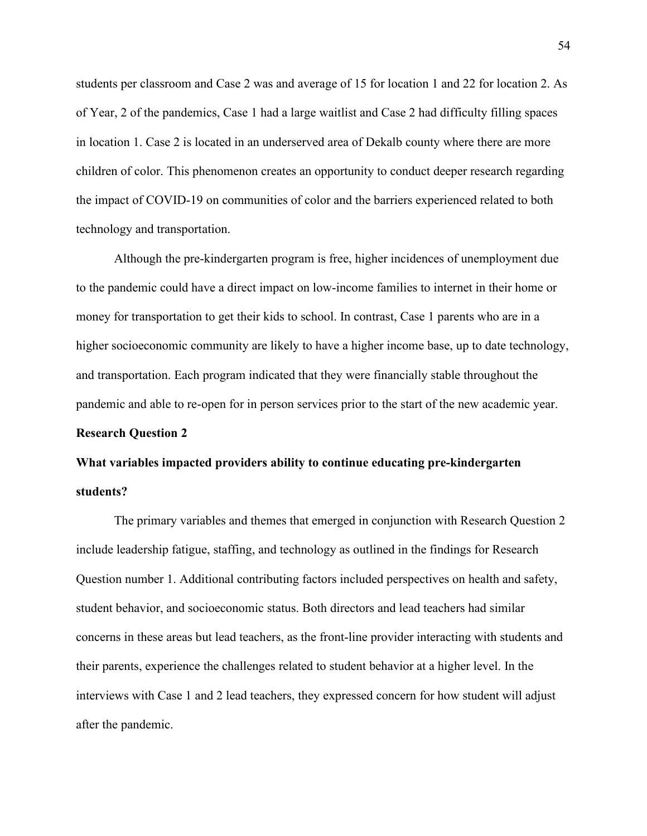students per classroom and Case 2 was and average of 15 for location 1 and 22 for location 2. As of Year, 2 of the pandemics, Case 1 had a large waitlist and Case 2 had difficulty filling spaces in location 1. Case 2 is located in an underserved area of Dekalb county where there are more children of color. This phenomenon creates an opportunity to conduct deeper research regarding the impact of COVID-19 on communities of color and the barriers experienced related to both technology and transportation.

Although the pre-kindergarten program is free, higher incidences of unemployment due to the pandemic could have a direct impact on low-income families to internet in their home or money for transportation to get their kids to school. In contrast, Case 1 parents who are in a higher socioeconomic community are likely to have a higher income base, up to date technology, and transportation. Each program indicated that they were financially stable throughout the pandemic and able to re-open for in person services prior to the start of the new academic year.

## **Research Question 2**

# **What variables impacted providers ability to continue educating pre-kindergarten students?**

The primary variables and themes that emerged in conjunction with Research Question 2 include leadership fatigue, staffing, and technology as outlined in the findings for Research Question number 1. Additional contributing factors included perspectives on health and safety, student behavior, and socioeconomic status. Both directors and lead teachers had similar concerns in these areas but lead teachers, as the front-line provider interacting with students and their parents, experience the challenges related to student behavior at a higher level. In the interviews with Case 1 and 2 lead teachers, they expressed concern for how student will adjust after the pandemic.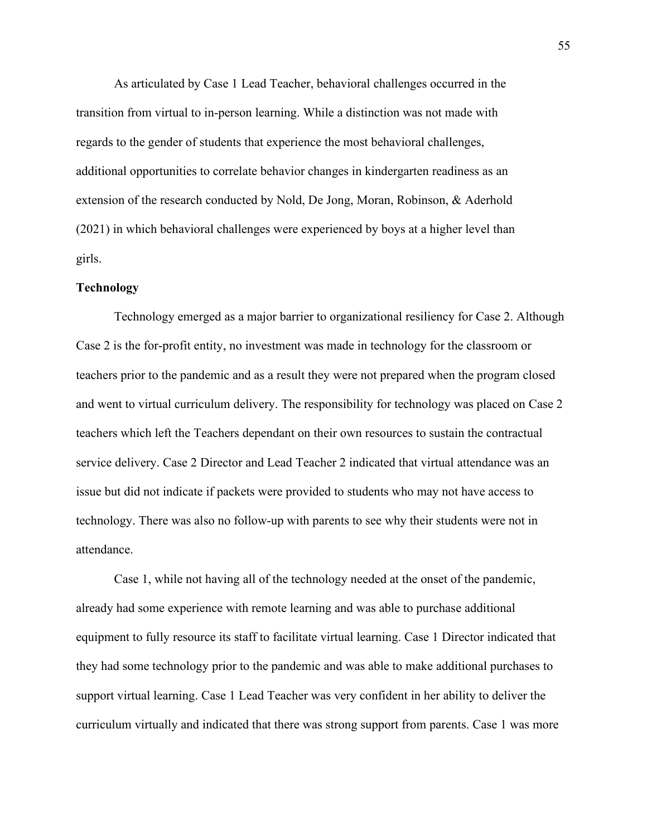As articulated by Case 1 Lead Teacher, behavioral challenges occurred in the transition from virtual to in-person learning. While a distinction was not made with regards to the gender of students that experience the most behavioral challenges, additional opportunities to correlate behavior changes in kindergarten readiness as an extension of the research conducted by Nold, De Jong, Moran, Robinson, & Aderhold (2021) in which behavioral challenges were experienced by boys at a higher level than girls.

## **Technology**

Technology emerged as a major barrier to organizational resiliency for Case 2. Although Case 2 is the for-profit entity, no investment was made in technology for the classroom or teachers prior to the pandemic and as a result they were not prepared when the program closed and went to virtual curriculum delivery. The responsibility for technology was placed on Case 2 teachers which left the Teachers dependant on their own resources to sustain the contractual service delivery. Case 2 Director and Lead Teacher 2 indicated that virtual attendance was an issue but did not indicate if packets were provided to students who may not have access to technology. There was also no follow-up with parents to see why their students were not in attendance.

Case 1, while not having all of the technology needed at the onset of the pandemic, already had some experience with remote learning and was able to purchase additional equipment to fully resource its staff to facilitate virtual learning. Case 1 Director indicated that they had some technology prior to the pandemic and was able to make additional purchases to support virtual learning. Case 1 Lead Teacher was very confident in her ability to deliver the curriculum virtually and indicated that there was strong support from parents. Case 1 was more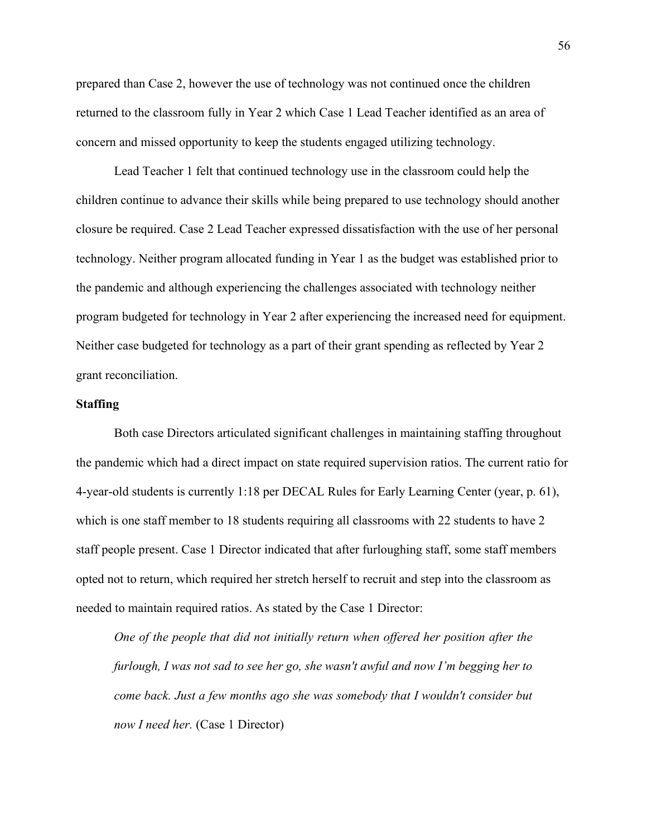prepared than Case 2, however the use of technology was not continued once the children returned to the classroom fully in Year 2 which Case 1 Lead Teacher identified as an area of concern and missed opportunity to keep the students engaged utilizing technology.

Lead Teacher 1 felt that continued technology use in the classroom could help the children continue to advance their skills while being prepared to use technology should another closure be required. Case 2 Lead Teacher expressed dissatisfaction with the use of her personal technology. Neither program allocated funding in Year 1 as the budget was established prior to the pandemic and although experiencing the challenges associated with technology neither program budgeted for technology in Year 2 after experiencing the increased need for equipment. Neither case budgeted for technology as a part of their grant spending as reflected by Year 2 grant reconciliation.

## **Staffing**

Both case Directors articulated significant challenges in maintaining staffing throughout the pandemic which had a direct impact on state required supervision ratios. The current ratio for 4-year-old students is currently 1:18 per DECAL Rules for Early Learning Center (year, p. 61), which is one staff member to 18 students requiring all classrooms with 22 students to have 2 staff people present. Case 1 Director indicated that after furloughing staff, some staff members opted not to return, which required her stretch herself to recruit and step into the classroom as needed to maintain required ratios. As stated by the Case 1 Director:

*One of the people that did not initially return when offered her position after the furlough, I was not sad to see her go, she wasn't awful and now I'm begging her to come back. Just a few months ago she was somebody that I wouldn't consider but now I need her.* (Case 1 Director)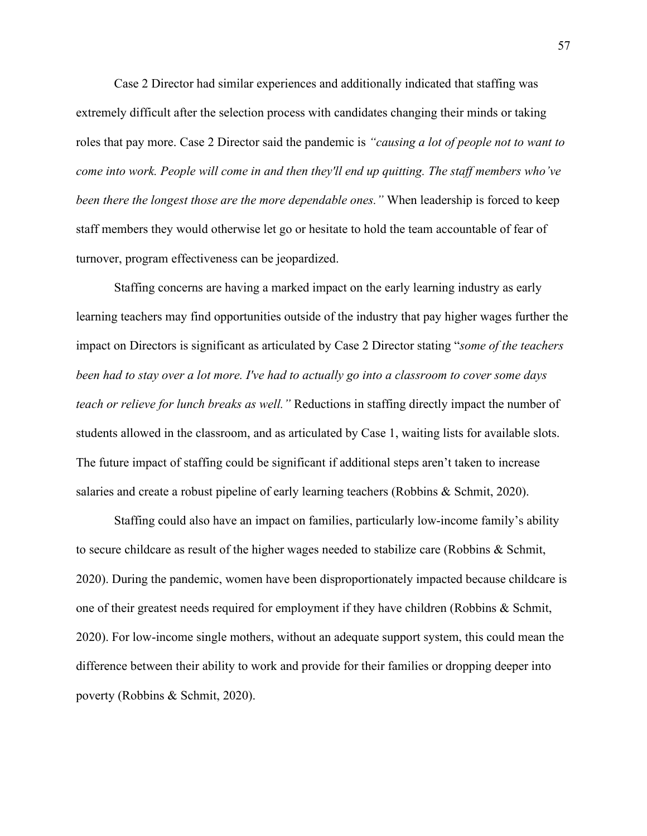Case 2 Director had similar experiences and additionally indicated that staffing was extremely difficult after the selection process with candidates changing their minds or taking roles that pay more. Case 2 Director said the pandemic is *"causing a lot of people not to want to come into work. People will come in and then they'll end up quitting. The staff members who've been there the longest those are the more dependable ones."* When leadership is forced to keep staff members they would otherwise let go or hesitate to hold the team accountable of fear of turnover, program effectiveness can be jeopardized.

Staffing concerns are having a marked impact on the early learning industry as early learning teachers may find opportunities outside of the industry that pay higher wages further the impact on Directors is significant as articulated by Case 2 Director stating "*some of the teachers been had to stay over a lot more. I've had to actually go into a classroom to cover some days teach or relieve for lunch breaks as well."* Reductions in staffing directly impact the number of students allowed in the classroom, and as articulated by Case 1, waiting lists for available slots. The future impact of staffing could be significant if additional steps aren't taken to increase salaries and create a robust pipeline of early learning teachers (Robbins & Schmit, 2020).

Staffing could also have an impact on families, particularly low-income family's ability to secure childcare as result of the higher wages needed to stabilize care (Robbins & Schmit, 2020). During the pandemic, women have been disproportionately impacted because childcare is one of their greatest needs required for employment if they have children (Robbins & Schmit, 2020). For low-income single mothers, without an adequate support system, this could mean the difference between their ability to work and provide for their families or dropping deeper into poverty (Robbins & Schmit, 2020).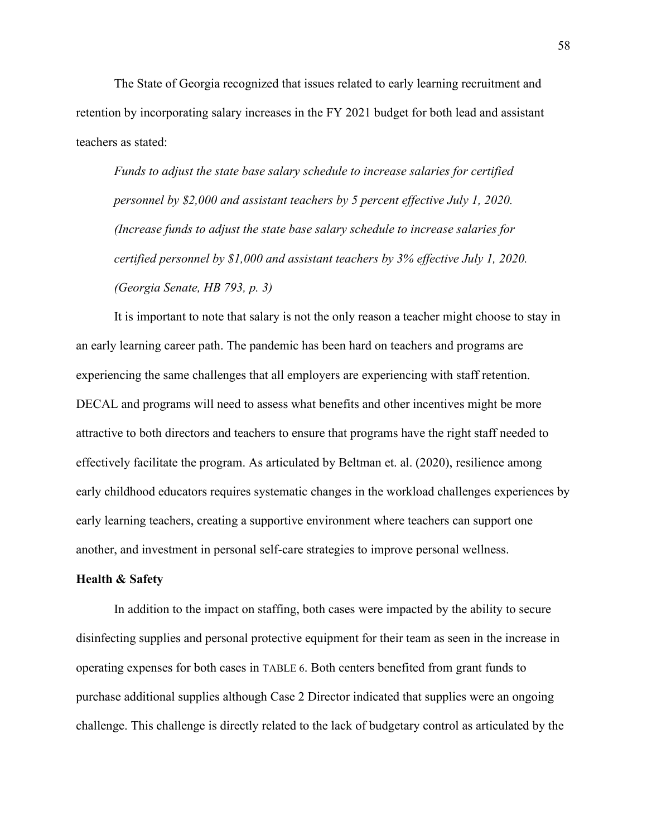The State of Georgia recognized that issues related to early learning recruitment and retention by incorporating salary increases in the FY 2021 budget for both lead and assistant teachers as stated:

*Funds to adjust the state base salary schedule to increase salaries for certified personnel by \$2,000 and assistant teachers by 5 percent effective July 1, 2020. (Increase funds to adjust the state base salary schedule to increase salaries for certified personnel by \$1,000 and assistant teachers by 3% effective July 1, 2020. (Georgia Senate, HB 793, p. 3)*

It is important to note that salary is not the only reason a teacher might choose to stay in an early learning career path. The pandemic has been hard on teachers and programs are experiencing the same challenges that all employers are experiencing with staff retention. DECAL and programs will need to assess what benefits and other incentives might be more attractive to both directors and teachers to ensure that programs have the right staff needed to effectively facilitate the program. As articulated by Beltman et. al. (2020), resilience among early childhood educators requires systematic changes in the workload challenges experiences by early learning teachers, creating a supportive environment where teachers can support one another, and investment in personal self-care strategies to improve personal wellness.

#### **Health & Safety**

In addition to the impact on staffing, both cases were impacted by the ability to secure disinfecting supplies and personal protective equipment for their team as seen in the increase in operating expenses for both cases in TABLE 6. Both centers benefited from grant funds to purchase additional supplies although Case 2 Director indicated that supplies were an ongoing challenge. This challenge is directly related to the lack of budgetary control as articulated by the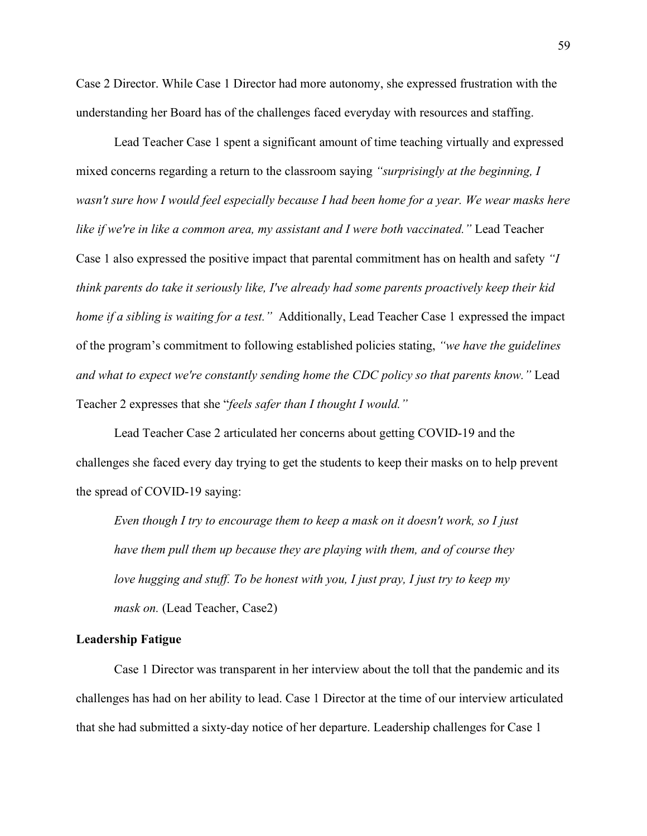Case 2 Director. While Case 1 Director had more autonomy, she expressed frustration with the understanding her Board has of the challenges faced everyday with resources and staffing.

Lead Teacher Case 1 spent a significant amount of time teaching virtually and expressed mixed concerns regarding a return to the classroom saying *"surprisingly at the beginning, I wasn't sure how I would feel especially because I had been home for a year. We wear masks here like if we're in like a common area, my assistant and I were both vaccinated."* Lead Teacher Case 1 also expressed the positive impact that parental commitment has on health and safety *"I think parents do take it seriously like, I've already had some parents proactively keep their kid home if a sibling is waiting for a test."* Additionally, Lead Teacher Case 1 expressed the impact of the program's commitment to following established policies stating, *"we have the guidelines and what to expect we're constantly sending home the CDC policy so that parents know."* Lead Teacher 2 expresses that she "*feels safer than I thought I would."*

Lead Teacher Case 2 articulated her concerns about getting COVID-19 and the challenges she faced every day trying to get the students to keep their masks on to help prevent the spread of COVID-19 saying:

*Even though I try to encourage them to keep a mask on it doesn't work, so I just have them pull them up because they are playing with them, and of course they love hugging and stuff. To be honest with you, I just pray, I just try to keep my mask on.* (Lead Teacher, Case2)

## **Leadership Fatigue**

Case 1 Director was transparent in her interview about the toll that the pandemic and its challenges has had on her ability to lead. Case 1 Director at the time of our interview articulated that she had submitted a sixty-day notice of her departure. Leadership challenges for Case 1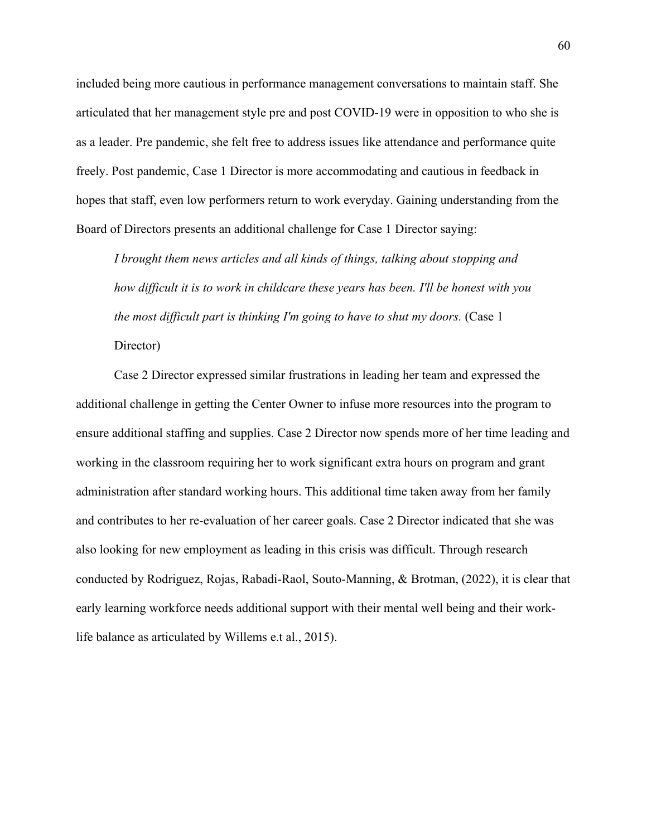included being more cautious in performance management conversations to maintain staff. She articulated that her management style pre and post COVID-19 were in opposition to who she is as a leader. Pre pandemic, she felt free to address issues like attendance and performance quite freely. Post pandemic, Case 1 Director is more accommodating and cautious in feedback in hopes that staff, even low performers return to work everyday. Gaining understanding from the Board of Directors presents an additional challenge for Case 1 Director saying:

*I brought them news articles and all kinds of things, talking about stopping and how difficult it is to work in childcare these years has been. I'll be honest with you the most difficult part is thinking I'm going to have to shut my doors.* (Case 1 Director)

Case 2 Director expressed similar frustrations in leading her team and expressed the additional challenge in getting the Center Owner to infuse more resources into the program to ensure additional staffing and supplies. Case 2 Director now spends more of her time leading and working in the classroom requiring her to work significant extra hours on program and grant administration after standard working hours. This additional time taken away from her family and contributes to her re-evaluation of her career goals. Case 2 Director indicated that she was also looking for new employment as leading in this crisis was difficult. Through research conducted by Rodriguez, Rojas, Rabadi-Raol, Souto-Manning, & Brotman, (2022), it is clear that early learning workforce needs additional support with their mental well being and their worklife balance as articulated by Willems e.t al., 2015).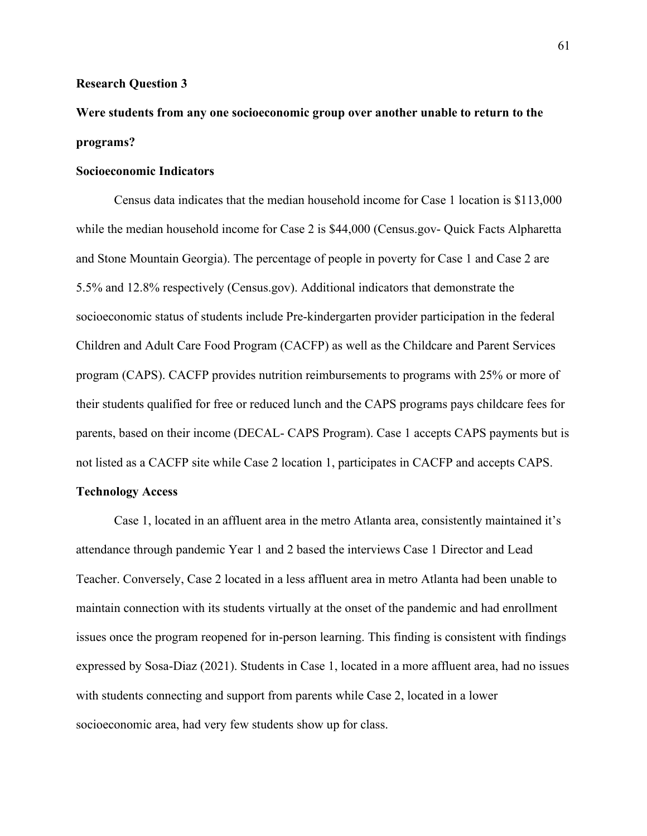#### **Research Question 3**

# **Were students from any one socioeconomic group over another unable to return to the programs?**

## **Socioeconomic Indicators**

Census data indicates that the median household income for Case 1 location is \$113,000 while the median household income for Case 2 is \$44,000 (Census.gov- Quick Facts Alpharetta and Stone Mountain Georgia). The percentage of people in poverty for Case 1 and Case 2 are 5.5% and 12.8% respectively (Census.gov). Additional indicators that demonstrate the socioeconomic status of students include Pre-kindergarten provider participation in the federal Children and Adult Care Food Program (CACFP) as well as the Childcare and Parent Services program (CAPS). CACFP provides nutrition reimbursements to programs with 25% or more of their students qualified for free or reduced lunch and the CAPS programs pays childcare fees for parents, based on their income (DECAL- CAPS Program). Case 1 accepts CAPS payments but is not listed as a CACFP site while Case 2 location 1, participates in CACFP and accepts CAPS.

## **Technology Access**

Case 1, located in an affluent area in the metro Atlanta area, consistently maintained it's attendance through pandemic Year 1 and 2 based the interviews Case 1 Director and Lead Teacher. Conversely, Case 2 located in a less affluent area in metro Atlanta had been unable to maintain connection with its students virtually at the onset of the pandemic and had enrollment issues once the program reopened for in-person learning. This finding is consistent with findings expressed by Sosa-Diaz (2021). Students in Case 1, located in a more affluent area, had no issues with students connecting and support from parents while Case 2, located in a lower socioeconomic area, had very few students show up for class.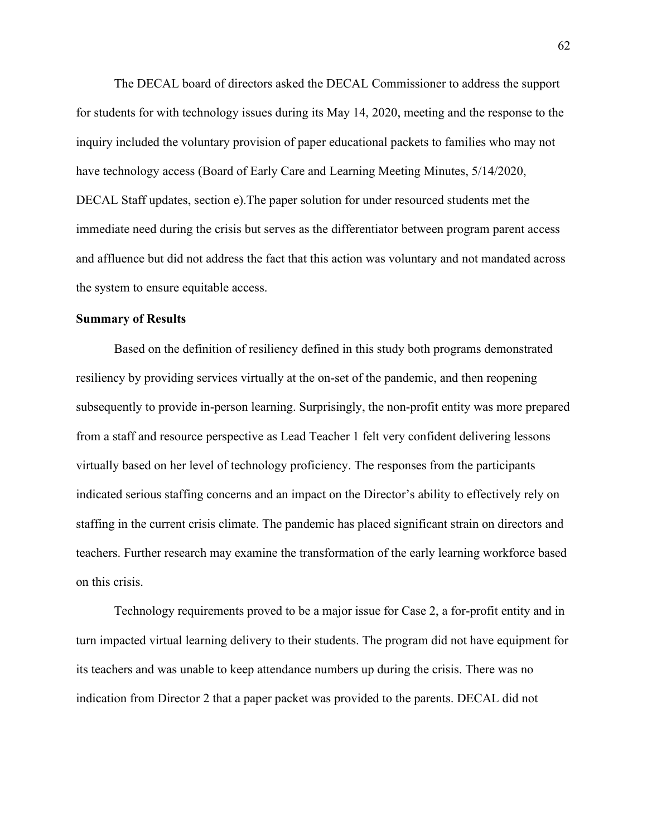The DECAL board of directors asked the DECAL Commissioner to address the support for students for with technology issues during its May 14, 2020, meeting and the response to the inquiry included the voluntary provision of paper educational packets to families who may not have technology access (Board of Early Care and Learning Meeting Minutes, 5/14/2020, DECAL Staff updates, section e).The paper solution for under resourced students met the immediate need during the crisis but serves as the differentiator between program parent access and affluence but did not address the fact that this action was voluntary and not mandated across the system to ensure equitable access.

### **Summary of Results**

Based on the definition of resiliency defined in this study both programs demonstrated resiliency by providing services virtually at the on-set of the pandemic, and then reopening subsequently to provide in-person learning. Surprisingly, the non-profit entity was more prepared from a staff and resource perspective as Lead Teacher 1 felt very confident delivering lessons virtually based on her level of technology proficiency. The responses from the participants indicated serious staffing concerns and an impact on the Director's ability to effectively rely on staffing in the current crisis climate. The pandemic has placed significant strain on directors and teachers. Further research may examine the transformation of the early learning workforce based on this crisis.

Technology requirements proved to be a major issue for Case 2, a for-profit entity and in turn impacted virtual learning delivery to their students. The program did not have equipment for its teachers and was unable to keep attendance numbers up during the crisis. There was no indication from Director 2 that a paper packet was provided to the parents. DECAL did not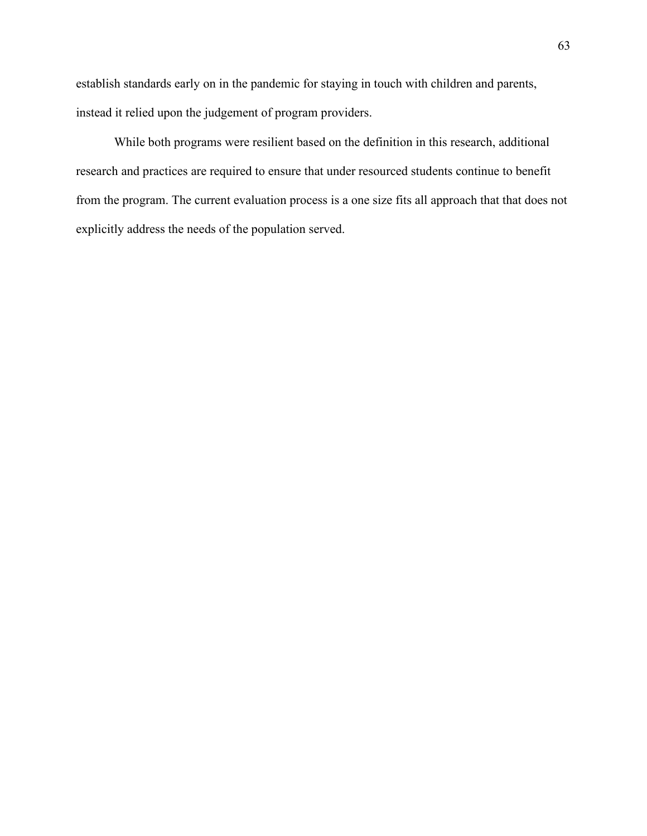establish standards early on in the pandemic for staying in touch with children and parents, instead it relied upon the judgement of program providers.

While both programs were resilient based on the definition in this research, additional research and practices are required to ensure that under resourced students continue to benefit from the program. The current evaluation process is a one size fits all approach that that does not explicitly address the needs of the population served.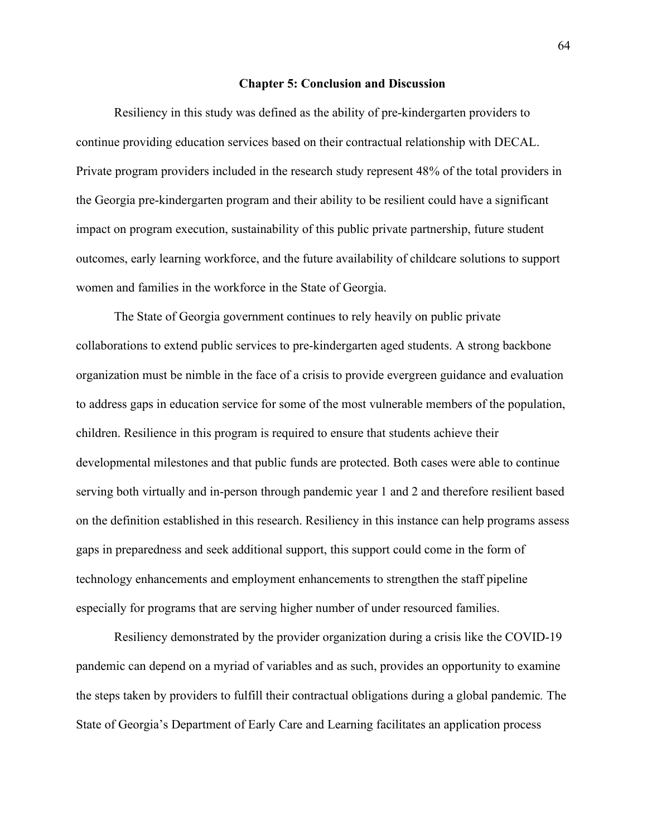#### **Chapter 5: Conclusion and Discussion**

Resiliency in this study was defined as the ability of pre-kindergarten providers to continue providing education services based on their contractual relationship with DECAL. Private program providers included in the research study represent 48% of the total providers in the Georgia pre-kindergarten program and their ability to be resilient could have a significant impact on program execution, sustainability of this public private partnership, future student outcomes, early learning workforce, and the future availability of childcare solutions to support women and families in the workforce in the State of Georgia.

The State of Georgia government continues to rely heavily on public private collaborations to extend public services to pre-kindergarten aged students. A strong backbone organization must be nimble in the face of a crisis to provide evergreen guidance and evaluation to address gaps in education service for some of the most vulnerable members of the population, children. Resilience in this program is required to ensure that students achieve their developmental milestones and that public funds are protected. Both cases were able to continue serving both virtually and in-person through pandemic year 1 and 2 and therefore resilient based on the definition established in this research. Resiliency in this instance can help programs assess gaps in preparedness and seek additional support, this support could come in the form of technology enhancements and employment enhancements to strengthen the staff pipeline especially for programs that are serving higher number of under resourced families.

Resiliency demonstrated by the provider organization during a crisis like the COVID-19 pandemic can depend on a myriad of variables and as such, provides an opportunity to examine the steps taken by providers to fulfill their contractual obligations during a global pandemic*.* The State of Georgia's Department of Early Care and Learning facilitates an application process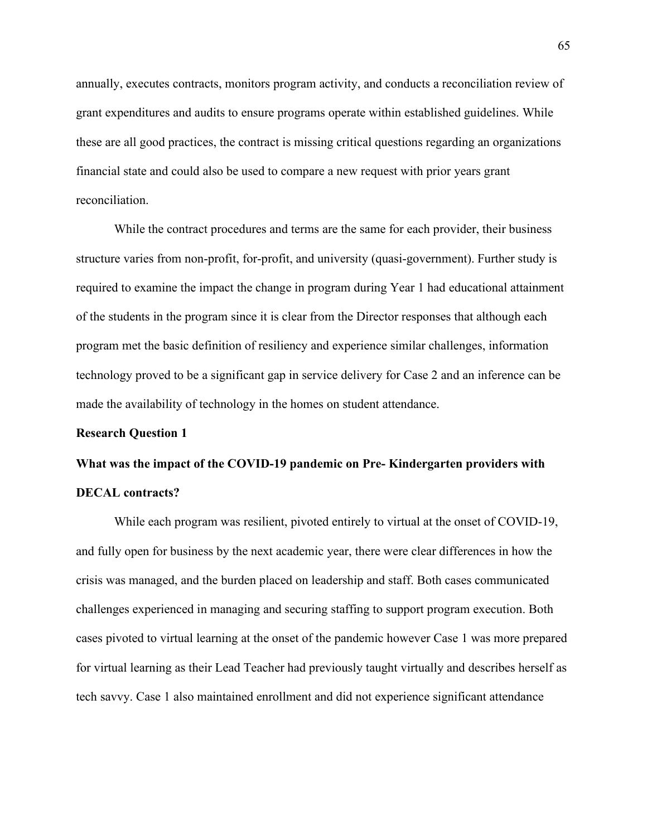annually, executes contracts, monitors program activity, and conducts a reconciliation review of grant expenditures and audits to ensure programs operate within established guidelines. While these are all good practices, the contract is missing critical questions regarding an organizations financial state and could also be used to compare a new request with prior years grant reconciliation.

While the contract procedures and terms are the same for each provider, their business structure varies from non-profit, for-profit, and university (quasi-government). Further study is required to examine the impact the change in program during Year 1 had educational attainment of the students in the program since it is clear from the Director responses that although each program met the basic definition of resiliency and experience similar challenges, information technology proved to be a significant gap in service delivery for Case 2 and an inference can be made the availability of technology in the homes on student attendance.

### **Research Question 1**

# **What was the impact of the COVID-19 pandemic on Pre- Kindergarten providers with DECAL contracts?**

While each program was resilient, pivoted entirely to virtual at the onset of COVID-19, and fully open for business by the next academic year, there were clear differences in how the crisis was managed, and the burden placed on leadership and staff. Both cases communicated challenges experienced in managing and securing staffing to support program execution. Both cases pivoted to virtual learning at the onset of the pandemic however Case 1 was more prepared for virtual learning as their Lead Teacher had previously taught virtually and describes herself as tech savvy. Case 1 also maintained enrollment and did not experience significant attendance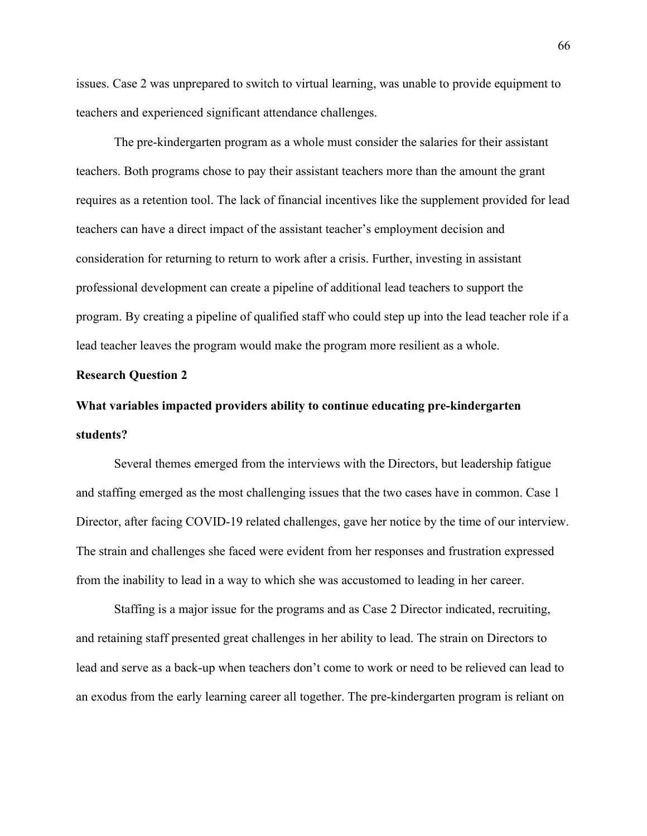issues. Case 2 was unprepared to switch to virtual learning, was unable to provide equipment to teachers and experienced significant attendance challenges.

The pre-kindergarten program as a whole must consider the salaries for their assistant teachers. Both programs chose to pay their assistant teachers more than the amount the grant requires as a retention tool. The lack of financial incentives like the supplement provided for lead teachers can have a direct impact of the assistant teacher's employment decision and consideration for returning to return to work after a crisis. Further, investing in assistant professional development can create a pipeline of additional lead teachers to support the program. By creating a pipeline of qualified staff who could step up into the lead teacher role if a lead teacher leaves the program would make the program more resilient as a whole.

### **Research Question 2**

# **What variables impacted providers ability to continue educating pre-kindergarten students?**

Several themes emerged from the interviews with the Directors, but leadership fatigue and staffing emerged as the most challenging issues that the two cases have in common. Case 1 Director, after facing COVID-19 related challenges, gave her notice by the time of our interview. The strain and challenges she faced were evident from her responses and frustration expressed from the inability to lead in a way to which she was accustomed to leading in her career.

Staffing is a major issue for the programs and as Case 2 Director indicated, recruiting, and retaining staff presented great challenges in her ability to lead. The strain on Directors to lead and serve as a back-up when teachers don't come to work or need to be relieved can lead to an exodus from the early learning career all together. The pre-kindergarten program is reliant on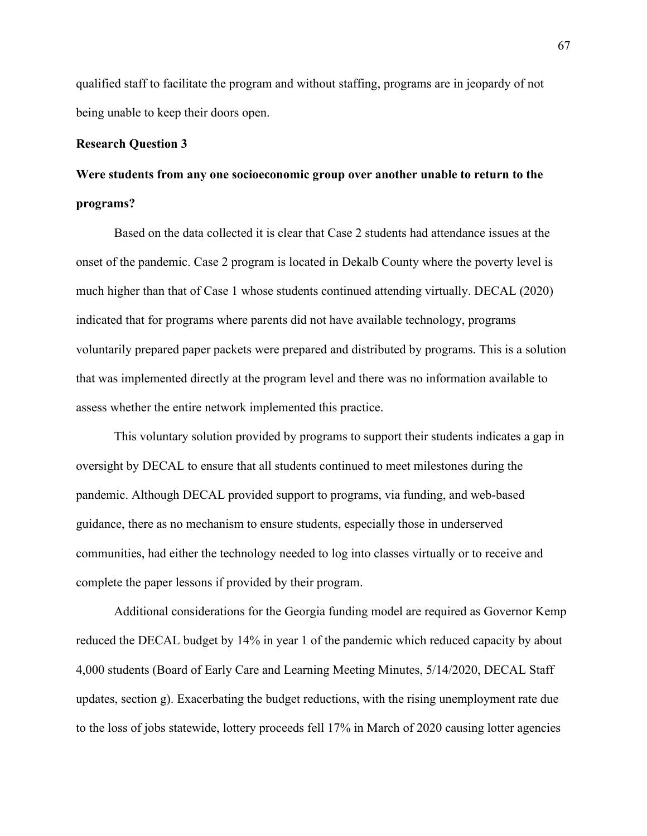qualified staff to facilitate the program and without staffing, programs are in jeopardy of not being unable to keep their doors open.

### **Research Question 3**

# **Were students from any one socioeconomic group over another unable to return to the programs?**

Based on the data collected it is clear that Case 2 students had attendance issues at the onset of the pandemic. Case 2 program is located in Dekalb County where the poverty level is much higher than that of Case 1 whose students continued attending virtually. DECAL (2020) indicated that for programs where parents did not have available technology, programs voluntarily prepared paper packets were prepared and distributed by programs. This is a solution that was implemented directly at the program level and there was no information available to assess whether the entire network implemented this practice.

This voluntary solution provided by programs to support their students indicates a gap in oversight by DECAL to ensure that all students continued to meet milestones during the pandemic. Although DECAL provided support to programs, via funding, and web-based guidance, there as no mechanism to ensure students, especially those in underserved communities, had either the technology needed to log into classes virtually or to receive and complete the paper lessons if provided by their program.

Additional considerations for the Georgia funding model are required as Governor Kemp reduced the DECAL budget by 14% in year 1 of the pandemic which reduced capacity by about 4,000 students (Board of Early Care and Learning Meeting Minutes, 5/14/2020, DECAL Staff updates, section g). Exacerbating the budget reductions, with the rising unemployment rate due to the loss of jobs statewide, lottery proceeds fell 17% in March of 2020 causing lotter agencies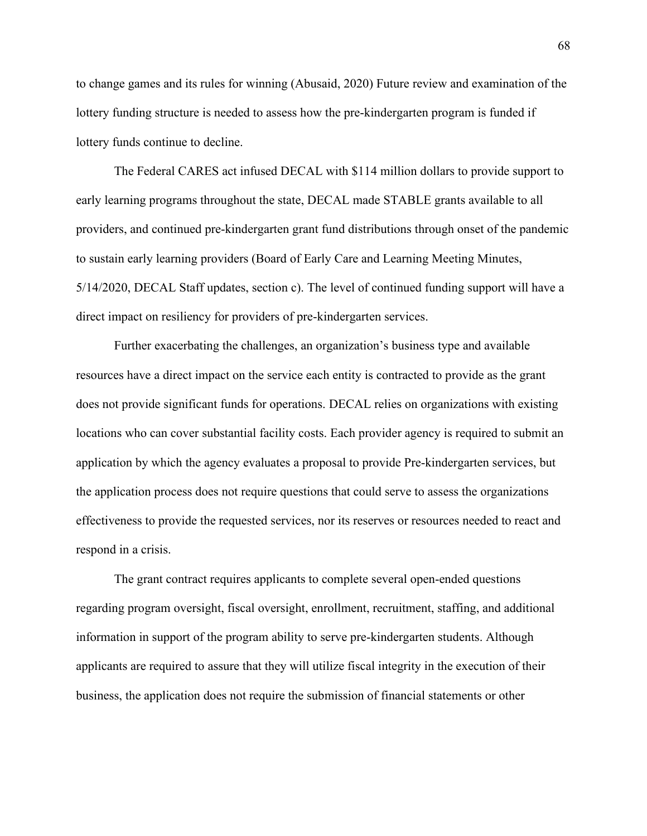to change games and its rules for winning (Abusaid, 2020) Future review and examination of the lottery funding structure is needed to assess how the pre-kindergarten program is funded if lottery funds continue to decline.

The Federal CARES act infused DECAL with \$114 million dollars to provide support to early learning programs throughout the state, DECAL made STABLE grants available to all providers, and continued pre-kindergarten grant fund distributions through onset of the pandemic to sustain early learning providers (Board of Early Care and Learning Meeting Minutes, 5/14/2020, DECAL Staff updates, section c). The level of continued funding support will have a direct impact on resiliency for providers of pre-kindergarten services.

Further exacerbating the challenges, an organization's business type and available resources have a direct impact on the service each entity is contracted to provide as the grant does not provide significant funds for operations. DECAL relies on organizations with existing locations who can cover substantial facility costs. Each provider agency is required to submit an application by which the agency evaluates a proposal to provide Pre-kindergarten services, but the application process does not require questions that could serve to assess the organizations effectiveness to provide the requested services, nor its reserves or resources needed to react and respond in a crisis.

The grant contract requires applicants to complete several open-ended questions regarding program oversight, fiscal oversight, enrollment, recruitment, staffing, and additional information in support of the program ability to serve pre-kindergarten students. Although applicants are required to assure that they will utilize fiscal integrity in the execution of their business, the application does not require the submission of financial statements or other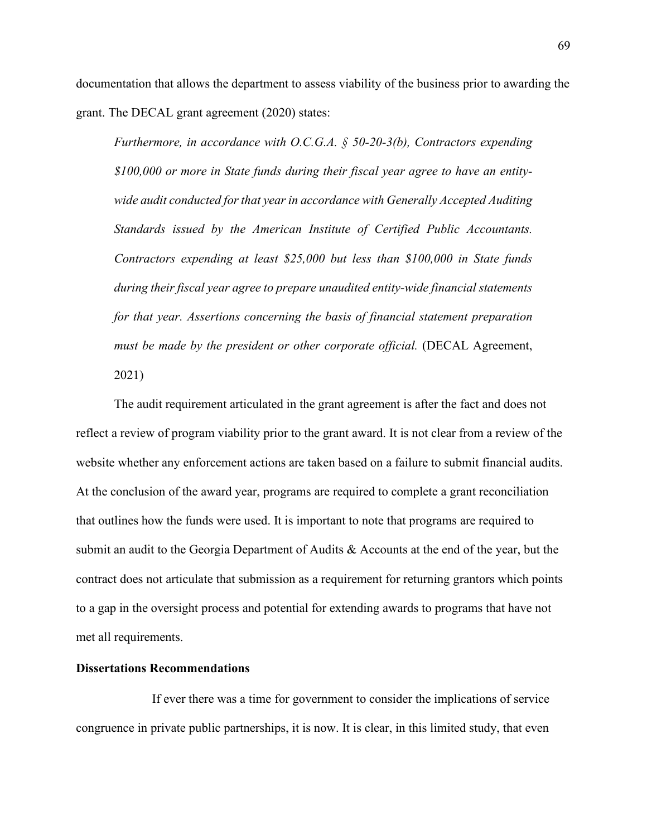documentation that allows the department to assess viability of the business prior to awarding the grant. The DECAL grant agreement (2020) states:

*Furthermore, in accordance with O.C.G.A. § 50-20-3(b), Contractors expending \$100,000 or more in State funds during their fiscal year agree to have an entitywide audit conducted for that year in accordance with Generally Accepted Auditing Standards issued by the American Institute of Certified Public Accountants. Contractors expending at least \$25,000 but less than \$100,000 in State funds during their fiscal year agree to prepare unaudited entity-wide financial statements for that year. Assertions concerning the basis of financial statement preparation must be made by the president or other corporate official.* (DECAL Agreement, 2021)

The audit requirement articulated in the grant agreement is after the fact and does not reflect a review of program viability prior to the grant award. It is not clear from a review of the website whether any enforcement actions are taken based on a failure to submit financial audits. At the conclusion of the award year, programs are required to complete a grant reconciliation that outlines how the funds were used. It is important to note that programs are required to submit an audit to the Georgia Department of Audits & Accounts at the end of the year, but the contract does not articulate that submission as a requirement for returning grantors which points to a gap in the oversight process and potential for extending awards to programs that have not met all requirements.

### **Dissertations Recommendations**

If ever there was a time for government to consider the implications of service congruence in private public partnerships, it is now. It is clear, in this limited study, that even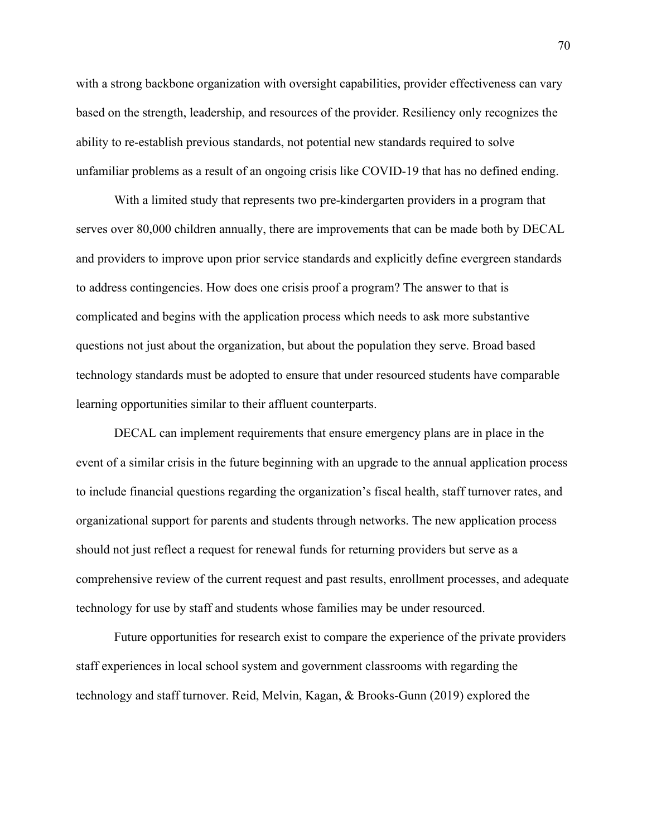with a strong backbone organization with oversight capabilities, provider effectiveness can vary based on the strength, leadership, and resources of the provider. Resiliency only recognizes the ability to re-establish previous standards, not potential new standards required to solve unfamiliar problems as a result of an ongoing crisis like COVID-19 that has no defined ending.

With a limited study that represents two pre-kindergarten providers in a program that serves over 80,000 children annually, there are improvements that can be made both by DECAL and providers to improve upon prior service standards and explicitly define evergreen standards to address contingencies. How does one crisis proof a program? The answer to that is complicated and begins with the application process which needs to ask more substantive questions not just about the organization, but about the population they serve. Broad based technology standards must be adopted to ensure that under resourced students have comparable learning opportunities similar to their affluent counterparts.

DECAL can implement requirements that ensure emergency plans are in place in the event of a similar crisis in the future beginning with an upgrade to the annual application process to include financial questions regarding the organization's fiscal health, staff turnover rates, and organizational support for parents and students through networks. The new application process should not just reflect a request for renewal funds for returning providers but serve as a comprehensive review of the current request and past results, enrollment processes, and adequate technology for use by staff and students whose families may be under resourced.

Future opportunities for research exist to compare the experience of the private providers staff experiences in local school system and government classrooms with regarding the technology and staff turnover. Reid, Melvin, Kagan, & Brooks-Gunn (2019) explored the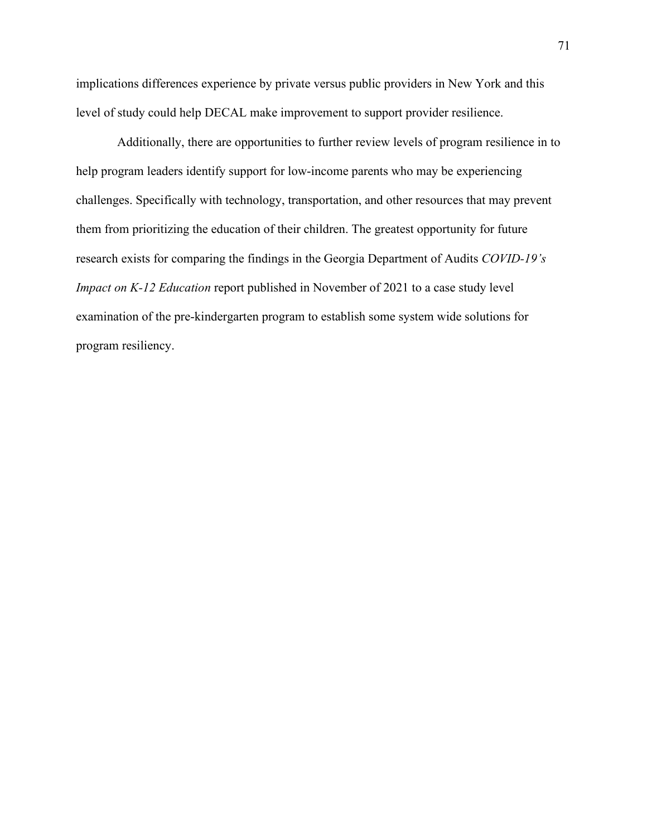implications differences experience by private versus public providers in New York and this level of study could help DECAL make improvement to support provider resilience.

Additionally, there are opportunities to further review levels of program resilience in to help program leaders identify support for low-income parents who may be experiencing challenges. Specifically with technology, transportation, and other resources that may prevent them from prioritizing the education of their children. The greatest opportunity for future research exists for comparing the findings in the Georgia Department of Audits *COVID-19's Impact on K-12 Education* report published in November of 2021 to a case study level examination of the pre-kindergarten program to establish some system wide solutions for program resiliency.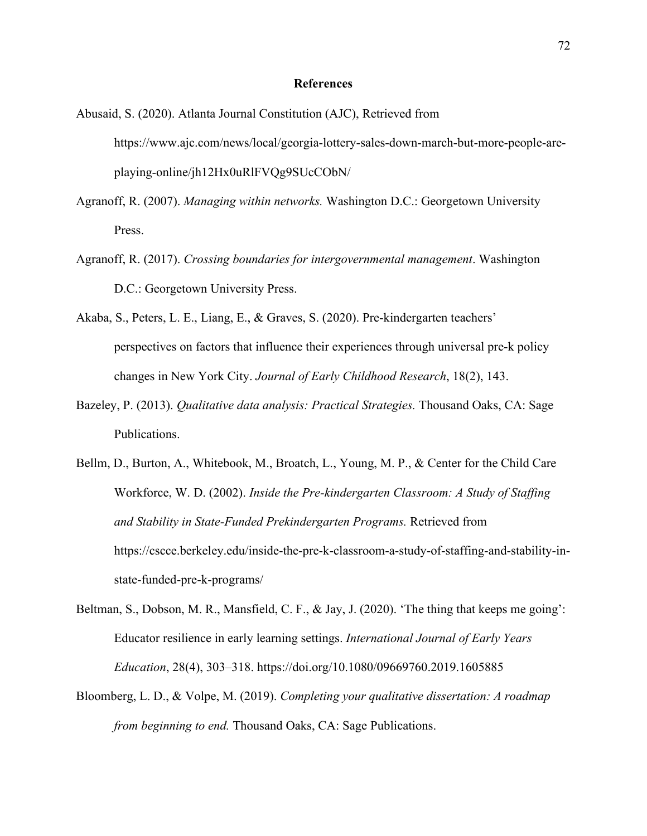### **References**

- Abusaid, S. (2020). Atlanta Journal Constitution (AJC), Retrieved from https://www.ajc.com/news/local/georgia-lottery-sales-down-march-but-more-people-areplaying-online/jh12Hx0uRlFVQg9SUcCObN/
- Agranoff, R. (2007). *Managing within networks.* Washington D.C.: Georgetown University Press.
- Agranoff, R. (2017). *Crossing boundaries for intergovernmental management*. Washington D.C.: Georgetown University Press.
- Akaba, S., Peters, L. E., Liang, E., & Graves, S. (2020). Pre-kindergarten teachers' perspectives on factors that influence their experiences through universal pre-k policy changes in New York City. *Journal of Early Childhood Research*, 18(2), 143.
- Bazeley, P. (2013). *Qualitative data analysis: Practical Strategies.* Thousand Oaks, CA: Sage Publications.
- Bellm, D., Burton, A., Whitebook, M., Broatch, L., Young, M. P., & Center for the Child Care Workforce, W. D. (2002). *Inside the Pre-kindergarten Classroom: A Study of Staffing and Stability in State-Funded Prekindergarten Programs.* Retrieved from https://cscce.berkeley.edu/inside-the-pre-k-classroom-a-study-of-staffing-and-stability-instate-funded-pre-k-programs/
- Beltman, S., Dobson, M. R., Mansfield, C. F., & Jay, J. (2020). 'The thing that keeps me going': Educator resilience in early learning settings. *International Journal of Early Years Education*, 28(4), 303–318. https://doi.org/10.1080/09669760.2019.1605885
- Bloomberg, L. D., & Volpe, M. (2019). *Completing your qualitative dissertation: A roadmap from beginning to end.* Thousand Oaks, CA: Sage Publications.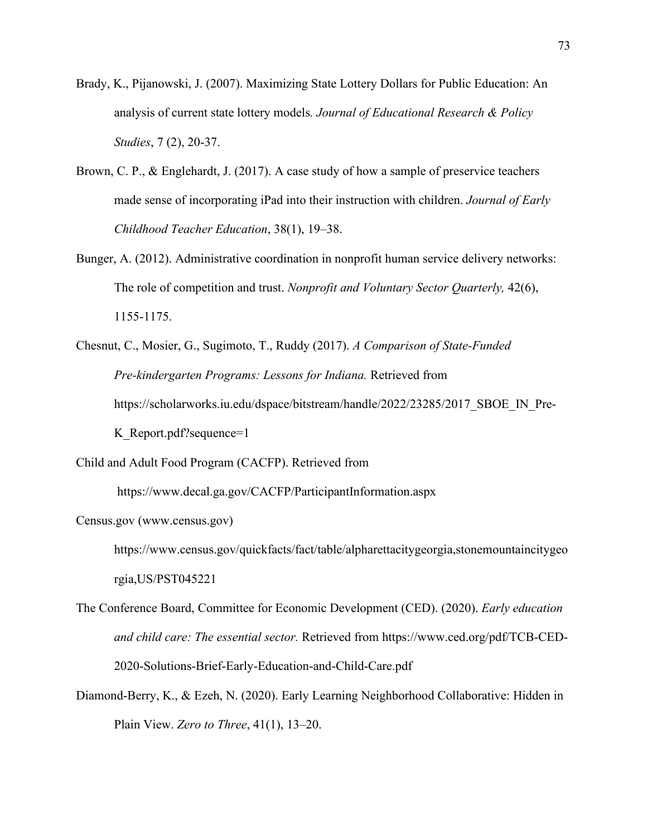- Brady, K., Pijanowski, J. (2007). Maximizing State Lottery Dollars for Public Education: An analysis of current state lottery models*. Journal of Educational Research & Policy Studies*, 7 (2), 20-37.
- Brown, C. P., & Englehardt, J. (2017). A case study of how a sample of preservice teachers made sense of incorporating iPad into their instruction with children. *Journal of Early Childhood Teacher Education*, 38(1), 19–38.
- Bunger, A. (2012). Administrative coordination in nonprofit human service delivery networks: The role of competition and trust. *Nonprofit and Voluntary Sector Quarterly,* 42(6), 1155-1175.
- Chesnut, C., Mosier, G., Sugimoto, T., Ruddy (2017). *A Comparison of State-Funded Pre-kindergarten Programs: Lessons for Indiana.* Retrieved from https://scholarworks.iu.edu/dspace/bitstream/handle/2022/23285/2017\_SBOE\_IN\_Pre-K Report.pdf?sequence=1
- Child and Adult Food Program (CACFP). Retrieved from

https://www.decal.ga.gov/CACFP/ParticipantInformation.aspx

Census.gov (www.census.gov)

https://www.census.gov/quickfacts/fact/table/alpharettacitygeorgia,stonemountaincitygeo rgia,US/PST045221

- The Conference Board, Committee for Economic Development (CED). (2020). *Early education and child care: The essential sector.* Retrieved from https://www.ced.org/pdf/TCB-CED-2020-Solutions-Brief-Early-Education-and-Child-Care.pdf
- Diamond-Berry, K., & Ezeh, N. (2020). Early Learning Neighborhood Collaborative: Hidden in Plain View. *Zero to Three*, 41(1), 13–20.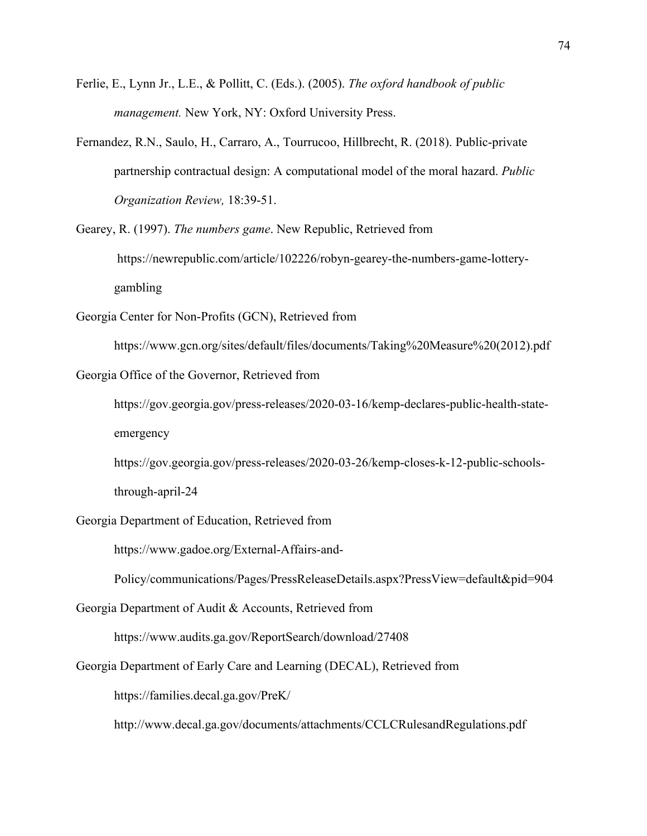- Ferlie, E., Lynn Jr., L.E., & Pollitt, C. (Eds.). (2005). *The oxford handbook of public management.* New York, NY: Oxford University Press.
- Fernandez, R.N., Saulo, H., Carraro, A., Tourrucoo, Hillbrecht, R. (2018). Public-private partnership contractual design: A computational model of the moral hazard. *Public Organization Review,* 18:39-51.

Gearey, R. (1997). *The numbers game*. New Republic, Retrieved from https://newrepublic.com/article/102226/robyn-gearey-the-numbers-game-lotterygambling

Georgia Center for Non-Profits (GCN), Retrieved from

https://www.gcn.org/sites/default/files/documents/Taking%20Measure%20(2012).pdf

Georgia Office of the Governor, Retrieved from

[https://gov.georgia.gov/press-releases/2020-03-16/kemp-declares-public-health-state](https://gov.georgia.gov/press-releases/2020-03-16/kemp-declares-public-health-state-emergency)[emergency](https://gov.georgia.gov/press-releases/2020-03-16/kemp-declares-public-health-state-emergency)

[https://gov.georgia.gov/press-releases/2020-03-26/kemp-closes-k-12-public-schools-](https://gov.georgia.gov/press-releases/2020-03-26/kemp-closes-k-12-public-schools-through-april-24)

[through-april-24](https://gov.georgia.gov/press-releases/2020-03-26/kemp-closes-k-12-public-schools-through-april-24)

Georgia Department of Education, Retrieved from

[https://www.gadoe.org/External-Affairs-and-](https://www.gadoe.org/External-Affairs-and-Policy/communications/Pages/PressReleaseDetails.aspx?PressView=default&pid=904)

[Policy/communications/Pages/PressReleaseDetails.aspx?PressView=default&pid=904](https://www.gadoe.org/External-Affairs-and-Policy/communications/Pages/PressReleaseDetails.aspx?PressView=default&pid=904)

Georgia Department of Audit & Accounts, Retrieved from

<https://www.audits.ga.gov/ReportSearch/download/27408>

Georgia Department of Early Care and Learning (DECAL), Retrieved from

<https://families.decal.ga.gov/PreK/>

<http://www.decal.ga.gov/documents/attachments/CCLCRulesandRegulations.pdf>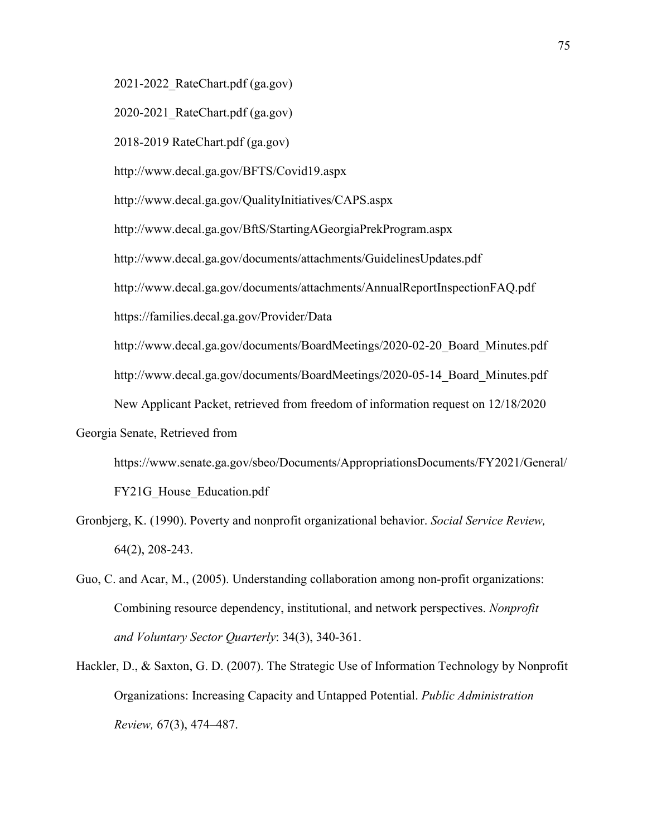[2021-2022\\_RateChart.pdf \(ga.gov\)](http://www.decal.ga.gov/documents/attachments/2021-2022_RateChart.pdf)

2020-2021\_RateChart.pdf (ga.gov)

2018-2019 RateChart.pdf (ga.gov)

http://www.decal.ga.gov/BFTS/Covid19.aspx

http://www.decal.ga.gov/QualityInitiatives/CAPS.aspx

http://www.decal.ga.gov/BftS/StartingAGeorgiaPrekProgram.aspx

http://www.decal.ga.gov/documents/attachments/GuidelinesUpdates.pdf

http://www.decal.ga.gov/documents/attachments/AnnualReportInspectionFAQ.pdf

https://families.decal.ga.gov/Provider/Data

[http://www.decal.ga.gov/documents/BoardMeetings/2020-02-20\\_Board\\_Minutes.pdf](http://www.decal.ga.gov/documents/BoardMeetings/2020-02-20_Board_Minutes.pdf)

[http://www.decal.ga.gov/documents/BoardMeetings/2020-05-14\\_Board\\_Minutes.pdf](http://www.decal.ga.gov/documents/BoardMeetings/2020-05-14_Board_Minutes.pdf)

New Applicant Packet, retrieved from freedom of information request on 12/18/2020

Georgia Senate, Retrieved from

https://www.senate.ga.gov/sbeo/Documents/AppropriationsDocuments/FY2021/General/ FY21G\_House\_Education.pdf

- Gronbjerg, K. (1990). Poverty and nonprofit organizational behavior. *Social Service Review,* 64(2), 208-243.
- Guo, C. and Acar, M., (2005). Understanding collaboration among non-profit organizations: Combining resource dependency, institutional, and network perspectives. *Nonprofit and Voluntary Sector Quarterly*: 34(3), 340-361.
- Hackler, D., & Saxton, G. D. (2007). The Strategic Use of Information Technology by Nonprofit Organizations: Increasing Capacity and Untapped Potential. *Public Administration Review,* 67(3), 474–487.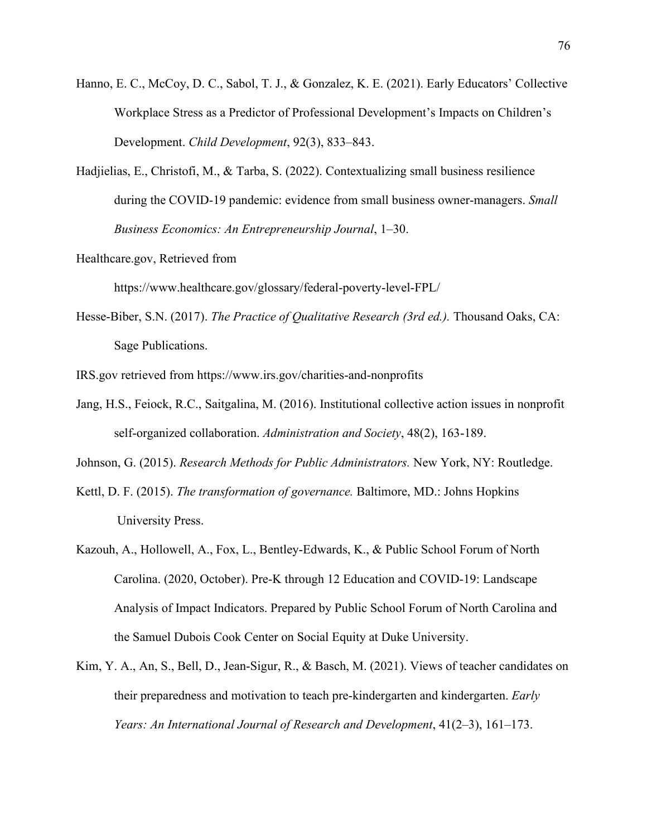- Hanno, E. C., McCoy, D. C., Sabol, T. J., & Gonzalez, K. E. (2021). Early Educators' Collective Workplace Stress as a Predictor of Professional Development's Impacts on Children's Development. *Child Development*, 92(3), 833–843.
- Hadjielias, E., Christofi, M., & Tarba, S. (2022). Contextualizing small business resilience during the COVID-19 pandemic: evidence from small business owner-managers. *Small Business Economics: An Entrepreneurship Journal*, 1–30.
- Healthcare.gov, Retrieved from

https://www.healthcare.gov/glossary/federal-poverty-level-FPL/

- Hesse-Biber, S.N. (2017). *The Practice of Qualitative Research (3rd ed.).* Thousand Oaks, CA: Sage Publications.
- IRS.gov retrieved from https://www.irs.gov/charities-and-nonprofits
- Jang, H.S., Feiock, R.C., Saitgalina, M. (2016). Institutional collective action issues in nonprofit self-organized collaboration. *Administration and Society*, 48(2), 163-189.
- Johnson, G. (2015). *Research Methods for Public Administrators.* New York, NY: Routledge.
- Kettl, D. F. (2015). *The transformation of governance.* Baltimore, MD.: Johns Hopkins University Press.
- Kazouh, A., Hollowell, A., Fox, L., Bentley-Edwards, K., & Public School Forum of North Carolina. (2020, October). Pre-K through 12 Education and COVID-19: Landscape Analysis of Impact Indicators. Prepared by Public School Forum of North Carolina and the Samuel Dubois Cook Center on Social Equity at Duke University.
- Kim, Y. A., An, S., Bell, D., Jean-Sigur, R., & Basch, M. (2021). Views of teacher candidates on their preparedness and motivation to teach pre-kindergarten and kindergarten. *Early Years: An International Journal of Research and Development*, 41(2–3), 161–173.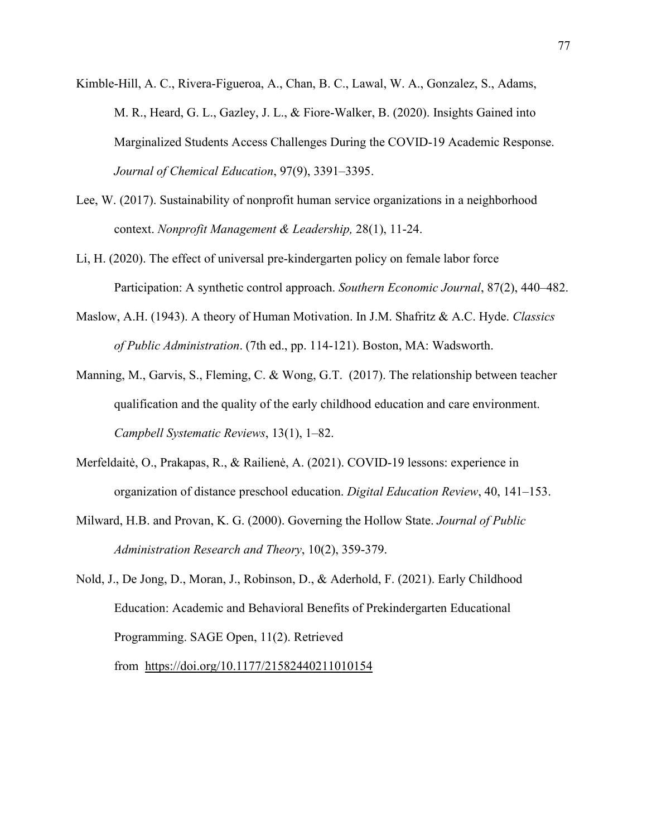- Kimble-Hill, A. C., Rivera-Figueroa, A., Chan, B. C., Lawal, W. A., Gonzalez, S., Adams, M. R., Heard, G. L., Gazley, J. L., & Fiore-Walker, B. (2020). Insights Gained into Marginalized Students Access Challenges During the COVID-19 Academic Response. *Journal of Chemical Education*, 97(9), 3391–3395.
- Lee, W. (2017). Sustainability of nonprofit human service organizations in a neighborhood context. *Nonprofit Management & Leadership,* 28(1), 11-24.
- Li, H. (2020). The effect of universal pre-kindergarten policy on female labor force Participation: A synthetic control approach. *Southern Economic Journal*, 87(2), 440–482.
- Maslow, A.H. (1943). A theory of Human Motivation. In J.M. Shafritz & A.C. Hyde. *Classics of Public Administration*. (7th ed., pp. 114-121). Boston, MA: Wadsworth.
- Manning, M., Garvis, S., Fleming, C. & Wong, G.T. (2017). The relationship between teacher qualification and the quality of the early childhood education and care environment. *Campbell Systematic Reviews*, 13(1), 1–82.
- Merfeldaitė, O., Prakapas, R., & Railienė, A. (2021). COVID-19 lessons: experience in organization of distance preschool education. *Digital Education Review*, 40, 141–153.
- Milward, H.B. and Provan, K. G. (2000). Governing the Hollow State. *Journal of Public Administration Research and Theory*, 10(2), 359-379.
- Nold, J., De Jong, D., Moran, J., Robinson, D., & Aderhold, F. (2021). Early Childhood Education: Academic and Behavioral Benefits of Prekindergarten Educational Programming. SAGE Open, 11(2). Retrieved

from <https://doi.org/10.1177/21582440211010154>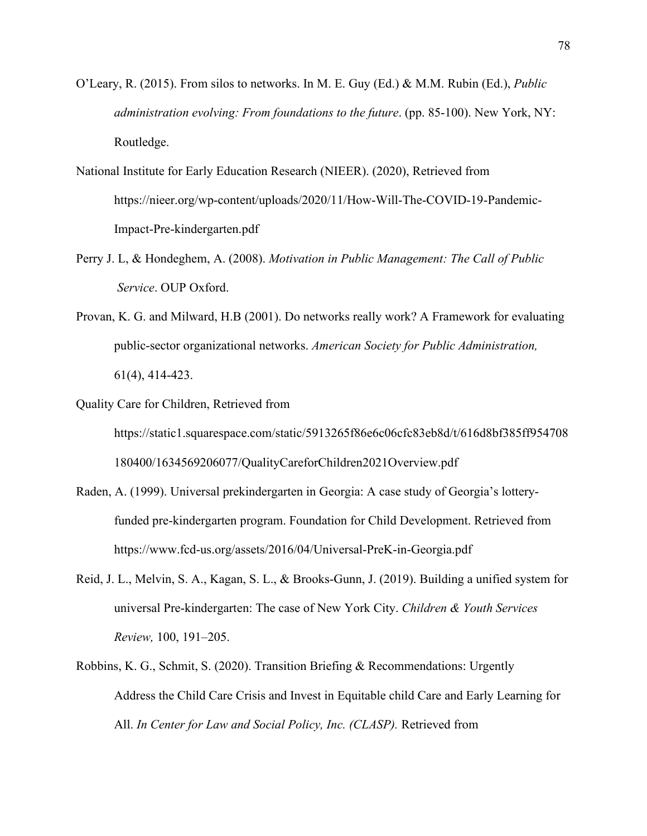- O'Leary, R. (2015). From silos to networks. In M. E. Guy (Ed.) & M.M. Rubin (Ed.), *Public administration evolving: From foundations to the future*. (pp. 85-100). New York, NY: Routledge.
- National Institute for Early Education Research (NIEER). (2020), Retrieved from https://nieer.org/wp-content/uploads/2020/11/How-Will-The-COVID-19-Pandemic-Impact-Pre-kindergarten.pdf
- Perry J. L, & Hondeghem, A. (2008). *Motivation in Public Management: The Call of Public Service*. OUP Oxford.
- Provan, K. G. and Milward, H.B (2001). Do networks really work? A Framework for evaluating public-sector organizational networks. *American Society for Public Administration,* 61(4), 414-423.
- Quality Care for Children, Retrieved from https://static1.squarespace.com/static/5913265f86e6c06cfc83eb8d/t/616d8bf385ff954708 180400/1634569206077/QualityCareforChildren2021Overview.pdf
- Raden, A. (1999). Universal prekindergarten in Georgia: A case study of Georgia's lotteryfunded pre-kindergarten program. Foundation for Child Development. Retrieved from https://www.fcd-us.org/assets/2016/04/Universal-PreK-in-Georgia.pdf
- Reid, J. L., Melvin, S. A., Kagan, S. L., & Brooks-Gunn, J. (2019). Building a unified system for universal Pre-kindergarten: The case of New York City. *Children & Youth Services Review,* 100, 191–205.
- Robbins, K. G., Schmit, S. (2020). Transition Briefing & Recommendations: Urgently Address the Child Care Crisis and Invest in Equitable child Care and Early Learning for All. *In Center for Law and Social Policy, Inc. (CLASP).* Retrieved from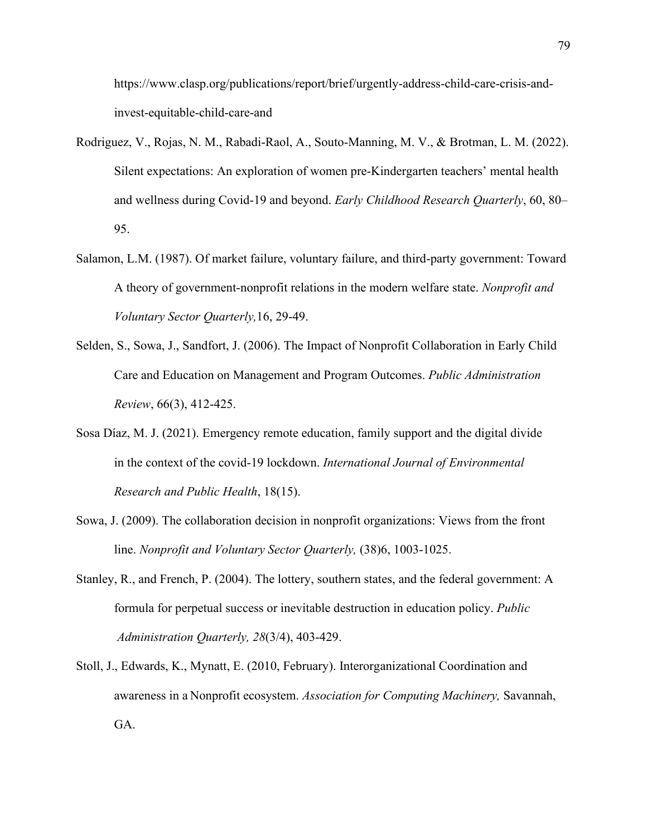https://www.clasp.org/publications/report/brief/urgently-address-child-care-crisis-andinvest-equitable-child-care-and

- Rodriguez, V., Rojas, N. M., Rabadi-Raol, A., Souto-Manning, M. V., & Brotman, L. M. (2022). Silent expectations: An exploration of women pre-Kindergarten teachers' mental health and wellness during Covid-19 and beyond. *Early Childhood Research Quarterly*, 60, 80– 95.
- Salamon, L.M. (1987). Of market failure, voluntary failure, and third-party government: Toward A theory of government-nonprofit relations in the modern welfare state. *Nonprofit and Voluntary Sector Quarterly,*16, 29-49.
- Selden, S., Sowa, J., Sandfort, J. (2006). The Impact of Nonprofit Collaboration in Early Child Care and Education on Management and Program Outcomes. *Public Administration Review*, 66(3), 412-425.
- Sosa Díaz, M. J. (2021). Emergency remote education, family support and the digital divide in the context of the covid-19 lockdown. *International Journal of Environmental Research and Public Health*, 18(15).
- Sowa, J. (2009). The collaboration decision in nonprofit organizations: Views from the front line. *Nonprofit and Voluntary Sector Quarterly,* (38)6, 1003-1025.
- Stanley, R., and French, P. (2004). The lottery, southern states, and the federal government: A formula for perpetual success or inevitable destruction in education policy. *Public Administration Quarterly, 28*(3/4), 403-429.
- Stoll, J., Edwards, K., Mynatt, E. (2010, February). Interorganizational Coordination and awareness in a Nonprofit ecosystem. *Association for Computing Machinery,* Savannah, GA.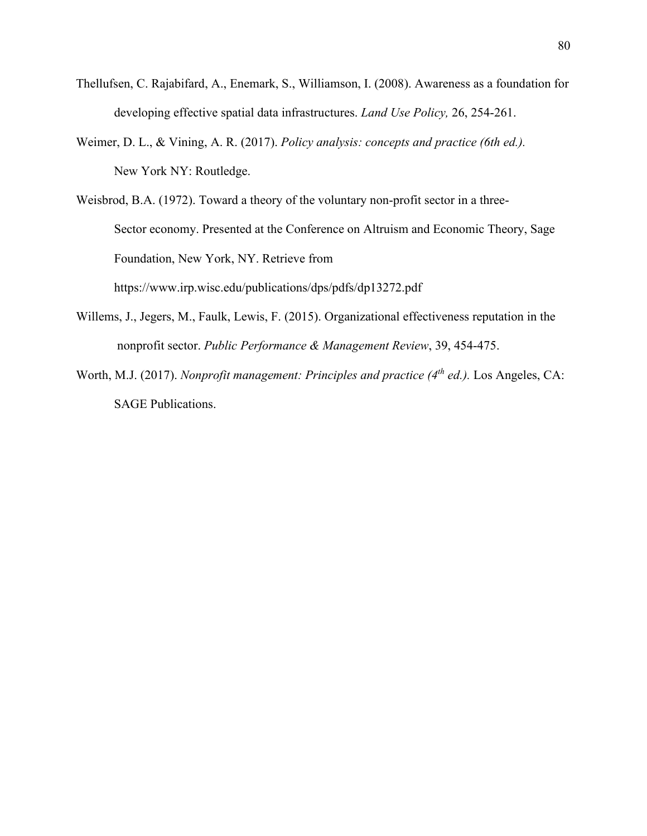- Thellufsen, C. Rajabifard, A., Enemark, S., Williamson, I. (2008). Awareness as a foundation for developing effective spatial data infrastructures. *Land Use Policy,* 26, 254-261.
- Weimer, D. L., & Vining, A. R. (2017). *Policy analysis: concepts and practice (6th ed.).* New York NY: Routledge.
- Weisbrod, B.A. (1972). Toward a theory of the voluntary non-profit sector in a three-Sector economy. Presented at the Conference on Altruism and Economic Theory, Sage Foundation, New York, NY. Retrieve from https://www.irp.wisc.edu/publications/dps/pdfs/dp13272.pdf
- Willems, J., Jegers, M., Faulk, Lewis, F. (2015). Organizational effectiveness reputation in the nonprofit sector. *Public Performance & Management Review*, 39, 454-475.
- Worth, M.J. (2017). *Nonprofit management: Principles and practice* (4<sup>th</sup> *ed.*). Los Angeles, CA: SAGE Publications.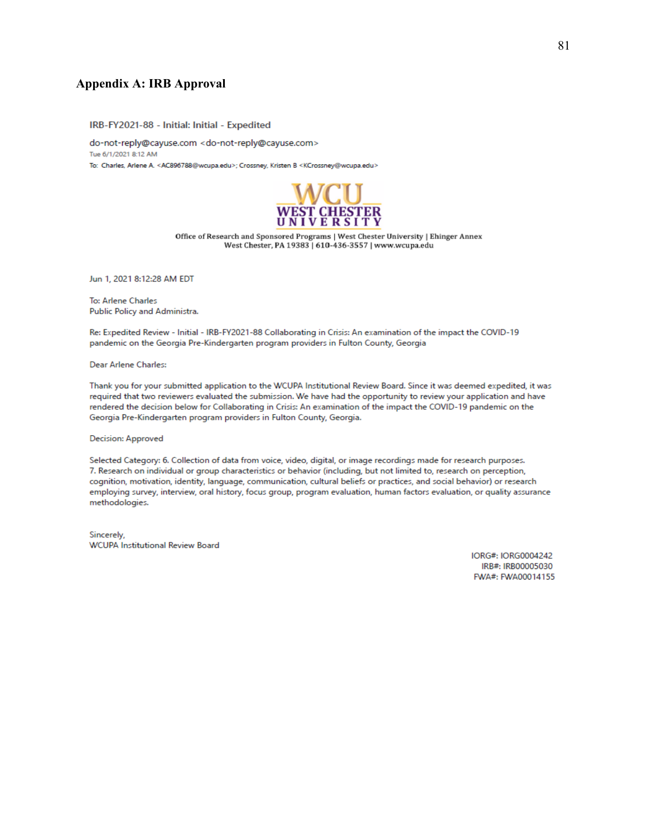### **Appendix A: IRB Approval**

IRB-FY2021-88 - Initial: Initial - Expedited

do-not-reply@cayuse.com <do-not-reply@cayuse.com> Tue 6/1/2021 8:12 AM To: Charles, Arlene A. <AC896788@wcupa.edu>; Crossney, Kristen B <KCrossney@wcupa.edu>



Office of Research and Sponsored Programs | West Chester University | Ehinger Annex West Chester, PA 19383 | 610-436-3557 | www.wcupa.edu

Jun 1, 2021 8:12:28 AM EDT

To: Arlene Charles Public Policy and Administra.

Re: Expedited Review - Initial - IRB-FY2021-88 Collaborating in Crisis: An examination of the impact the COVID-19 pandemic on the Georgia Pre-Kindergarten program providers in Fulton County, Georgia

Dear Arlene Charles:

Thank you for your submitted application to the WCUPA Institutional Review Board. Since it was deemed expedited, it was required that two reviewers evaluated the submission. We have had the opportunity to review your application and have rendered the decision below for Collaborating in Crisis: An examination of the impact the COVID-19 pandemic on the Georgia Pre-Kindergarten program providers in Fulton County, Georgia.

Decision: Approved

Selected Category: 6. Collection of data from voice, video, digital, or image recordings made for research purposes. 7. Research on individual or group characteristics or behavior (including, but not limited to, research on perception, cognition, motivation, identity, language, communication, cultural beliefs or practices, and social behavior) or research employing survey, interview, oral history, focus group, program evaluation, human factors evaluation, or quality assurance methodologies.

Sincerely, **WCUPA Institutional Review Board** 

> IORG#: IORG0004242 IRB#: IRB00005030 FWA#: FWA00014155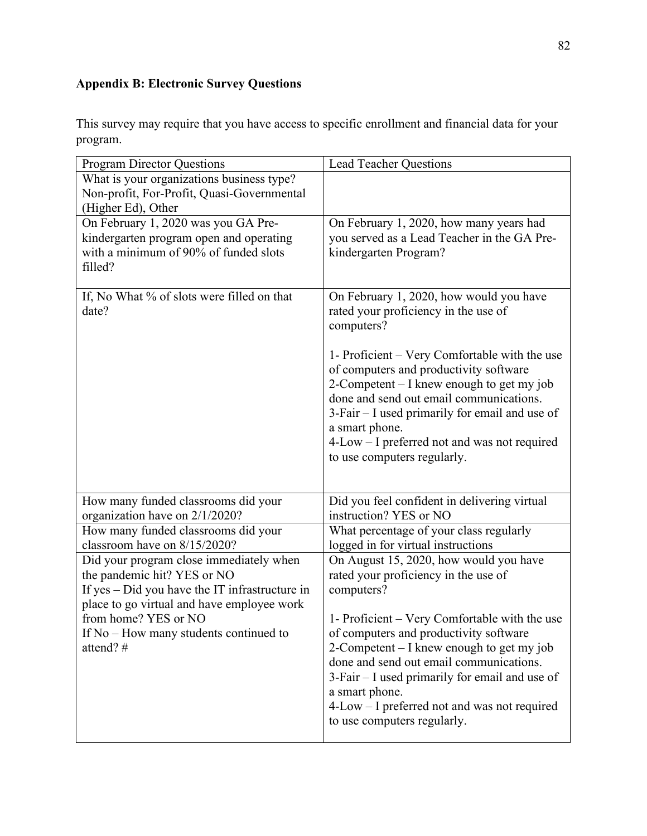# **Appendix B: Electronic Survey Questions**

This survey may require that you have access to specific enrollment and financial data for your program.

| <b>Program Director Questions</b>                       | <b>Lead Teacher Questions</b>                                                          |
|---------------------------------------------------------|----------------------------------------------------------------------------------------|
| What is your organizations business type?               |                                                                                        |
| Non-profit, For-Profit, Quasi-Governmental              |                                                                                        |
| (Higher Ed), Other                                      |                                                                                        |
| On February 1, 2020 was you GA Pre-                     | On February 1, 2020, how many years had                                                |
| kindergarten program open and operating                 | you served as a Lead Teacher in the GA Pre-                                            |
| with a minimum of 90% of funded slots                   | kindergarten Program?                                                                  |
| filled?                                                 |                                                                                        |
|                                                         |                                                                                        |
| If, No What % of slots were filled on that              | On February 1, 2020, how would you have                                                |
| date?                                                   | rated your proficiency in the use of                                                   |
|                                                         | computers?                                                                             |
|                                                         |                                                                                        |
|                                                         | 1- Proficient – Very Comfortable with the use                                          |
|                                                         | of computers and productivity software<br>2-Competent – I knew enough to get my job    |
|                                                         | done and send out email communications.                                                |
|                                                         | 3-Fair – I used primarily for email and use of                                         |
|                                                         | a smart phone.                                                                         |
|                                                         | 4-Low – I preferred not and was not required                                           |
|                                                         | to use computers regularly.                                                            |
|                                                         |                                                                                        |
|                                                         |                                                                                        |
| How many funded classrooms did your                     | Did you feel confident in delivering virtual                                           |
| organization have on 2/1/2020?                          | instruction? YES or NO                                                                 |
| How many funded classrooms did your                     | What percentage of your class regularly                                                |
| classroom have on 8/15/2020?                            | logged in for virtual instructions                                                     |
| Did your program close immediately when                 | On August 15, 2020, how would you have                                                 |
| the pandemic hit? YES or NO                             | rated your proficiency in the use of                                                   |
| If $yes - Did$ you have the IT infrastructure in        | computers?                                                                             |
| place to go virtual and have employee work              |                                                                                        |
| from home? YES or NO                                    | 1- Proficient – Very Comfortable with the use                                          |
| If $No$ – How many students continued to<br>attend? $#$ | of computers and productivity software                                                 |
|                                                         | 2-Competent $-$ I knew enough to get my job<br>done and send out email communications. |
|                                                         | 3-Fair - I used primarily for email and use of                                         |
|                                                         | a smart phone.                                                                         |
|                                                         | 4-Low – I preferred not and was not required                                           |
|                                                         | to use computers regularly.                                                            |
|                                                         |                                                                                        |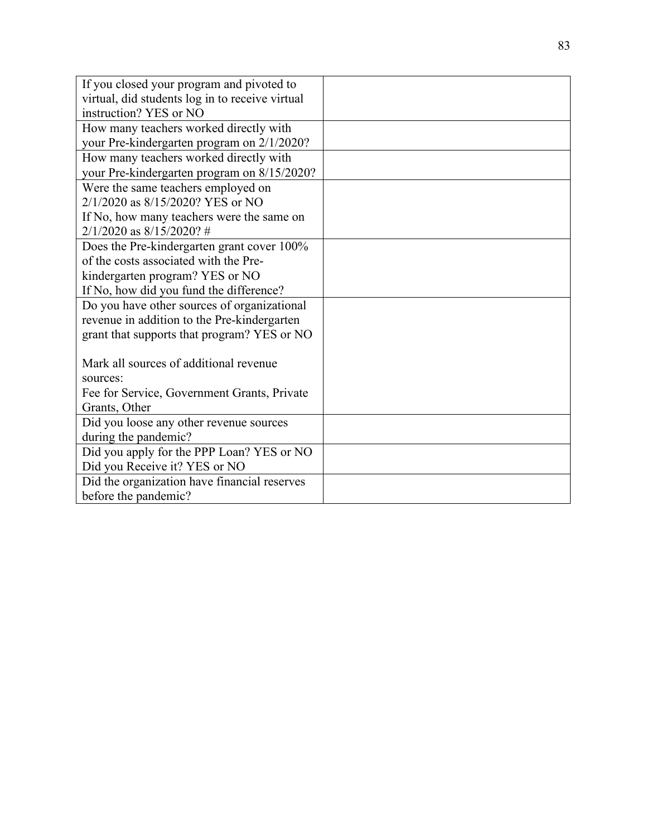| If you closed your program and pivoted to       |  |
|-------------------------------------------------|--|
| virtual, did students log in to receive virtual |  |
| instruction? YES or NO                          |  |
| How many teachers worked directly with          |  |
| your Pre-kindergarten program on 2/1/2020?      |  |
| How many teachers worked directly with          |  |
| your Pre-kindergarten program on 8/15/2020?     |  |
| Were the same teachers employed on              |  |
| 2/1/2020 as 8/15/2020? YES or NO                |  |
| If No, how many teachers were the same on       |  |
| $2/1/2020$ as $8/15/2020$ ? #                   |  |
| Does the Pre-kindergarten grant cover 100%      |  |
| of the costs associated with the Pre-           |  |
| kindergarten program? YES or NO                 |  |
| If No, how did you fund the difference?         |  |
| Do you have other sources of organizational     |  |
| revenue in addition to the Pre-kindergarten     |  |
| grant that supports that program? YES or NO     |  |
|                                                 |  |
| Mark all sources of additional revenue          |  |
| sources:                                        |  |
| Fee for Service, Government Grants, Private     |  |
| Grants, Other                                   |  |
| Did you loose any other revenue sources         |  |
| during the pandemic?                            |  |
| Did you apply for the PPP Loan? YES or NO       |  |
| Did you Receive it? YES or NO                   |  |
| Did the organization have financial reserves    |  |
| before the pandemic?                            |  |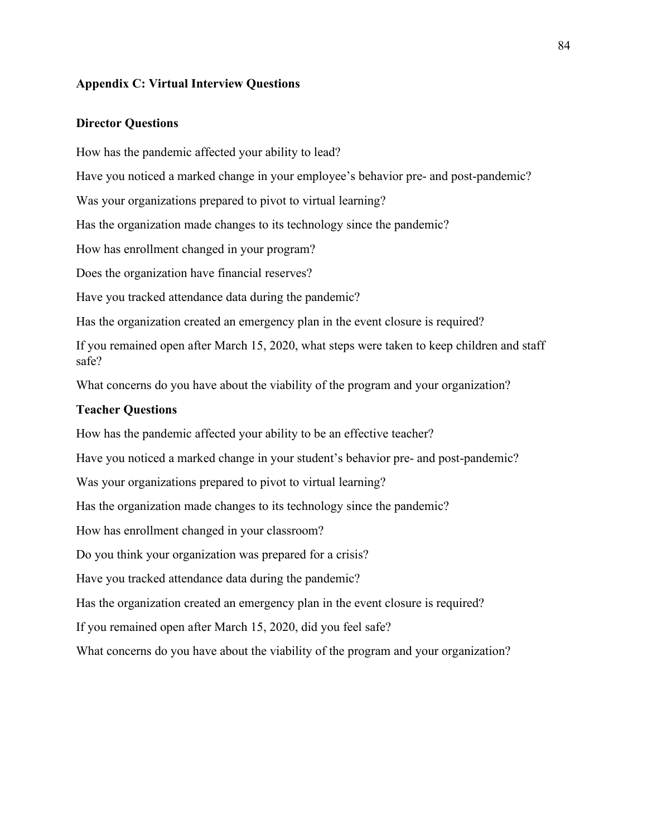### **Appendix C: Virtual Interview Questions**

### **Director Questions**

How has the pandemic affected your ability to lead?

Have you noticed a marked change in your employee's behavior pre- and post-pandemic?

Was your organizations prepared to pivot to virtual learning?

Has the organization made changes to its technology since the pandemic?

How has enrollment changed in your program?

Does the organization have financial reserves?

Have you tracked attendance data during the pandemic?

Has the organization created an emergency plan in the event closure is required?

If you remained open after March 15, 2020, what steps were taken to keep children and staff safe?

What concerns do you have about the viability of the program and your organization?

### **Teacher Questions**

How has the pandemic affected your ability to be an effective teacher?

Have you noticed a marked change in your student's behavior pre- and post-pandemic?

Was your organizations prepared to pivot to virtual learning?

Has the organization made changes to its technology since the pandemic?

How has enrollment changed in your classroom?

Do you think your organization was prepared for a crisis?

Have you tracked attendance data during the pandemic?

Has the organization created an emergency plan in the event closure is required?

If you remained open after March 15, 2020, did you feel safe?

What concerns do you have about the viability of the program and your organization?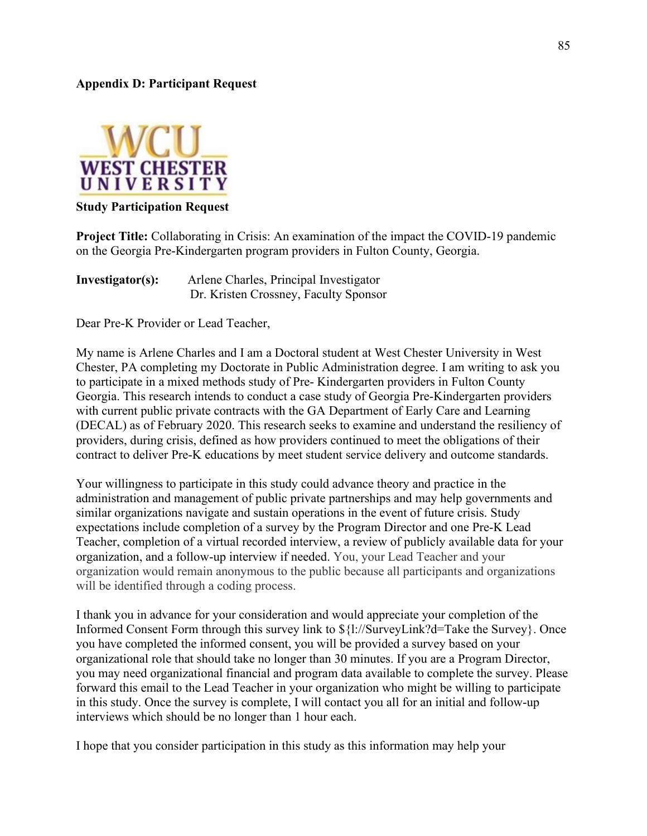### **Appendix D: Participant Request**



### **Study Participation Request**

**Project Title:** Collaborating in Crisis: An examination of the impact the COVID-19 pandemic on the Georgia Pre-Kindergarten program providers in Fulton County, Georgia.

| Investigator(s): | Arlene Charles, Principal Investigator |
|------------------|----------------------------------------|
|                  | Dr. Kristen Crossney, Faculty Sponsor  |

Dear Pre-K Provider or Lead Teacher,

My name is Arlene Charles and I am a Doctoral student at West Chester University in West Chester, PA completing my Doctorate in Public Administration degree. I am writing to ask you to participate in a mixed methods study of Pre- Kindergarten providers in Fulton County Georgia. This research intends to conduct a case study of Georgia Pre-Kindergarten providers with current public private contracts with the GA Department of Early Care and Learning (DECAL) as of February 2020. This research seeks to examine and understand the resiliency of providers, during crisis, defined as how providers continued to meet the obligations of their contract to deliver Pre-K educations by meet student service delivery and outcome standards.

Your willingness to participate in this study could advance theory and practice in the administration and management of public private partnerships and may help governments and similar organizations navigate and sustain operations in the event of future crisis. Study expectations include completion of a survey by the Program Director and one Pre-K Lead Teacher, completion of a virtual recorded interview, a review of publicly available data for your organization, and a follow-up interview if needed. You, your Lead Teacher and your organization would remain anonymous to the public because all participants and organizations will be identified through a coding process.

I thank you in advance for your consideration and would appreciate your completion of the Informed Consent Form through this survey link to \${l://SurveyLink?d=Take the Survey}. Once you have completed the informed consent, you will be provided a survey based on your organizational role that should take no longer than 30 minutes. If you are a Program Director, you may need organizational financial and program data available to complete the survey. Please forward this email to the Lead Teacher in your organization who might be willing to participate in this study. Once the survey is complete, I will contact you all for an initial and follow-up interviews which should be no longer than 1 hour each.

I hope that you consider participation in this study as this information may help your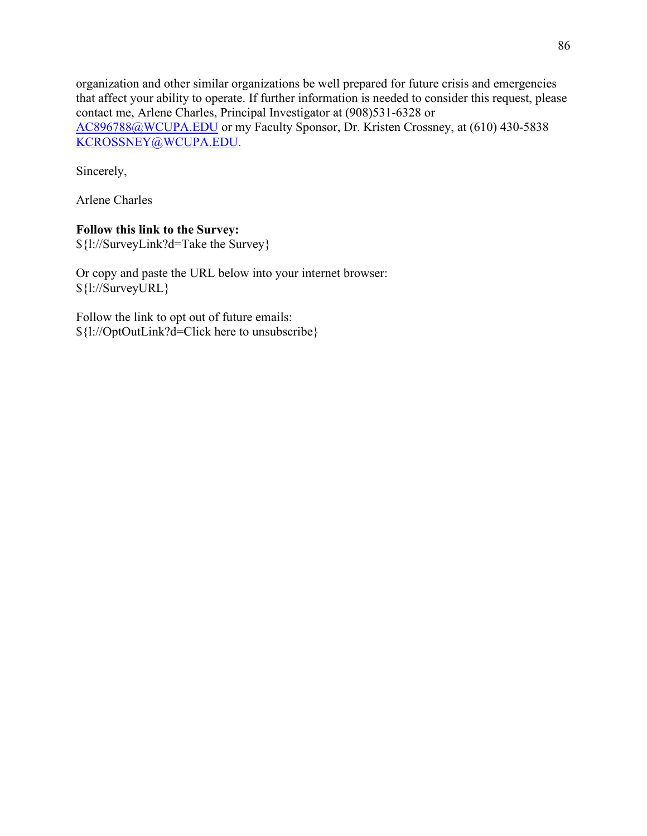organization and other similar organizations be well prepared for future crisis and emergencies that affect your ability to operate. If further information is needed to consider this request, please contact me, Arlene Charles, Principal Investigator at (908)531-6328 or [AC896788@WCUPA.EDU](mailto:AC896788@WCUPA.EDU) or my Faculty Sponsor, Dr. Kristen Crossney, at (610) 430-5838 [KCROSSNEY@WCUPA.EDU.](mailto:KCROSSNEY@WCUPA.EDU)

Sincerely,

Arlene Charles

## **Follow this link to the Survey:**

\${l://SurveyLink?d=Take the Survey}

Or copy and paste the URL below into your internet browser: \${l://SurveyURL}

Follow the link to opt out of future emails: \${l://OptOutLink?d=Click here to unsubscribe}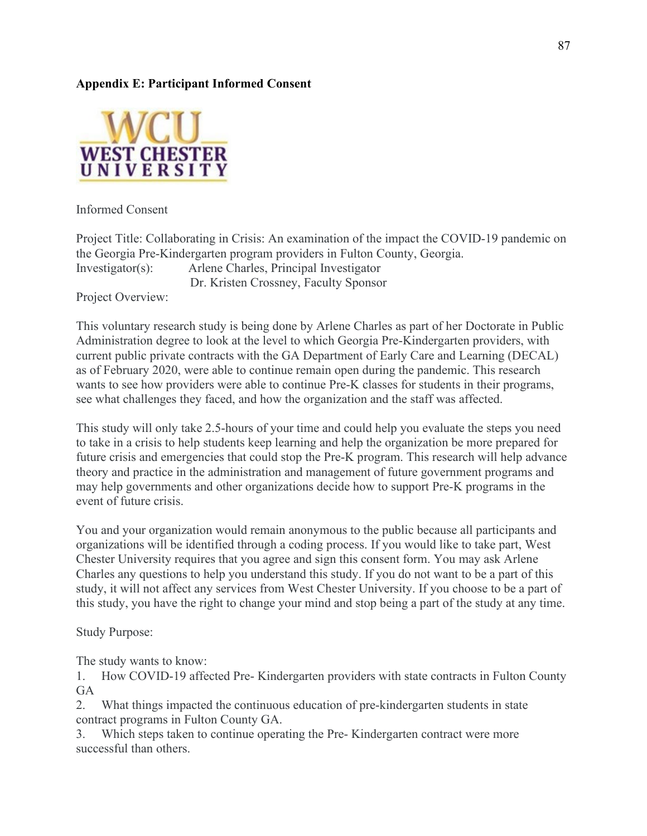# **Appendix E: Participant Informed Consent**



Informed Consent

Project Title: Collaborating in Crisis: An examination of the impact the COVID-19 pandemic on the Georgia Pre-Kindergarten program providers in Fulton County, Georgia. Investigator(s): Arlene Charles, Principal Investigator Dr. Kristen Crossney, Faculty Sponsor

Project Overview:

This voluntary research study is being done by Arlene Charles as part of her Doctorate in Public Administration degree to look at the level to which Georgia Pre-Kindergarten providers, with current public private contracts with the GA Department of Early Care and Learning (DECAL) as of February 2020, were able to continue remain open during the pandemic. This research wants to see how providers were able to continue Pre-K classes for students in their programs, see what challenges they faced, and how the organization and the staff was affected.

This study will only take 2.5-hours of your time and could help you evaluate the steps you need to take in a crisis to help students keep learning and help the organization be more prepared for future crisis and emergencies that could stop the Pre-K program. This research will help advance theory and practice in the administration and management of future government programs and may help governments and other organizations decide how to support Pre-K programs in the event of future crisis.

You and your organization would remain anonymous to the public because all participants and organizations will be identified through a coding process. If you would like to take part, West Chester University requires that you agree and sign this consent form. You may ask Arlene Charles any questions to help you understand this study. If you do not want to be a part of this study, it will not affect any services from West Chester University. If you choose to be a part of this study, you have the right to change your mind and stop being a part of the study at any time.

Study Purpose:

The study wants to know:

1. How COVID-19 affected Pre- Kindergarten providers with state contracts in Fulton County **GA** 

2. What things impacted the continuous education of pre-kindergarten students in state contract programs in Fulton County GA.

3. Which steps taken to continue operating the Pre- Kindergarten contract were more successful than others.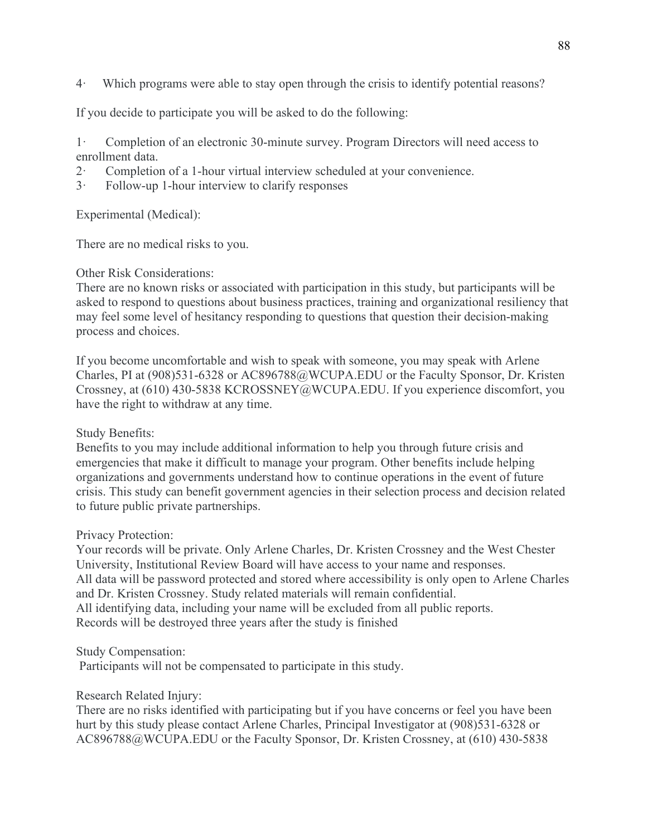4· Which programs were able to stay open through the crisis to identify potential reasons?

If you decide to participate you will be asked to do the following:

1· Completion of an electronic 30-minute survey. Program Directors will need access to enrollment data.

- 2· Completion of a 1-hour virtual interview scheduled at your convenience.
- 3· Follow-up 1-hour interview to clarify responses

Experimental (Medical):

There are no medical risks to you.

Other Risk Considerations:

There are no known risks or associated with participation in this study, but participants will be asked to respond to questions about business practices, training and organizational resiliency that may feel some level of hesitancy responding to questions that question their decision-making process and choices.

If you become uncomfortable and wish to speak with someone, you may speak with Arlene Charles, PI at (908)531-6328 or AC896788@WCUPA.EDU or the Faculty Sponsor, Dr. Kristen Crossney, at (610) 430-5838 KCROSSNEY@WCUPA.EDU. If you experience discomfort, you have the right to withdraw at any time.

# Study Benefits:

Benefits to you may include additional information to help you through future crisis and emergencies that make it difficult to manage your program. Other benefits include helping organizations and governments understand how to continue operations in the event of future crisis. This study can benefit government agencies in their selection process and decision related to future public private partnerships.

# Privacy Protection:

Your records will be private. Only Arlene Charles, Dr. Kristen Crossney and the West Chester University, Institutional Review Board will have access to your name and responses. All data will be password protected and stored where accessibility is only open to Arlene Charles and Dr. Kristen Crossney. Study related materials will remain confidential. All identifying data, including your name will be excluded from all public reports. Records will be destroyed three years after the study is finished

Study Compensation:

Participants will not be compensated to participate in this study.

Research Related Injury:

There are no risks identified with participating but if you have concerns or feel you have been hurt by this study please contact Arlene Charles, Principal Investigator at (908)531-6328 or AC896788@WCUPA.EDU or the Faculty Sponsor, Dr. Kristen Crossney, at (610) 430-5838